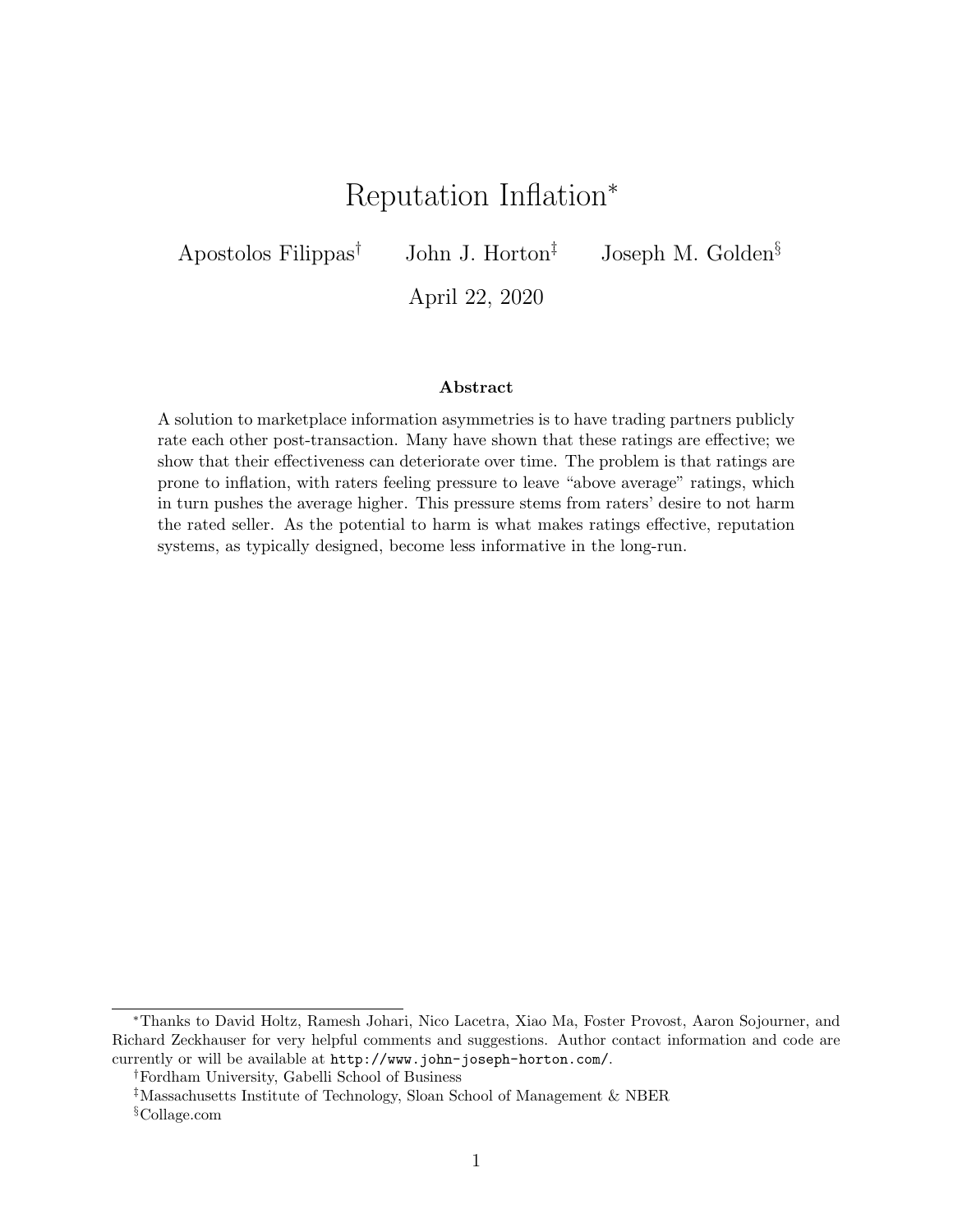# Reputation Inflation<sup>∗</sup>

<span id="page-0-0"></span>Apostolos Filippas<sup>†</sup> John J. Horton<sup>‡</sup> Joseph M. Golden<sup>§</sup>

April 22, 2020

#### Abstract

A solution to marketplace information asymmetries is to have trading partners publicly rate each other post-transaction. Many have shown that these ratings are effective; we show that their effectiveness can deteriorate over time. The problem is that ratings are prone to inflation, with raters feeling pressure to leave "above average" ratings, which in turn pushes the average higher. This pressure stems from raters' desire to not harm the rated seller. As the potential to harm is what makes ratings effective, reputation systems, as typically designed, become less informative in the long-run.

<sup>∗</sup>Thanks to David Holtz, Ramesh Johari, Nico Lacetra, Xiao Ma, Foster Provost, Aaron Sojourner, and Richard Zeckhauser for very helpful comments and suggestions. Author contact information and code are currently or will be available at <http://www.john-joseph-horton.com/>.

<sup>†</sup>Fordham University, Gabelli School of Business

<sup>‡</sup>Massachusetts Institute of Technology, Sloan School of Management & NBER

<sup>§</sup>Collage.com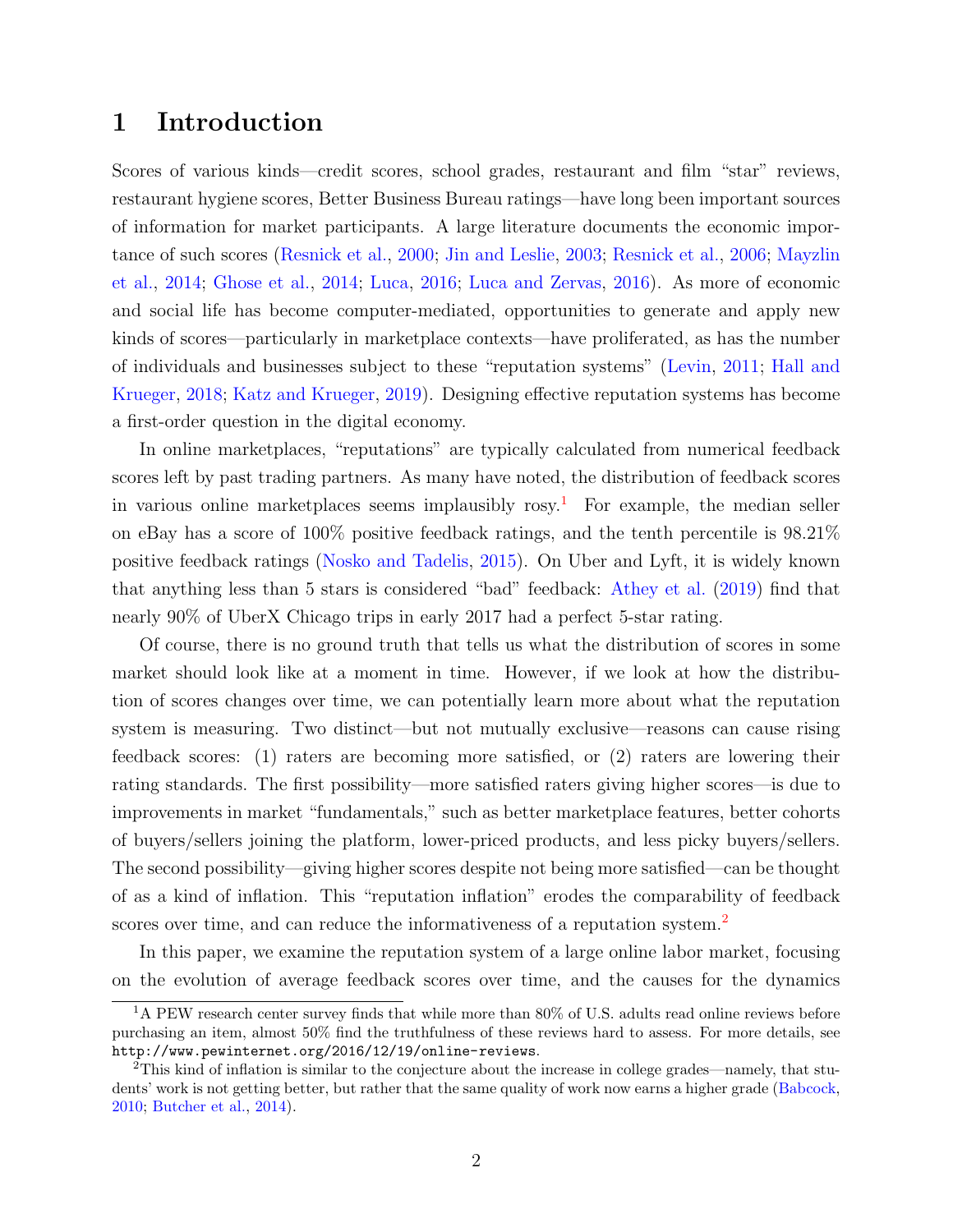# 1 Introduction

Scores of various kinds—credit scores, school grades, restaurant and film "star" reviews, restaurant hygiene scores, Better Business Bureau ratings—have long been important sources of information for market participants. A large literature documents the economic importance of such scores [\(Resnick et al.,](#page-34-0) [2000;](#page-34-0) [Jin and Leslie,](#page-33-0) [2003;](#page-33-0) [Resnick et al.,](#page-34-1) [2006;](#page-34-1) [Mayzlin](#page-33-1) [et al.,](#page-33-1) [2014;](#page-33-1) [Ghose et al.,](#page-32-0) [2014;](#page-32-0) [Luca,](#page-33-2) [2016;](#page-33-2) [Luca and Zervas,](#page-33-3) [2016\)](#page-33-3). As more of economic and social life has become computer-mediated, opportunities to generate and apply new kinds of scores—particularly in marketplace contexts—have proliferated, as has the number of individuals and businesses subject to these "reputation systems" [\(Levin,](#page-33-4) [2011;](#page-33-4) [Hall and](#page-32-1) [Krueger,](#page-32-1) [2018;](#page-32-1) [Katz and Krueger,](#page-33-5) [2019\)](#page-33-5). Designing effective reputation systems has become a first-order question in the digital economy.

In online marketplaces, "reputations" are typically calculated from numerical feedback scores left by past trading partners. As many have noted, the distribution of feedback scores in various online marketplaces seems implausibly  $\cos y$ .<sup>[1](#page-0-0)</sup> For example, the median seller on eBay has a score of 100% positive feedback ratings, and the tenth percentile is 98.21% positive feedback ratings [\(Nosko and Tadelis,](#page-34-2) [2015\)](#page-34-2). On Uber and Lyft, it is widely known that anything less than 5 stars is considered "bad" feedback: [Athey et al.](#page-31-0) [\(2019\)](#page-31-0) find that nearly 90% of UberX Chicago trips in early 2017 had a perfect 5-star rating.

Of course, there is no ground truth that tells us what the distribution of scores in some market should look like at a moment in time. However, if we look at how the distribution of scores changes over time, we can potentially learn more about what the reputation system is measuring. Two distinct—but not mutually exclusive—reasons can cause rising feedback scores: (1) raters are becoming more satisfied, or (2) raters are lowering their rating standards. The first possibility—more satisfied raters giving higher scores—is due to improvements in market "fundamentals," such as better marketplace features, better cohorts of buyers/sellers joining the platform, lower-priced products, and less picky buyers/sellers. The second possibility—giving higher scores despite not being more satisfied—can be thought of as a kind of inflation. This "reputation inflation" erodes the comparability of feedback scores over time, and can reduce the informativeness of a reputation system.<sup>[2](#page-0-0)</sup>

In this paper, we examine the reputation system of a large online labor market, focusing on the evolution of average feedback scores over time, and the causes for the dynamics

 $1<sup>1</sup>A$  PEW research center survey finds that while more than 80% of U.S. adults read online reviews before purchasing an item, almost 50% find the truthfulness of these reviews hard to assess. For more details, see <http://www.pewinternet.org/2016/12/19/online-reviews>.

<sup>2</sup>This kind of inflation is similar to the conjecture about the increase in college grades—namely, that students' work is not getting better, but rather that the same quality of work now earns a higher grade [\(Babcock,](#page-31-1) [2010;](#page-31-1) [Butcher et al.,](#page-31-2) [2014\)](#page-31-2).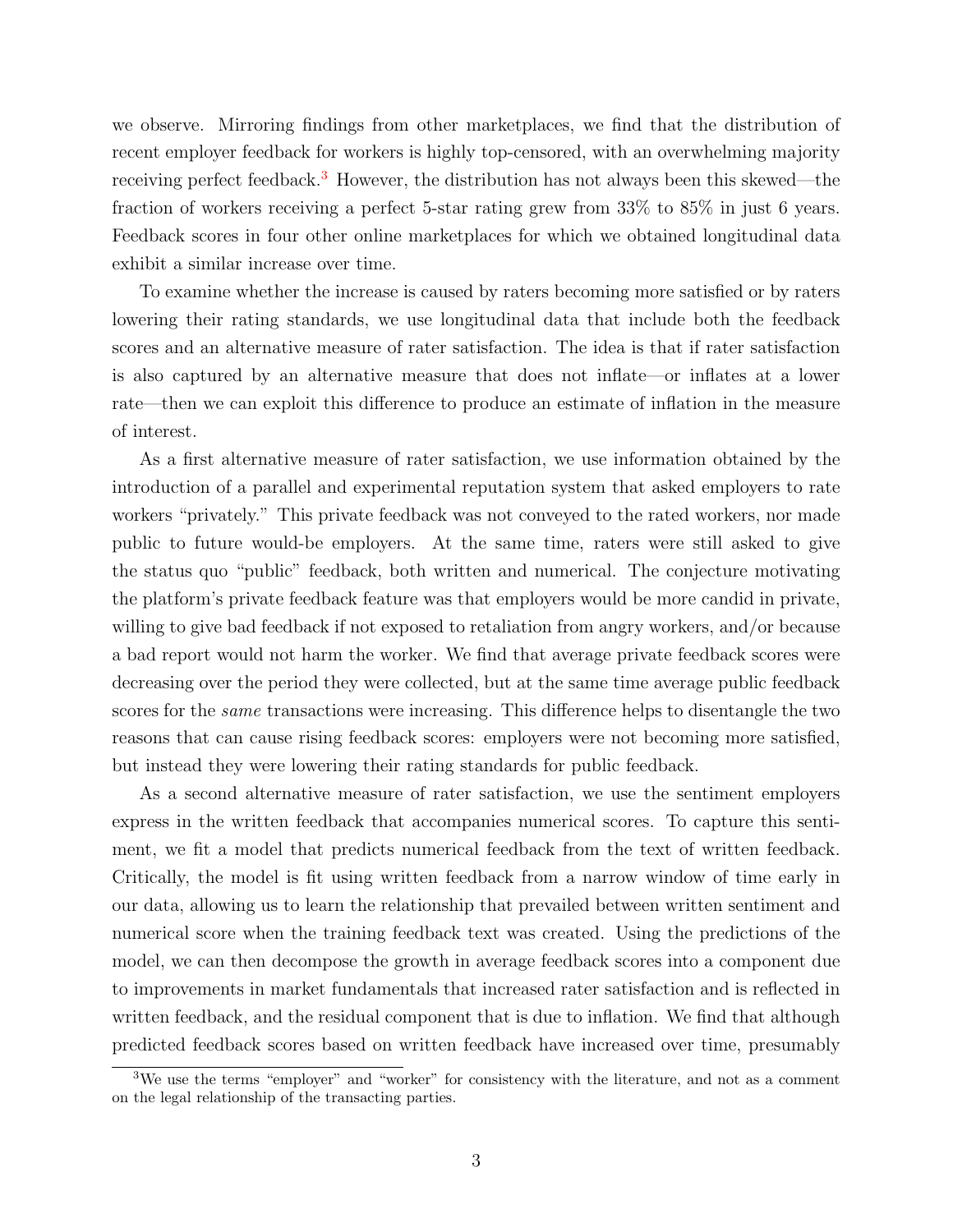we observe. Mirroring findings from other marketplaces, we find that the distribution of recent employer feedback for workers is highly top-censored, with an overwhelming majority receiving perfect feedback.<sup>[3](#page-0-0)</sup> However, the distribution has not always been this skewed—the fraction of workers receiving a perfect 5-star rating grew from 33% to 85% in just 6 years. Feedback scores in four other online marketplaces for which we obtained longitudinal data exhibit a similar increase over time.

To examine whether the increase is caused by raters becoming more satisfied or by raters lowering their rating standards, we use longitudinal data that include both the feedback scores and an alternative measure of rater satisfaction. The idea is that if rater satisfaction is also captured by an alternative measure that does not inflate—or inflates at a lower rate—then we can exploit this difference to produce an estimate of inflation in the measure of interest.

As a first alternative measure of rater satisfaction, we use information obtained by the introduction of a parallel and experimental reputation system that asked employers to rate workers "privately." This private feedback was not conveyed to the rated workers, nor made public to future would-be employers. At the same time, raters were still asked to give the status quo "public" feedback, both written and numerical. The conjecture motivating the platform's private feedback feature was that employers would be more candid in private, willing to give bad feedback if not exposed to retaliation from angry workers, and/or because a bad report would not harm the worker. We find that average private feedback scores were decreasing over the period they were collected, but at the same time average public feedback scores for the *same* transactions were increasing. This difference helps to disentangle the two reasons that can cause rising feedback scores: employers were not becoming more satisfied, but instead they were lowering their rating standards for public feedback.

As a second alternative measure of rater satisfaction, we use the sentiment employers express in the written feedback that accompanies numerical scores. To capture this sentiment, we fit a model that predicts numerical feedback from the text of written feedback. Critically, the model is fit using written feedback from a narrow window of time early in our data, allowing us to learn the relationship that prevailed between written sentiment and numerical score when the training feedback text was created. Using the predictions of the model, we can then decompose the growth in average feedback scores into a component due to improvements in market fundamentals that increased rater satisfaction and is reflected in written feedback, and the residual component that is due to inflation. We find that although predicted feedback scores based on written feedback have increased over time, presumably

<sup>&</sup>lt;sup>3</sup>We use the terms "employer" and "worker" for consistency with the literature, and not as a comment on the legal relationship of the transacting parties.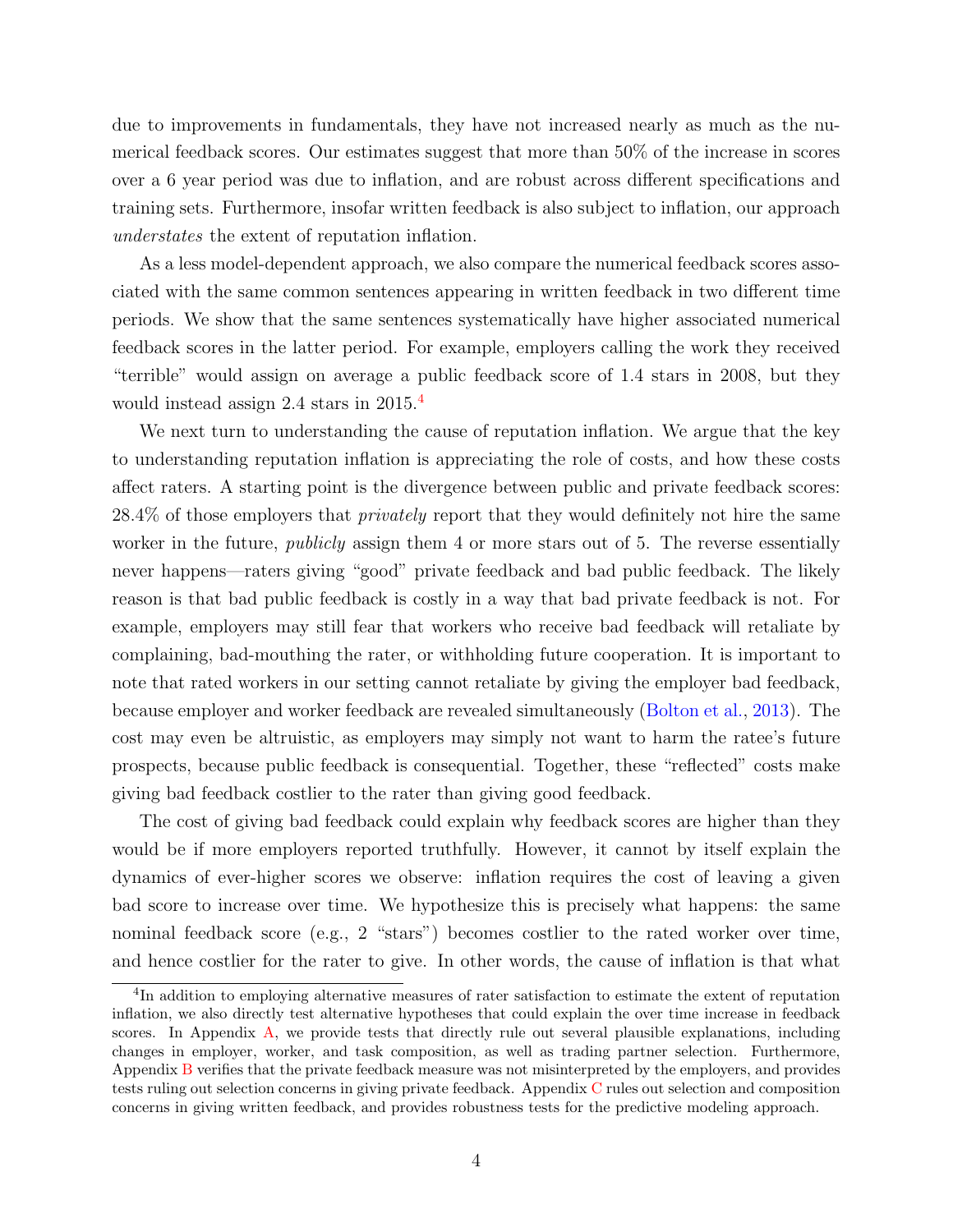due to improvements in fundamentals, they have not increased nearly as much as the numerical feedback scores. Our estimates suggest that more than 50% of the increase in scores over a 6 year period was due to inflation, and are robust across different specifications and training sets. Furthermore, insofar written feedback is also subject to inflation, our approach understates the extent of reputation inflation.

As a less model-dependent approach, we also compare the numerical feedback scores associated with the same common sentences appearing in written feedback in two different time periods. We show that the same sentences systematically have higher associated numerical feedback scores in the latter period. For example, employers calling the work they received "terrible" would assign on average a public feedback score of 1.4 stars in 2008, but they would instead assign 2.4 stars in 2015.[4](#page-0-0)

We next turn to understanding the cause of reputation inflation. We argue that the key to understanding reputation inflation is appreciating the role of costs, and how these costs affect raters. A starting point is the divergence between public and private feedback scores: 28.4% of those employers that privately report that they would definitely not hire the same worker in the future, *publicly* assign them 4 or more stars out of 5. The reverse essentially never happens—raters giving "good" private feedback and bad public feedback. The likely reason is that bad public feedback is costly in a way that bad private feedback is not. For example, employers may still fear that workers who receive bad feedback will retaliate by complaining, bad-mouthing the rater, or withholding future cooperation. It is important to note that rated workers in our setting cannot retaliate by giving the employer bad feedback, because employer and worker feedback are revealed simultaneously [\(Bolton et al.,](#page-31-3) [2013\)](#page-31-3). The cost may even be altruistic, as employers may simply not want to harm the ratee's future prospects, because public feedback is consequential. Together, these "reflected" costs make giving bad feedback costlier to the rater than giving good feedback.

The cost of giving bad feedback could explain why feedback scores are higher than they would be if more employers reported truthfully. However, it cannot by itself explain the dynamics of ever-higher scores we observe: inflation requires the cost of leaving a given bad score to increase over time. We hypothesize this is precisely what happens: the same nominal feedback score (e.g., 2 "stars") becomes costlier to the rated worker over time, and hence costlier for the rater to give. In other words, the cause of inflation is that what

<sup>&</sup>lt;sup>4</sup>In addition to employing alternative measures of rater satisfaction to estimate the extent of reputation inflation, we also directly test alternative hypotheses that could explain the over time increase in feedback scores. In Appendix  $\overline{A}$ , we provide tests that directly rule out several plausible explanations, including changes in employer, worker, and task composition, as well as trading partner selection. Furthermore, Appendix [B](#page-38-0) verifies that the private feedback measure was not misinterpreted by the employers, and provides tests ruling out selection concerns in giving private feedback. Appendix [C](#page-42-0) rules out selection and composition concerns in giving written feedback, and provides robustness tests for the predictive modeling approach.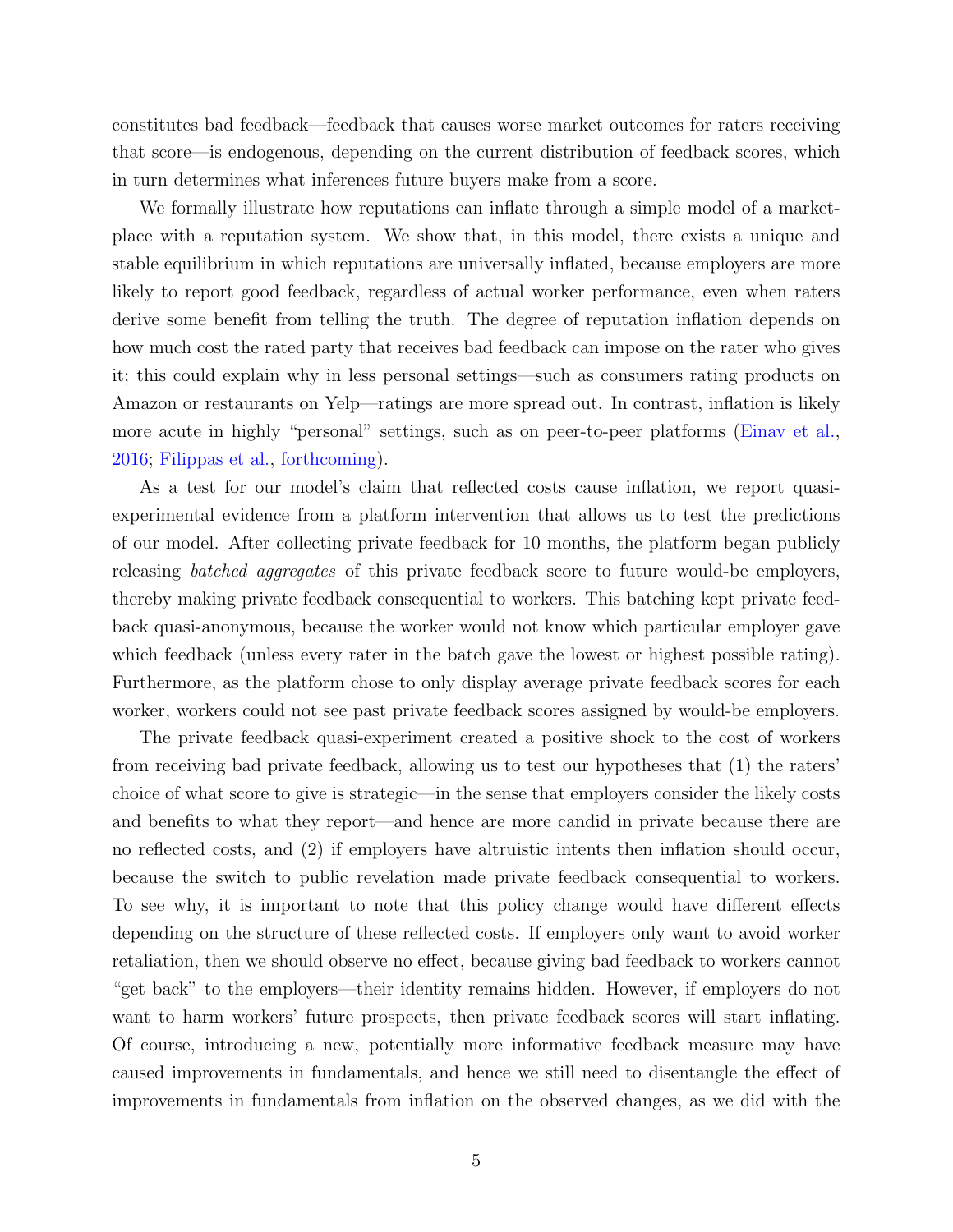constitutes bad feedback—feedback that causes worse market outcomes for raters receiving that score—is endogenous, depending on the current distribution of feedback scores, which in turn determines what inferences future buyers make from a score.

We formally illustrate how reputations can inflate through a simple model of a marketplace with a reputation system. We show that, in this model, there exists a unique and stable equilibrium in which reputations are universally inflated, because employers are more likely to report good feedback, regardless of actual worker performance, even when raters derive some benefit from telling the truth. The degree of reputation inflation depends on how much cost the rated party that receives bad feedback can impose on the rater who gives it; this could explain why in less personal settings—such as consumers rating products on Amazon or restaurants on Yelp—ratings are more spread out. In contrast, inflation is likely more acute in highly "personal" settings, such as on peer-to-peer platforms [\(Einav et al.,](#page-32-2) [2016;](#page-32-2) [Filippas et al.,](#page-32-3) [forthcoming\)](#page-32-3).

As a test for our model's claim that reflected costs cause inflation, we report quasiexperimental evidence from a platform intervention that allows us to test the predictions of our model. After collecting private feedback for 10 months, the platform began publicly releasing batched aggregates of this private feedback score to future would-be employers, thereby making private feedback consequential to workers. This batching kept private feedback quasi-anonymous, because the worker would not know which particular employer gave which feedback (unless every rater in the batch gave the lowest or highest possible rating). Furthermore, as the platform chose to only display average private feedback scores for each worker, workers could not see past private feedback scores assigned by would-be employers.

The private feedback quasi-experiment created a positive shock to the cost of workers from receiving bad private feedback, allowing us to test our hypotheses that (1) the raters' choice of what score to give is strategic—in the sense that employers consider the likely costs and benefits to what they report—and hence are more candid in private because there are no reflected costs, and (2) if employers have altruistic intents then inflation should occur, because the switch to public revelation made private feedback consequential to workers. To see why, it is important to note that this policy change would have different effects depending on the structure of these reflected costs. If employers only want to avoid worker retaliation, then we should observe no effect, because giving bad feedback to workers cannot "get back" to the employers—their identity remains hidden. However, if employers do not want to harm workers' future prospects, then private feedback scores will start inflating. Of course, introducing a new, potentially more informative feedback measure may have caused improvements in fundamentals, and hence we still need to disentangle the effect of improvements in fundamentals from inflation on the observed changes, as we did with the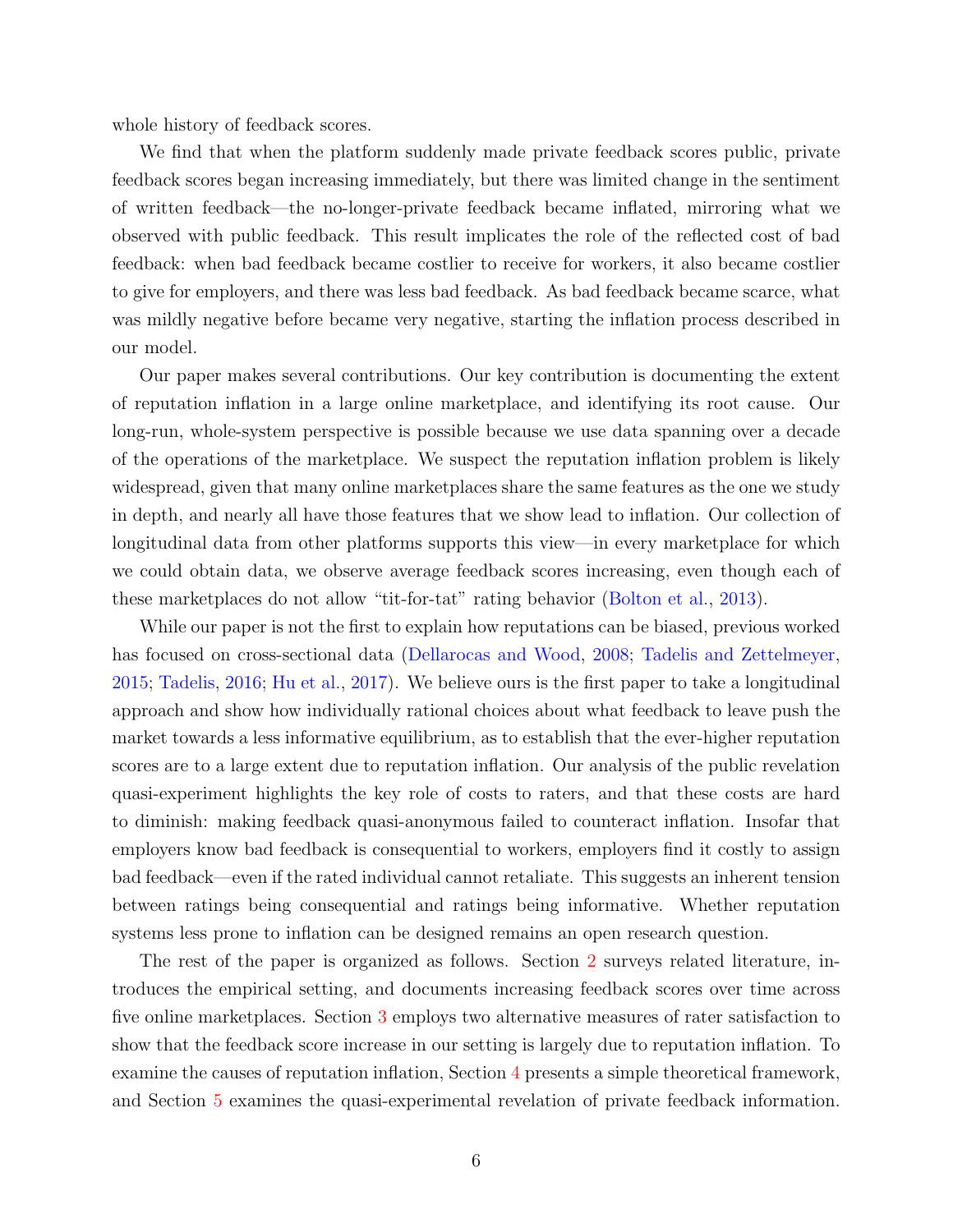whole history of feedback scores.

We find that when the platform suddenly made private feedback scores public, private feedback scores began increasing immediately, but there was limited change in the sentiment of written feedback—the no-longer-private feedback became inflated, mirroring what we observed with public feedback. This result implicates the role of the reflected cost of bad feedback: when bad feedback became costlier to receive for workers, it also became costlier to give for employers, and there was less bad feedback. As bad feedback became scarce, what was mildly negative before became very negative, starting the inflation process described in our model.

Our paper makes several contributions. Our key contribution is documenting the extent of reputation inflation in a large online marketplace, and identifying its root cause. Our long-run, whole-system perspective is possible because we use data spanning over a decade of the operations of the marketplace. We suspect the reputation inflation problem is likely widespread, given that many online marketplaces share the same features as the one we study in depth, and nearly all have those features that we show lead to inflation. Our collection of longitudinal data from other platforms supports this view—in every marketplace for which we could obtain data, we observe average feedback scores increasing, even though each of these marketplaces do not allow "tit-for-tat" rating behavior [\(Bolton et al.,](#page-31-3) [2013\)](#page-31-3).

While our paper is not the first to explain how reputations can be biased, previous worked has focused on cross-sectional data [\(Dellarocas and Wood,](#page-32-4) [2008;](#page-32-4) [Tadelis and Zettelmeyer,](#page-34-3) [2015;](#page-34-3) [Tadelis,](#page-34-4) [2016;](#page-34-4) [Hu et al.,](#page-33-6) [2017\)](#page-33-6). We believe ours is the first paper to take a longitudinal approach and show how individually rational choices about what feedback to leave push the market towards a less informative equilibrium, as to establish that the ever-higher reputation scores are to a large extent due to reputation inflation. Our analysis of the public revelation quasi-experiment highlights the key role of costs to raters, and that these costs are hard to diminish: making feedback quasi-anonymous failed to counteract inflation. Insofar that employers know bad feedback is consequential to workers, employers find it costly to assign bad feedback—even if the rated individual cannot retaliate. This suggests an inherent tension between ratings being consequential and ratings being informative. Whether reputation systems less prone to inflation can be designed remains an open research question.

The rest of the paper is organized as follows. Section [2](#page-6-0) surveys related literature, introduces the empirical setting, and documents increasing feedback scores over time across five online marketplaces. Section [3](#page-13-0) employs two alternative measures of rater satisfaction to show that the feedback score increase in our setting is largely due to reputation inflation. To examine the causes of reputation inflation, Section [4](#page-20-0) presents a simple theoretical framework, and Section [5](#page-24-0) examines the quasi-experimental revelation of private feedback information.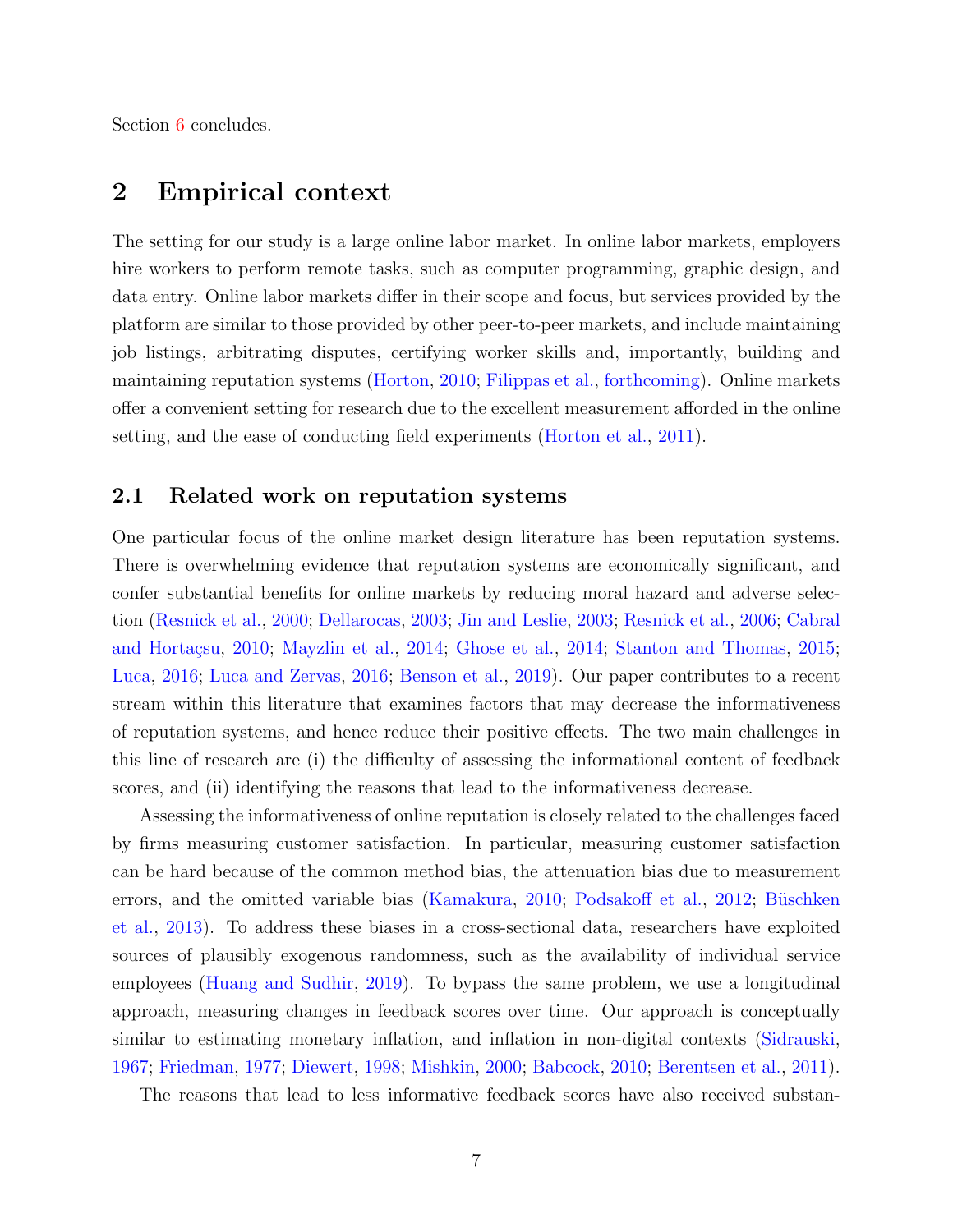Section [6](#page-28-0) concludes.

### <span id="page-6-0"></span>2 Empirical context

The setting for our study is a large online labor market. In online labor markets, employers hire workers to perform remote tasks, such as computer programming, graphic design, and data entry. Online labor markets differ in their scope and focus, but services provided by the platform are similar to those provided by other peer-to-peer markets, and include maintaining job listings, arbitrating disputes, certifying worker skills and, importantly, building and maintaining reputation systems [\(Horton,](#page-32-5) [2010;](#page-32-5) [Filippas et al.,](#page-32-3) [forthcoming\)](#page-32-3). Online markets offer a convenient setting for research due to the excellent measurement afforded in the online setting, and the ease of conducting field experiments [\(Horton et al.,](#page-32-6) [2011\)](#page-32-6).

### 2.1 Related work on reputation systems

One particular focus of the online market design literature has been reputation systems. There is overwhelming evidence that reputation systems are economically significant, and confer substantial benefits for online markets by reducing moral hazard and adverse selection [\(Resnick et al.,](#page-34-0) [2000;](#page-34-0) [Dellarocas,](#page-32-7) [2003;](#page-32-7) [Jin and Leslie,](#page-33-0) [2003;](#page-33-0) [Resnick et al.,](#page-34-1) [2006;](#page-34-1) [Cabral](#page-31-4) and Hortaçsu, [2010;](#page-31-4) [Mayzlin et al.,](#page-33-1) [2014;](#page-32-0) [Ghose et al.,](#page-32-0) 2014; [Stanton and Thomas,](#page-34-5) [2015;](#page-34-5) [Luca,](#page-33-2) [2016;](#page-33-2) [Luca and Zervas,](#page-33-3) [2016;](#page-33-3) [Benson et al.,](#page-31-5) [2019\)](#page-31-5). Our paper contributes to a recent stream within this literature that examines factors that may decrease the informativeness of reputation systems, and hence reduce their positive effects. The two main challenges in this line of research are (i) the difficulty of assessing the informational content of feedback scores, and (ii) identifying the reasons that lead to the informativeness decrease.

Assessing the informativeness of online reputation is closely related to the challenges faced by firms measuring customer satisfaction. In particular, measuring customer satisfaction can be hard because of the common method bias, the attenuation bias due to measurement errors, and the omitted variable bias [\(Kamakura,](#page-33-7) [2010;](#page-33-7) [Podsakoff et al.,](#page-34-6) [2012;](#page-34-6) Büschken [et al.,](#page-31-6) [2013\)](#page-31-6). To address these biases in a cross-sectional data, researchers have exploited sources of plausibly exogenous randomness, such as the availability of individual service employees [\(Huang and Sudhir,](#page-33-8) [2019\)](#page-33-8). To bypass the same problem, we use a longitudinal approach, measuring changes in feedback scores over time. Our approach is conceptually similar to estimating monetary inflation, and inflation in non-digital contexts [\(Sidrauski,](#page-34-7) [1967;](#page-34-7) [Friedman,](#page-32-8) [1977;](#page-32-8) [Diewert,](#page-32-9) [1998;](#page-32-9) [Mishkin,](#page-33-9) [2000;](#page-33-9) [Babcock,](#page-31-1) [2010;](#page-31-1) [Berentsen et al.,](#page-31-7) [2011\)](#page-31-7).

The reasons that lead to less informative feedback scores have also received substan-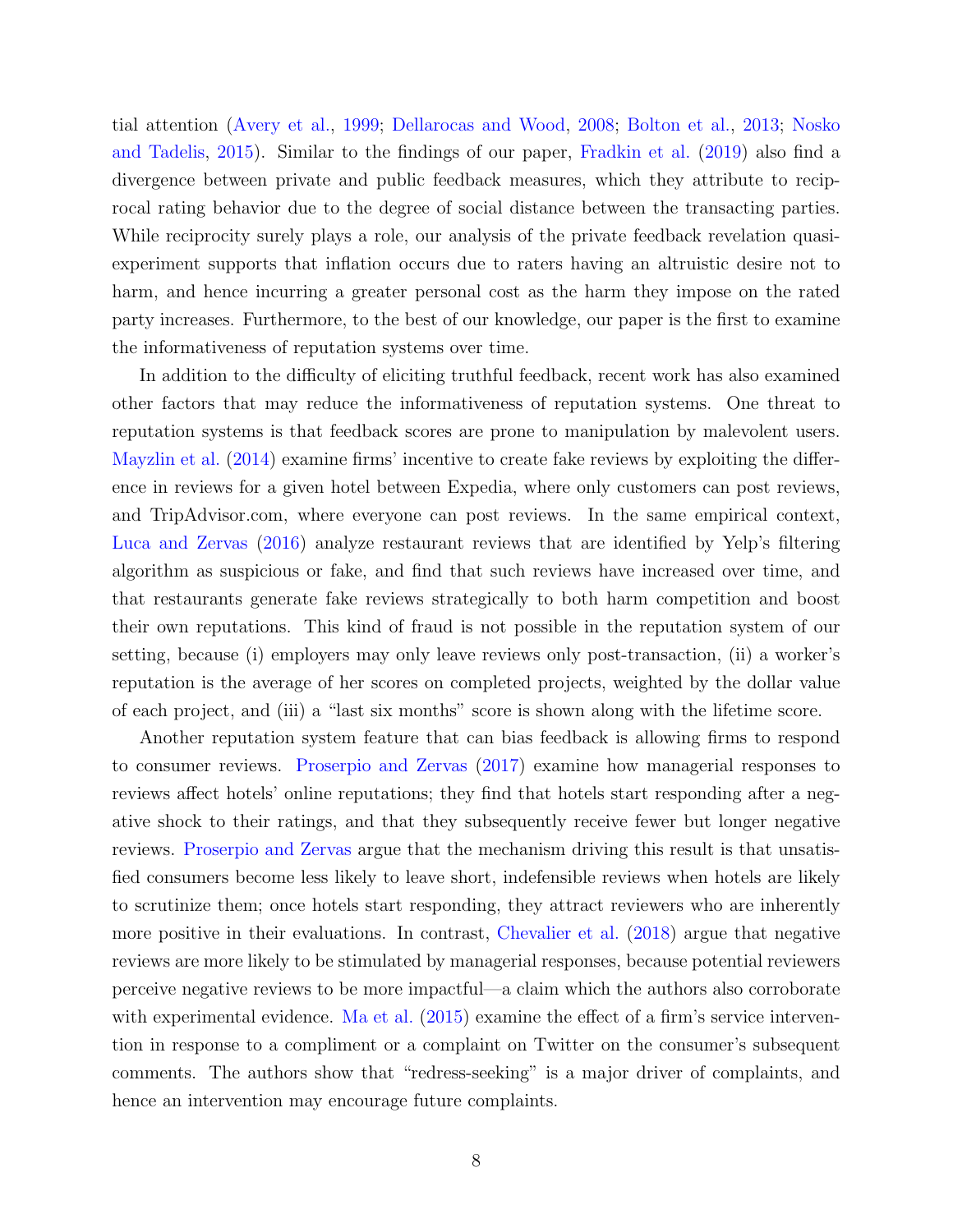tial attention [\(Avery et al.,](#page-31-8) [1999;](#page-31-8) [Dellarocas and Wood,](#page-32-4) [2008;](#page-32-4) [Bolton et al.,](#page-31-3) [2013;](#page-31-3) [Nosko](#page-34-2) [and Tadelis,](#page-34-2) [2015\)](#page-34-2). Similar to the findings of our paper, [Fradkin et al.](#page-32-10) [\(2019\)](#page-32-10) also find a divergence between private and public feedback measures, which they attribute to reciprocal rating behavior due to the degree of social distance between the transacting parties. While reciprocity surely plays a role, our analysis of the private feedback revelation quasiexperiment supports that inflation occurs due to raters having an altruistic desire not to harm, and hence incurring a greater personal cost as the harm they impose on the rated party increases. Furthermore, to the best of our knowledge, our paper is the first to examine the informativeness of reputation systems over time.

In addition to the difficulty of eliciting truthful feedback, recent work has also examined other factors that may reduce the informativeness of reputation systems. One threat to reputation systems is that feedback scores are prone to manipulation by malevolent users. [Mayzlin et al.](#page-33-1) [\(2014\)](#page-33-1) examine firms' incentive to create fake reviews by exploiting the difference in reviews for a given hotel between Expedia, where only customers can post reviews, and TripAdvisor.com, where everyone can post reviews. In the same empirical context, [Luca and Zervas](#page-33-3) [\(2016\)](#page-33-3) analyze restaurant reviews that are identified by Yelp's filtering algorithm as suspicious or fake, and find that such reviews have increased over time, and that restaurants generate fake reviews strategically to both harm competition and boost their own reputations. This kind of fraud is not possible in the reputation system of our setting, because (i) employers may only leave reviews only post-transaction, (ii) a worker's reputation is the average of her scores on completed projects, weighted by the dollar value of each project, and (iii) a "last six months" score is shown along with the lifetime score.

Another reputation system feature that can bias feedback is allowing firms to respond to consumer reviews. [Proserpio and Zervas](#page-34-8) [\(2017\)](#page-34-8) examine how managerial responses to reviews affect hotels' online reputations; they find that hotels start responding after a negative shock to their ratings, and that they subsequently receive fewer but longer negative reviews. [Proserpio and Zervas](#page-34-8) argue that the mechanism driving this result is that unsatisfied consumers become less likely to leave short, indefensible reviews when hotels are likely to scrutinize them; once hotels start responding, they attract reviewers who are inherently more positive in their evaluations. In contrast, [Chevalier et al.](#page-31-9) [\(2018\)](#page-31-9) argue that negative reviews are more likely to be stimulated by managerial responses, because potential reviewers perceive negative reviews to be more impactful—a claim which the authors also corroborate with experimental evidence. [Ma et al.](#page-33-10)  $(2015)$  examine the effect of a firm's service intervention in response to a compliment or a complaint on Twitter on the consumer's subsequent comments. The authors show that "redress-seeking" is a major driver of complaints, and hence an intervention may encourage future complaints.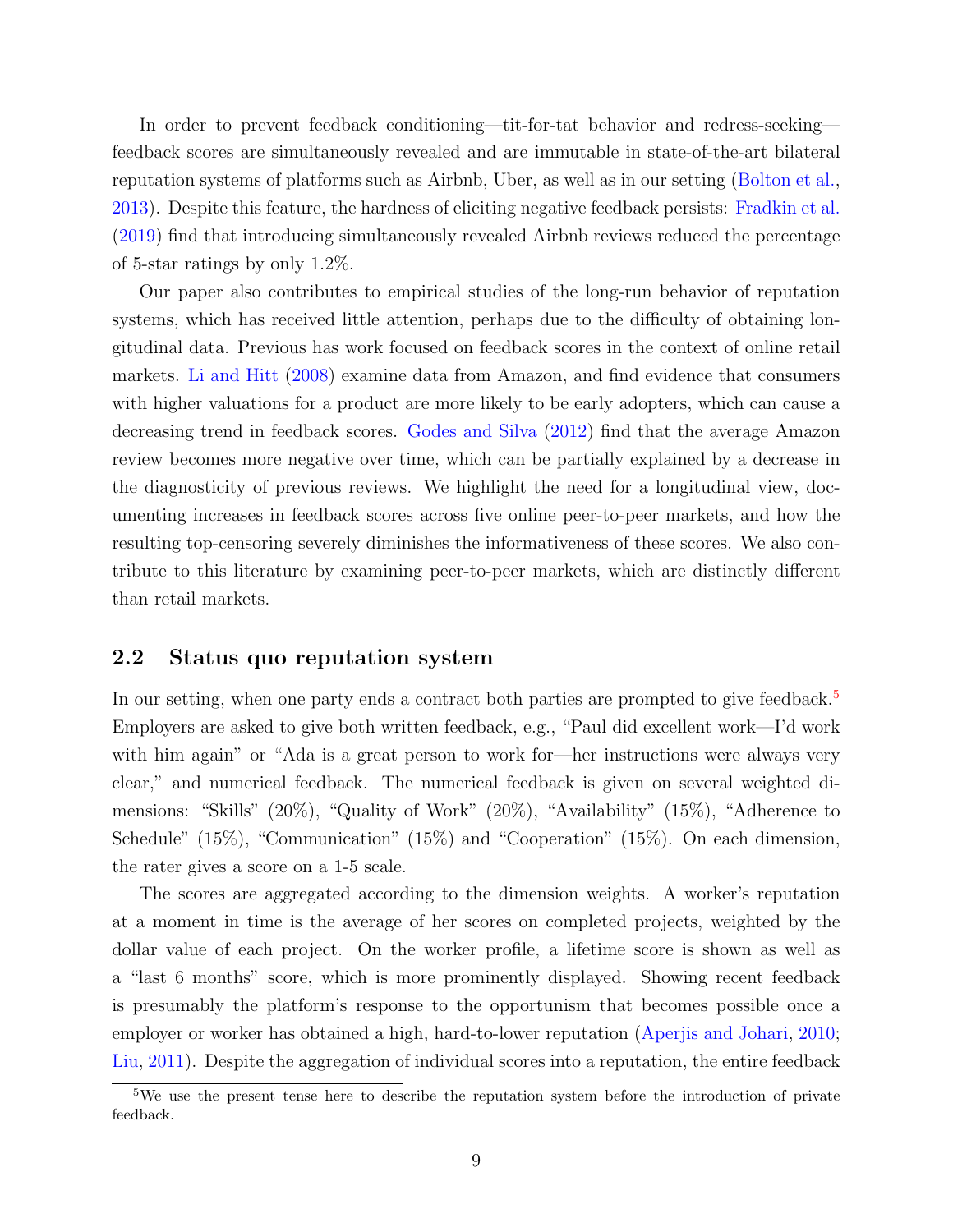In order to prevent feedback conditioning—tit-for-tat behavior and redress-seeking feedback scores are simultaneously revealed and are immutable in state-of-the-art bilateral reputation systems of platforms such as Airbnb, Uber, as well as in our setting [\(Bolton et al.,](#page-31-3) [2013\)](#page-31-3). Despite this feature, the hardness of eliciting negative feedback persists: [Fradkin et al.](#page-32-10) [\(2019\)](#page-32-10) find that introducing simultaneously revealed Airbnb reviews reduced the percentage of 5-star ratings by only 1.2%.

Our paper also contributes to empirical studies of the long-run behavior of reputation systems, which has received little attention, perhaps due to the difficulty of obtaining longitudinal data. Previous has work focused on feedback scores in the context of online retail markets. [Li and Hitt](#page-33-11) [\(2008\)](#page-33-11) examine data from Amazon, and find evidence that consumers with higher valuations for a product are more likely to be early adopters, which can cause a decreasing trend in feedback scores. [Godes and Silva](#page-32-11) [\(2012\)](#page-32-11) find that the average Amazon review becomes more negative over time, which can be partially explained by a decrease in the diagnosticity of previous reviews. We highlight the need for a longitudinal view, documenting increases in feedback scores across five online peer-to-peer markets, and how the resulting top-censoring severely diminishes the informativeness of these scores. We also contribute to this literature by examining peer-to-peer markets, which are distinctly different than retail markets.

### 2.2 Status quo reputation system

In our setting, when one party ends a contract both parties are prompted to give feedback.<sup>[5](#page-0-0)</sup> Employers are asked to give both written feedback, e.g., "Paul did excellent work—I'd work with him again" or "Ada is a great person to work for—her instructions were always very clear," and numerical feedback. The numerical feedback is given on several weighted dimensions: "Skills" (20%), "Quality of Work" (20%), "Availability" (15%), "Adherence to Schedule" (15%), "Communication" (15%) and "Cooperation" (15%). On each dimension, the rater gives a score on a 1-5 scale.

The scores are aggregated according to the dimension weights. A worker's reputation at a moment in time is the average of her scores on completed projects, weighted by the dollar value of each project. On the worker profile, a lifetime score is shown as well as a "last 6 months" score, which is more prominently displayed. Showing recent feedback is presumably the platform's response to the opportunism that becomes possible once a employer or worker has obtained a high, hard-to-lower reputation [\(Aperjis and Johari,](#page-31-10) [2010;](#page-31-10) [Liu,](#page-33-12) [2011\)](#page-33-12). Despite the aggregation of individual scores into a reputation, the entire feedback

<sup>&</sup>lt;sup>5</sup>We use the present tense here to describe the reputation system before the introduction of private feedback.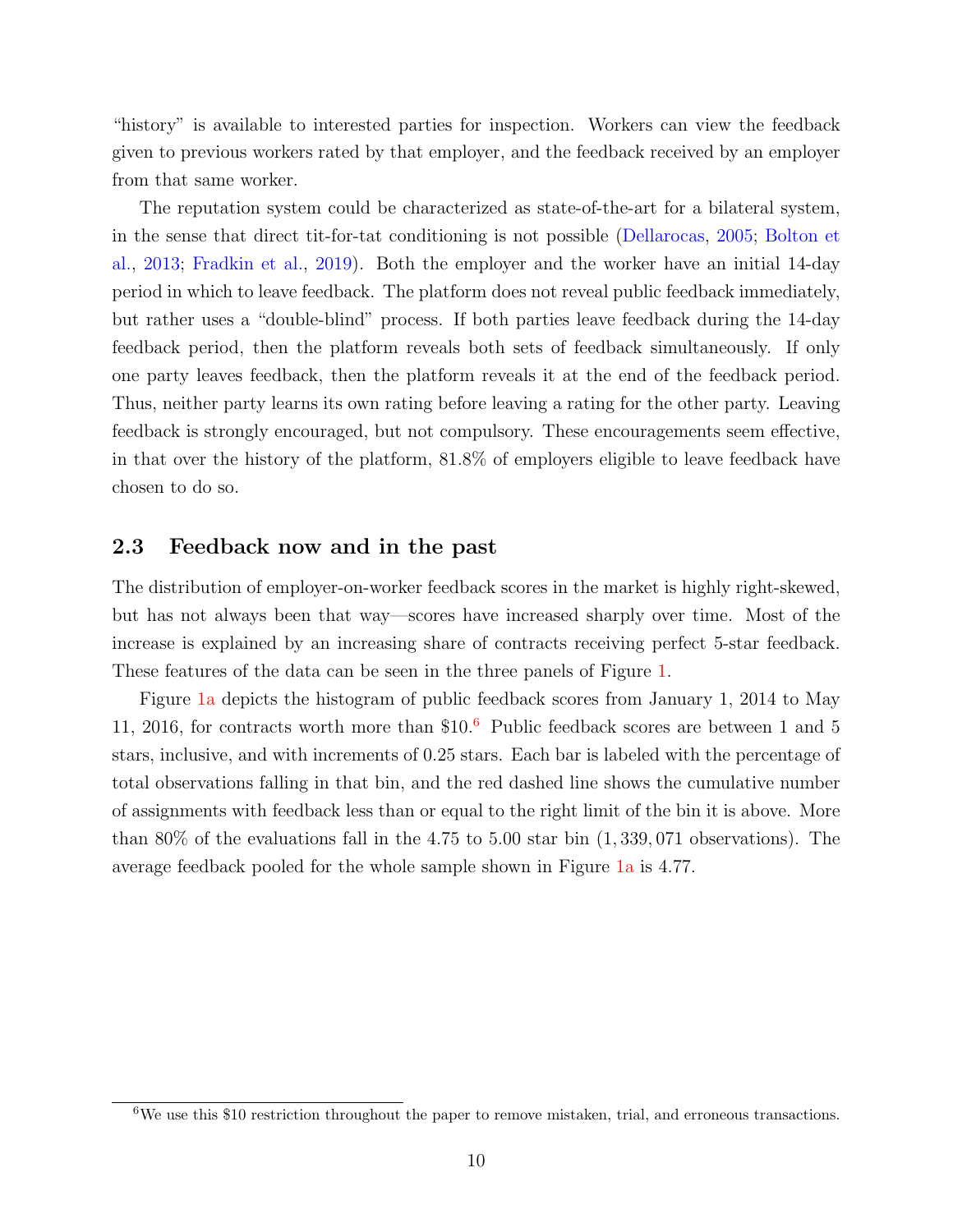"history" is available to interested parties for inspection. Workers can view the feedback given to previous workers rated by that employer, and the feedback received by an employer from that same worker.

The reputation system could be characterized as state-of-the-art for a bilateral system, in the sense that direct tit-for-tat conditioning is not possible [\(Dellarocas,](#page-32-12) [2005;](#page-32-12) [Bolton et](#page-31-3) [al.,](#page-31-3) [2013;](#page-31-3) [Fradkin et al.,](#page-32-10) [2019\)](#page-32-10). Both the employer and the worker have an initial 14-day period in which to leave feedback. The platform does not reveal public feedback immediately, but rather uses a "double-blind" process. If both parties leave feedback during the 14-day feedback period, then the platform reveals both sets of feedback simultaneously. If only one party leaves feedback, then the platform reveals it at the end of the feedback period. Thus, neither party learns its own rating before leaving a rating for the other party. Leaving feedback is strongly encouraged, but not compulsory. These encouragements seem effective, in that over the history of the platform, 81.8% of employers eligible to leave feedback have chosen to do so.

### <span id="page-9-0"></span>2.3 Feedback now and in the past

The distribution of employer-on-worker feedback scores in the market is highly right-skewed, but has not always been that way—scores have increased sharply over time. Most of the increase is explained by an increasing share of contracts receiving perfect 5-star feedback. These features of the data can be seen in the three panels of Figure [1.](#page-10-0)

Figure [1a](#page-10-0) depicts the histogram of public feedback scores from January 1, 2014 to May 11, 201[6](#page-0-0), for contracts worth more than  $$10<sup>6</sup>$  Public feedback scores are between 1 and 5 stars, inclusive, and with increments of 0.25 stars. Each bar is labeled with the percentage of total observations falling in that bin, and the red dashed line shows the cumulative number of assignments with feedback less than or equal to the right limit of the bin it is above. More than 80% of the evaluations fall in the 4.75 to 5.00 star bin (1, 339, 071 observations). The average feedback pooled for the whole sample shown in Figure [1a](#page-10-0) is 4.77.

<sup>6</sup>We use this \$10 restriction throughout the paper to remove mistaken, trial, and erroneous transactions.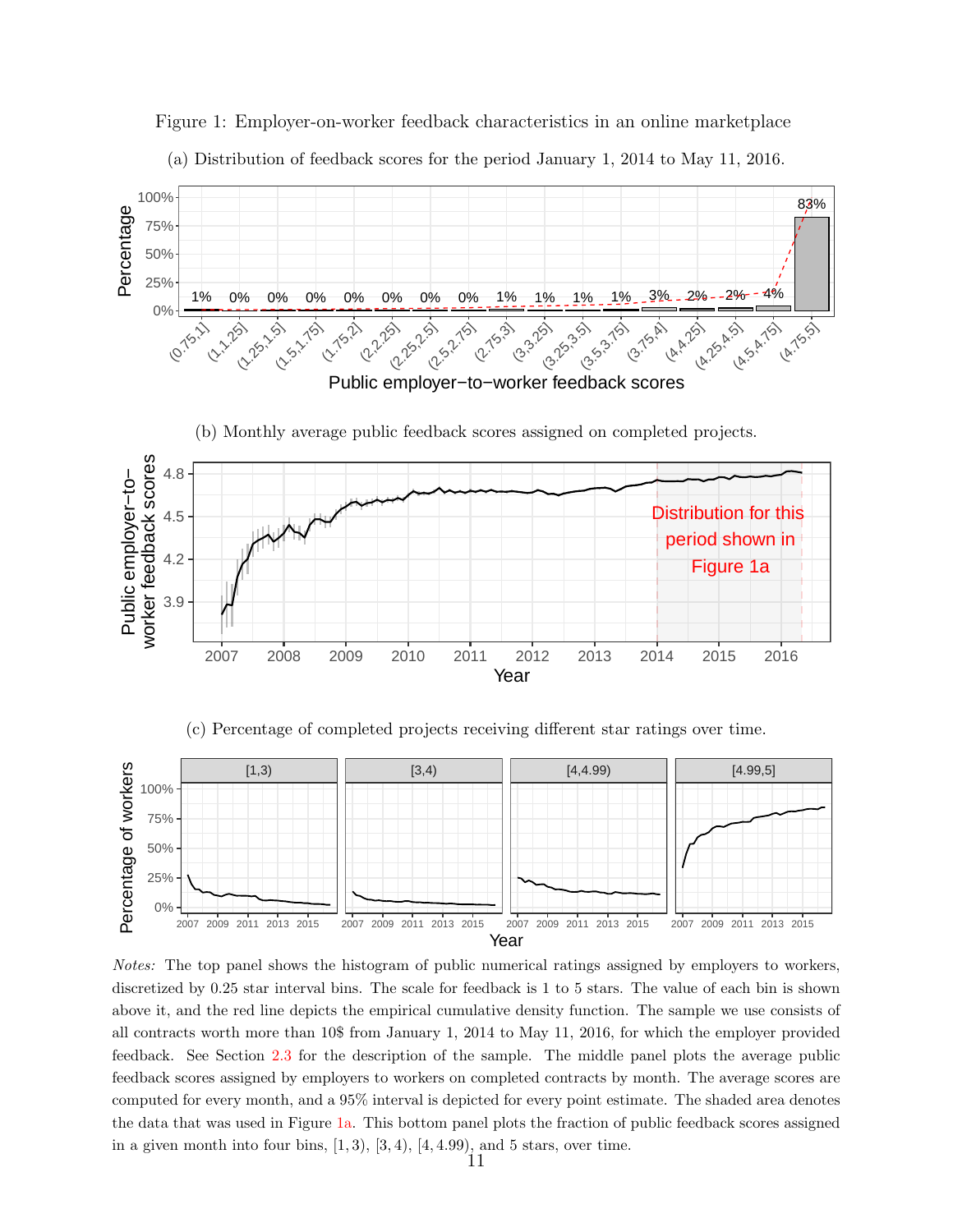

<span id="page-10-0"></span>Figure 1: Employer-on-worker feedback characteristics in an online marketplace (a) Distribution of feedback scores for the period January 1, 2014 to May 11, 2016.



Notes: The top panel shows the histogram of public numerical ratings assigned by employers to workers, discretized by 0.25 star interval bins. The scale for feedback is 1 to 5 stars. The value of each bin is shown above it, and the red line depicts the empirical cumulative density function. The sample we use consists of all contracts worth more than 10\$ from January 1, 2014 to May 11, 2016, for which the employer provided feedback. See Section [2.3](#page-9-0) for the description of the sample. The middle panel plots the average public feedback scores assigned by employers to workers on completed contracts by month. The average scores are computed for every month, and a 95% interval is depicted for every point estimate. The shaded area denotes the data that was used in Figure [1a.](#page-10-0) This bottom panel plots the fraction of public feedback scores assigned in a given month into four bins,  $[1, 3)$ ,  $[3, 4)$ ,  $[4, 4.99)$ , and 5 stars, over time.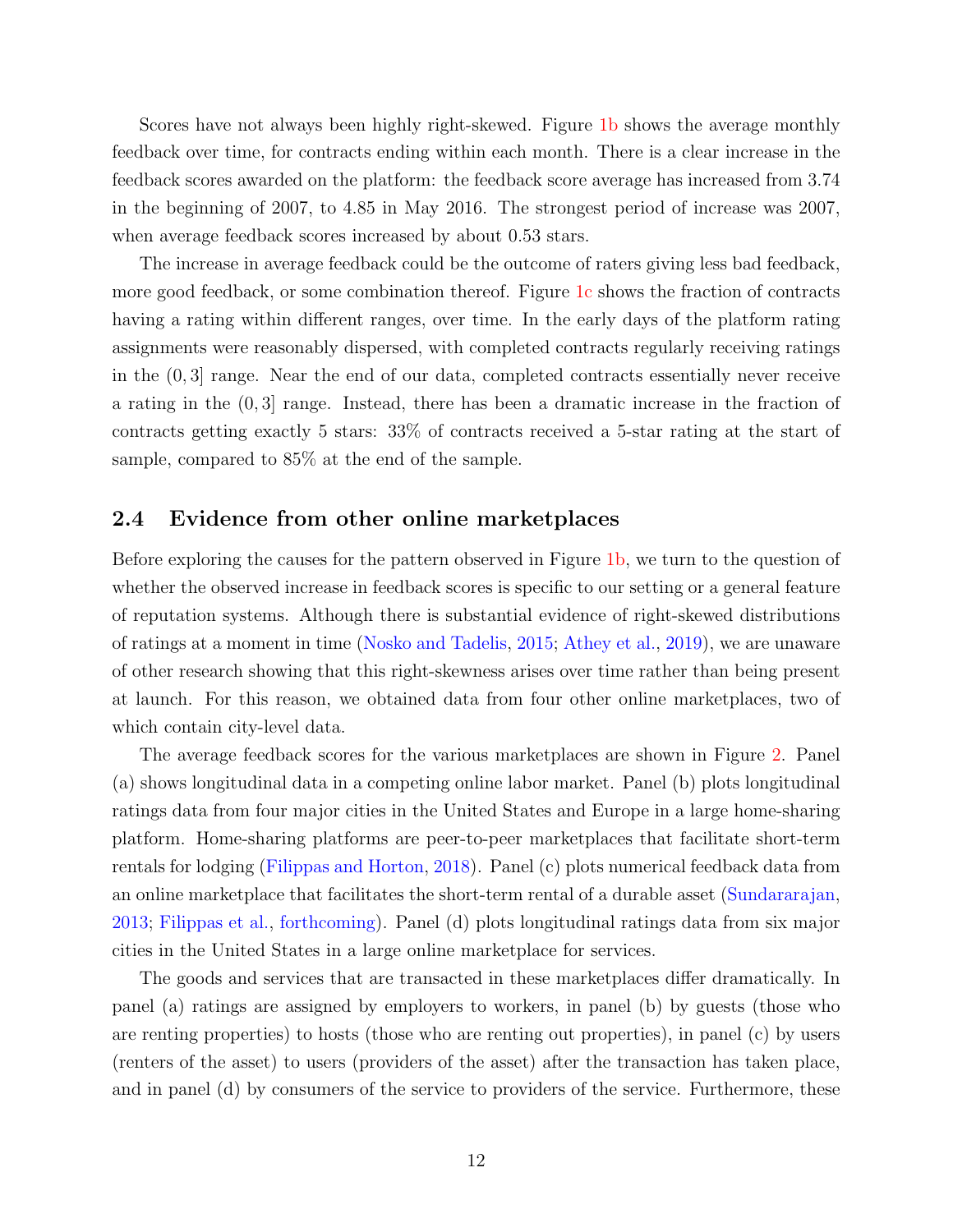Scores have not always been highly right-skewed. Figure [1b](#page-10-0) shows the average monthly feedback over time, for contracts ending within each month. There is a clear increase in the feedback scores awarded on the platform: the feedback score average has increased from 3.74 in the beginning of 2007, to 4.85 in May 2016. The strongest period of increase was 2007, when average feedback scores increased by about 0.53 stars.

The increase in average feedback could be the outcome of raters giving less bad feedback, more good feedback, or some combination thereof. Figure [1c](#page-10-0) shows the fraction of contracts having a rating within different ranges, over time. In the early days of the platform rating assignments were reasonably dispersed, with completed contracts regularly receiving ratings in the (0, 3] range. Near the end of our data, completed contracts essentially never receive a rating in the  $(0, 3]$  range. Instead, there has been a dramatic increase in the fraction of contracts getting exactly 5 stars: 33% of contracts received a 5-star rating at the start of sample, compared to 85% at the end of the sample.

#### 2.4 Evidence from other online marketplaces

Before exploring the causes for the pattern observed in Figure [1b,](#page-10-0) we turn to the question of whether the observed increase in feedback scores is specific to our setting or a general feature of reputation systems. Although there is substantial evidence of right-skewed distributions of ratings at a moment in time [\(Nosko and Tadelis,](#page-34-2) [2015;](#page-34-2) [Athey et al.,](#page-31-0) [2019\)](#page-31-0), we are unaware of other research showing that this right-skewness arises over time rather than being present at launch. For this reason, we obtained data from four other online marketplaces, two of which contain city-level data.

The average feedback scores for the various marketplaces are shown in Figure [2.](#page-12-0) Panel (a) shows longitudinal data in a competing online labor market. Panel (b) plots longitudinal ratings data from four major cities in the United States and Europe in a large home-sharing platform. Home-sharing platforms are peer-to-peer marketplaces that facilitate short-term rentals for lodging [\(Filippas and Horton,](#page-32-13) [2018\)](#page-32-13). Panel (c) plots numerical feedback data from an online marketplace that facilitates the short-term rental of a durable asset [\(Sundararajan,](#page-34-9) [2013;](#page-34-9) [Filippas et al.,](#page-32-3) [forthcoming\)](#page-32-3). Panel (d) plots longitudinal ratings data from six major cities in the United States in a large online marketplace for services.

The goods and services that are transacted in these marketplaces differ dramatically. In panel (a) ratings are assigned by employers to workers, in panel (b) by guests (those who are renting properties) to hosts (those who are renting out properties), in panel (c) by users (renters of the asset) to users (providers of the asset) after the transaction has taken place, and in panel (d) by consumers of the service to providers of the service. Furthermore, these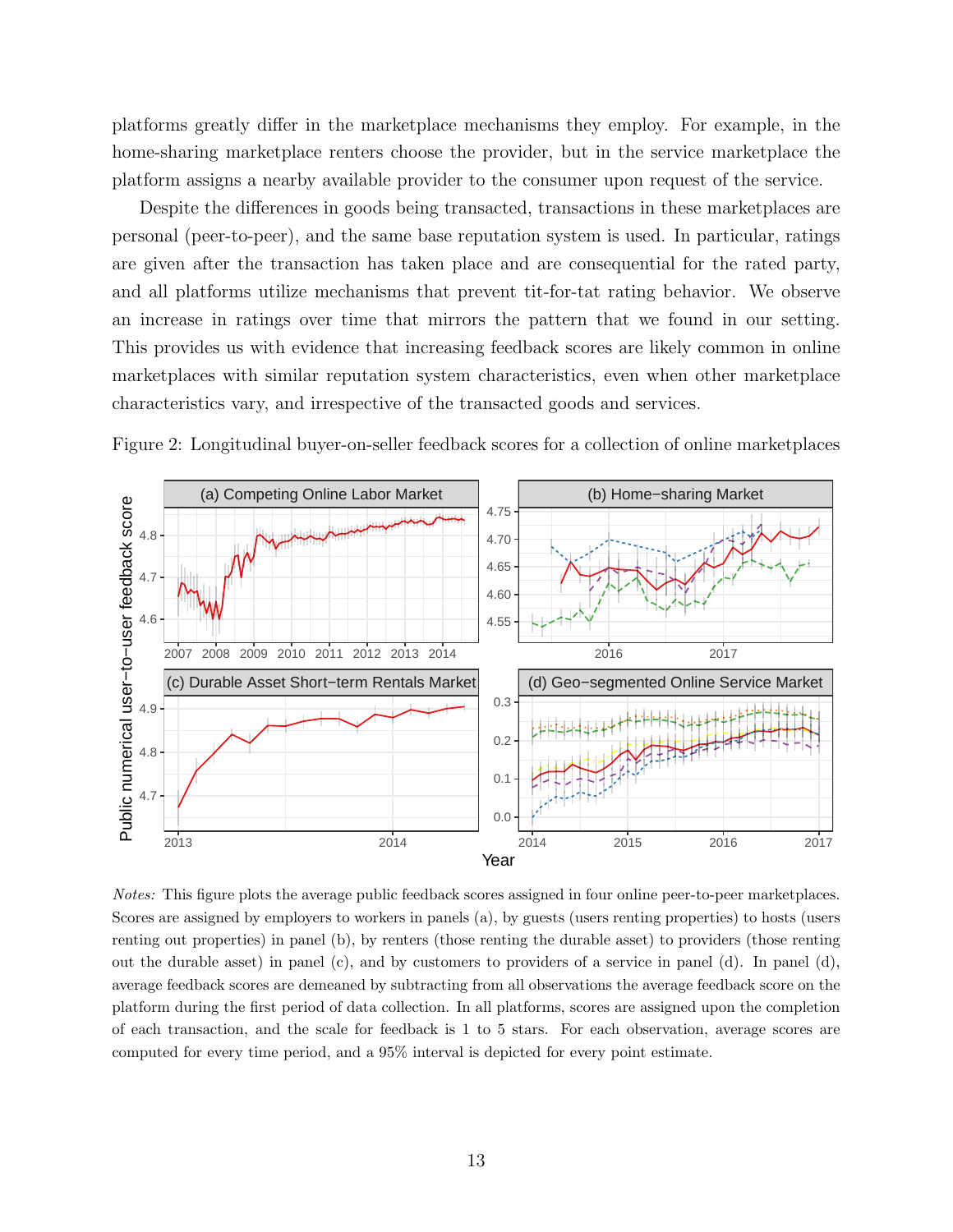platforms greatly differ in the marketplace mechanisms they employ. For example, in the home-sharing marketplace renters choose the provider, but in the service marketplace the platform assigns a nearby available provider to the consumer upon request of the service.

Despite the differences in goods being transacted, transactions in these marketplaces are personal (peer-to-peer), and the same base reputation system is used. In particular, ratings are given after the transaction has taken place and are consequential for the rated party, and all platforms utilize mechanisms that prevent tit-for-tat rating behavior. We observe an increase in ratings over time that mirrors the pattern that we found in our setting. This provides us with evidence that increasing feedback scores are likely common in online marketplaces with similar reputation system characteristics, even when other marketplace characteristics vary, and irrespective of the transacted goods and services.

<span id="page-12-0"></span>Figure 2: Longitudinal buyer-on-seller feedback scores for a collection of online marketplaces



Notes: This figure plots the average public feedback scores assigned in four online peer-to-peer marketplaces. Scores are assigned by employers to workers in panels (a), by guests (users renting properties) to hosts (users renting out properties) in panel (b), by renters (those renting the durable asset) to providers (those renting out the durable asset) in panel  $(c)$ , and by customers to providers of a service in panel  $(d)$ . In panel  $(d)$ , average feedback scores are demeaned by subtracting from all observations the average feedback score on the platform during the first period of data collection. In all platforms, scores are assigned upon the completion of each transaction, and the scale for feedback is 1 to 5 stars. For each observation, average scores are computed for every time period, and a 95% interval is depicted for every point estimate.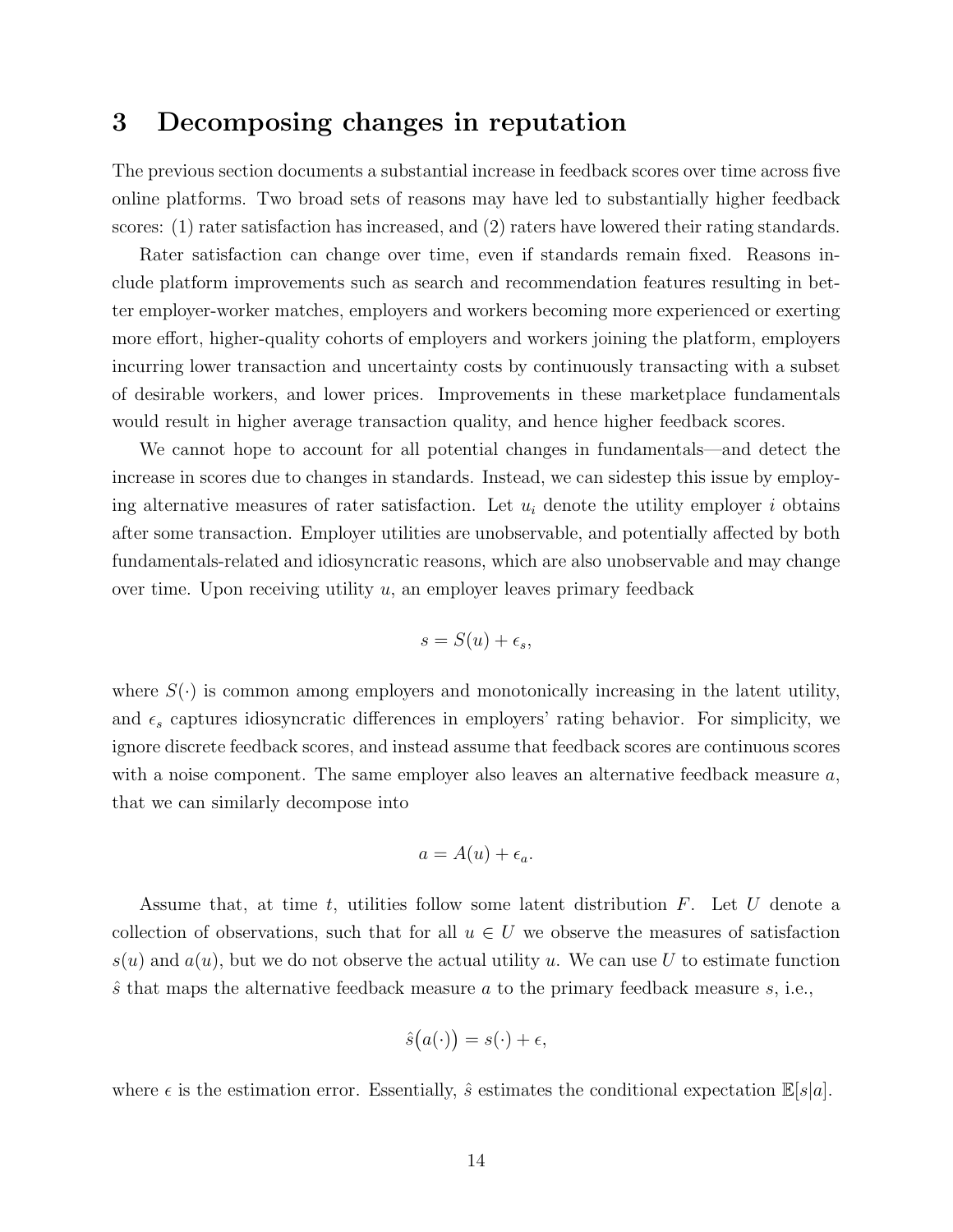### <span id="page-13-0"></span>3 Decomposing changes in reputation

The previous section documents a substantial increase in feedback scores over time across five online platforms. Two broad sets of reasons may have led to substantially higher feedback scores: (1) rater satisfaction has increased, and (2) raters have lowered their rating standards.

Rater satisfaction can change over time, even if standards remain fixed. Reasons include platform improvements such as search and recommendation features resulting in better employer-worker matches, employers and workers becoming more experienced or exerting more effort, higher-quality cohorts of employers and workers joining the platform, employers incurring lower transaction and uncertainty costs by continuously transacting with a subset of desirable workers, and lower prices. Improvements in these marketplace fundamentals would result in higher average transaction quality, and hence higher feedback scores.

We cannot hope to account for all potential changes in fundamentals—and detect the increase in scores due to changes in standards. Instead, we can sidestep this issue by employing alternative measures of rater satisfaction. Let  $u_i$  denote the utility employer i obtains after some transaction. Employer utilities are unobservable, and potentially affected by both fundamentals-related and idiosyncratic reasons, which are also unobservable and may change over time. Upon receiving utility  $u$ , an employer leaves primary feedback

$$
s = S(u) + \epsilon_s,
$$

where  $S(\cdot)$  is common among employers and monotonically increasing in the latent utility, and  $\epsilon_s$  captures idiosyncratic differences in employers' rating behavior. For simplicity, we ignore discrete feedback scores, and instead assume that feedback scores are continuous scores with a noise component. The same employer also leaves an alternative feedback measure  $a$ , that we can similarly decompose into

$$
a = A(u) + \epsilon_a.
$$

Assume that, at time t, utilities follow some latent distribution  $F$ . Let U denote a collection of observations, such that for all  $u \in U$  we observe the measures of satisfaction  $s(u)$  and  $a(u)$ , but we do not observe the actual utility u. We can use U to estimate function  $\hat{s}$  that maps the alternative feedback measure a to the primary feedback measure s, i.e.,

$$
\hat{s}(a(\cdot)) = s(\cdot) + \epsilon,
$$

where  $\epsilon$  is the estimation error. Essentially,  $\hat{s}$  estimates the conditional expectation  $\mathbb{E}|s|a|$ .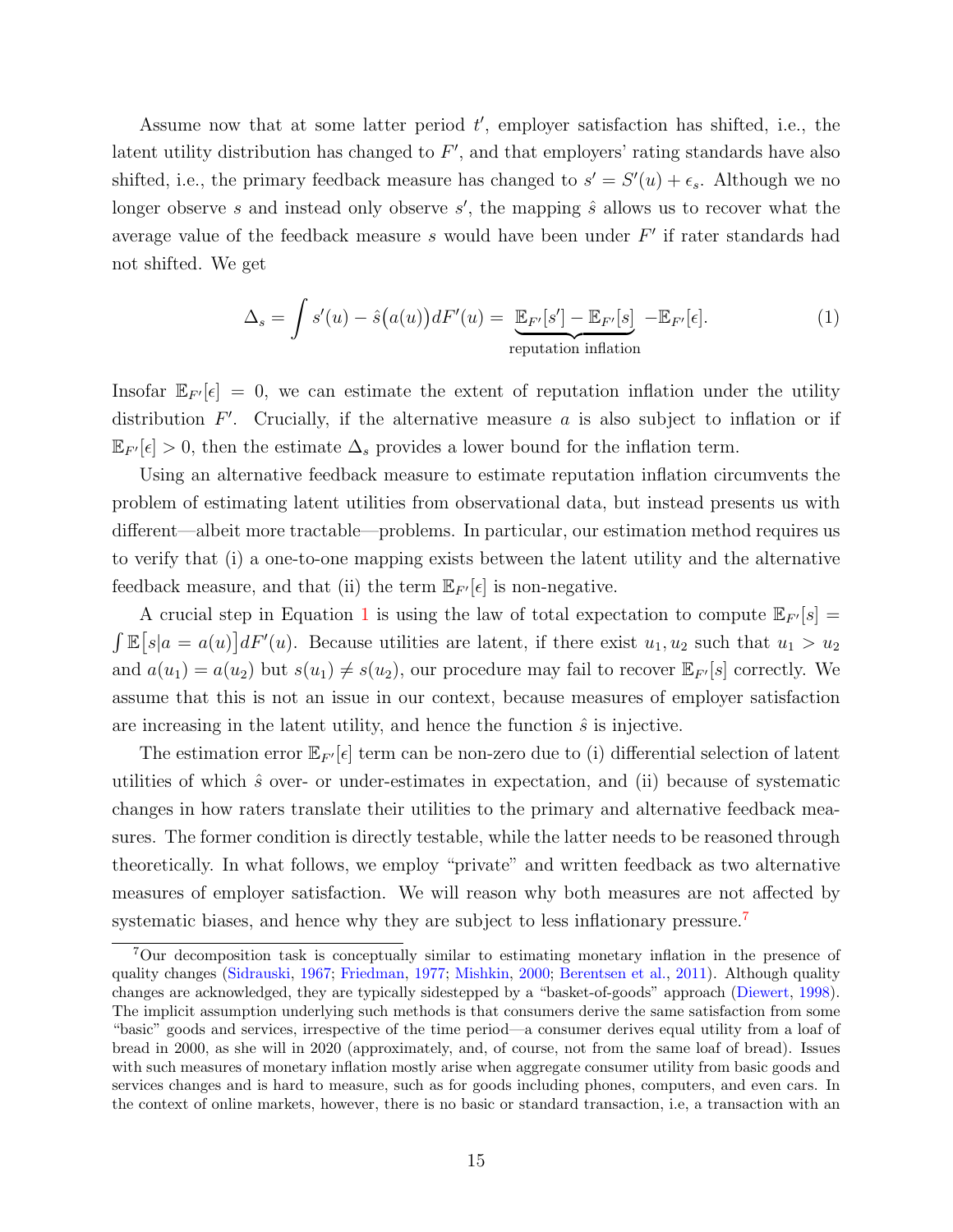Assume now that at some latter period  $t'$ , employer satisfaction has shifted, i.e., the latent utility distribution has changed to  $F'$ , and that employers' rating standards have also shifted, i.e., the primary feedback measure has changed to  $s' = S'(u) + \epsilon_s$ . Although we no longer observe s and instead only observe  $s'$ , the mapping  $\hat{s}$  allows us to recover what the average value of the feedback measure  $s$  would have been under  $F'$  if rater standards had not shifted. We get

<span id="page-14-0"></span>
$$
\Delta_s = \int s'(u) - \hat{s}(a(u))dF'(u) = \underbrace{\mathbb{E}_{F'}[s'] - \mathbb{E}_{F'}[s]}_{\text{reputation inflation}} - \mathbb{E}_{F'}[\epsilon].
$$
\n(1)

Insofar  $\mathbb{E}_{F}[\epsilon] = 0$ , we can estimate the extent of reputation inflation under the utility distribution  $F'$ . Crucially, if the alternative measure a is also subject to inflation or if  $\mathbb{E}_{F}$ [ $\epsilon$ ] > 0, then the estimate  $\Delta_s$  provides a lower bound for the inflation term.

Using an alternative feedback measure to estimate reputation inflation circumvents the problem of estimating latent utilities from observational data, but instead presents us with different—albeit more tractable—problems. In particular, our estimation method requires us to verify that (i) a one-to-one mapping exists between the latent utility and the alternative feedback measure, and that (ii) the term  $\mathbb{E}_{F}[\epsilon]$  is non-negative.

A crucial step in Equation [1](#page-14-0) is using the law of total expectation to compute  $\mathbb{E}_{F}$ [s] =  $\int \mathbb{E}[s|a = a(u)] dF'(u)$ . Because utilities are latent, if there exist  $u_1, u_2$  such that  $u_1 > u_2$ and  $a(u_1) = a(u_2)$  but  $s(u_1) \neq s(u_2)$ , our procedure may fail to recover  $\mathbb{E}_{F}[s]$  correctly. We assume that this is not an issue in our context, because measures of employer satisfaction are increasing in the latent utility, and hence the function  $\hat{s}$  is injective.

The estimation error  $\mathbb{E}_{F}$  ( $\epsilon$ ) term can be non-zero due to (i) differential selection of latent utilities of which  $\hat{s}$  over- or under-estimates in expectation, and (ii) because of systematic changes in how raters translate their utilities to the primary and alternative feedback measures. The former condition is directly testable, while the latter needs to be reasoned through theoretically. In what follows, we employ "private" and written feedback as two alternative measures of employer satisfaction. We will reason why both measures are not affected by systematic biases, and hence why they are subject to less inflationary pressure.<sup>[7](#page-0-0)</sup>

<sup>7</sup>Our decomposition task is conceptually similar to estimating monetary inflation in the presence of quality changes [\(Sidrauski,](#page-34-7) [1967;](#page-34-7) [Friedman,](#page-32-8) [1977;](#page-32-8) [Mishkin,](#page-33-9) [2000;](#page-33-9) [Berentsen et al.,](#page-31-7) [2011\)](#page-31-7). Although quality changes are acknowledged, they are typically sidestepped by a "basket-of-goods" approach [\(Diewert,](#page-32-9) [1998\)](#page-32-9). The implicit assumption underlying such methods is that consumers derive the same satisfaction from some "basic" goods and services, irrespective of the time period—a consumer derives equal utility from a loaf of bread in 2000, as she will in 2020 (approximately, and, of course, not from the same loaf of bread). Issues with such measures of monetary inflation mostly arise when aggregate consumer utility from basic goods and services changes and is hard to measure, such as for goods including phones, computers, and even cars. In the context of online markets, however, there is no basic or standard transaction, i.e, a transaction with an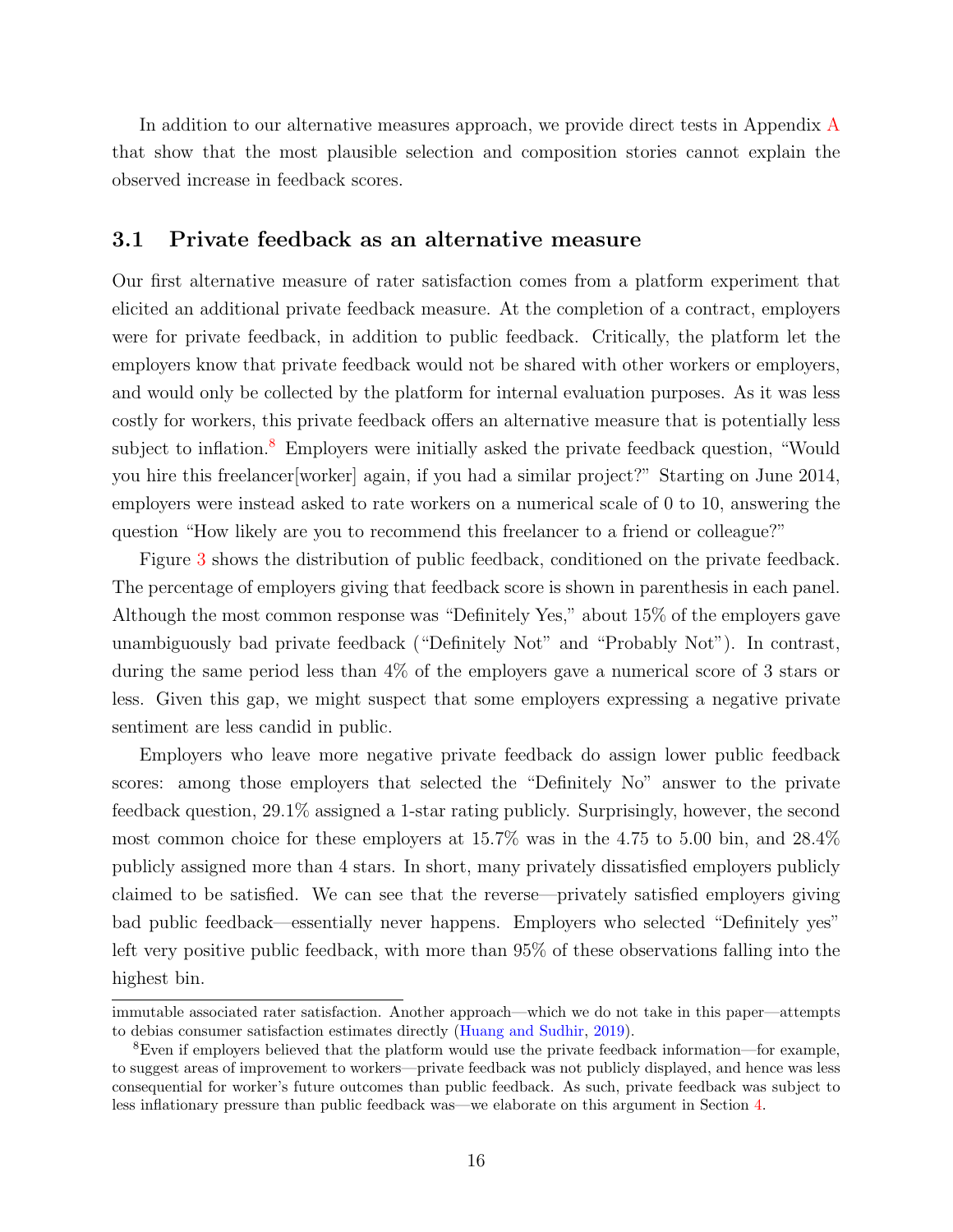In addition to our alternative measures approach, we provide direct tests in [A](#page-35-0)ppendix A that show that the most plausible selection and composition stories cannot explain the observed increase in feedback scores.

#### <span id="page-15-0"></span>3.1 Private feedback as an alternative measure

Our first alternative measure of rater satisfaction comes from a platform experiment that elicited an additional private feedback measure. At the completion of a contract, employers were for private feedback, in addition to public feedback. Critically, the platform let the employers know that private feedback would not be shared with other workers or employers, and would only be collected by the platform for internal evaluation purposes. As it was less costly for workers, this private feedback offers an alternative measure that is potentially less subject to inflation.<sup>[8](#page-0-0)</sup> Employers were initially asked the private feedback question, "Would you hire this freelancer[worker] again, if you had a similar project?" Starting on June 2014, employers were instead asked to rate workers on a numerical scale of 0 to 10, answering the question "How likely are you to recommend this freelancer to a friend or colleague?"

Figure [3](#page-16-0) shows the distribution of public feedback, conditioned on the private feedback. The percentage of employers giving that feedback score is shown in parenthesis in each panel. Although the most common response was "Definitely Yes," about 15% of the employers gave unambiguously bad private feedback ("Definitely Not" and "Probably Not"). In contrast, during the same period less than 4% of the employers gave a numerical score of 3 stars or less. Given this gap, we might suspect that some employers expressing a negative private sentiment are less candid in public.

Employers who leave more negative private feedback do assign lower public feedback scores: among those employers that selected the "Definitely No" answer to the private feedback question, 29.1% assigned a 1-star rating publicly. Surprisingly, however, the second most common choice for these employers at 15.7% was in the 4.75 to 5.00 bin, and 28.4% publicly assigned more than 4 stars. In short, many privately dissatisfied employers publicly claimed to be satisfied. We can see that the reverse—privately satisfied employers giving bad public feedback—essentially never happens. Employers who selected "Definitely yes" left very positive public feedback, with more than 95% of these observations falling into the highest bin.

immutable associated rater satisfaction. Another approach—which we do not take in this paper—attempts to debias consumer satisfaction estimates directly [\(Huang and Sudhir,](#page-33-8) [2019\)](#page-33-8).

<sup>8</sup>Even if employers believed that the platform would use the private feedback information—for example, to suggest areas of improvement to workers—private feedback was not publicly displayed, and hence was less consequential for worker's future outcomes than public feedback. As such, private feedback was subject to less inflationary pressure than public feedback was—we elaborate on this argument in Section [4.](#page-20-0)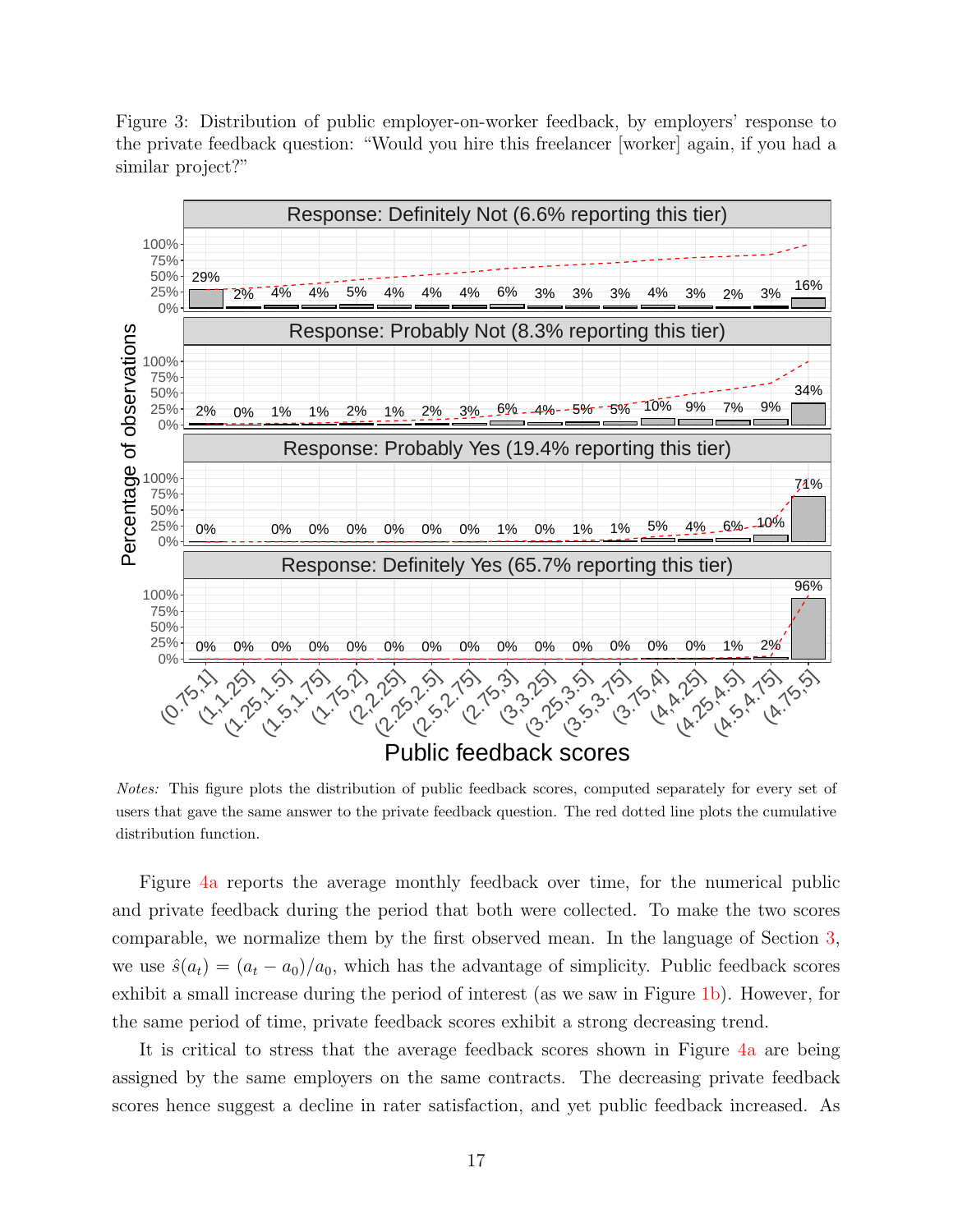<span id="page-16-0"></span>Figure 3: Distribution of public employer-on-worker feedback, by employers' response to the private feedback question: "Would you hire this freelancer [worker] again, if you had a similar project?"



Notes: This figure plots the distribution of public feedback scores, computed separately for every set of users that gave the same answer to the private feedback question. The red dotted line plots the cumulative distribution function.

Figure [4a](#page-17-0) reports the average monthly feedback over time, for the numerical public and private feedback during the period that both were collected. To make the two scores comparable, we normalize them by the first observed mean. In the language of Section [3,](#page-13-0) we use  $\hat{s}(a_t) = (a_t - a_0)/a_0$ , which has the advantage of simplicity. Public feedback scores exhibit a small increase during the period of interest (as we saw in Figure [1b\)](#page-10-0). However, for the same period of time, private feedback scores exhibit a strong decreasing trend.

It is critical to stress that the average feedback scores shown in Figure [4a](#page-17-0) are being assigned by the same employers on the same contracts. The decreasing private feedback scores hence suggest a decline in rater satisfaction, and yet public feedback increased. As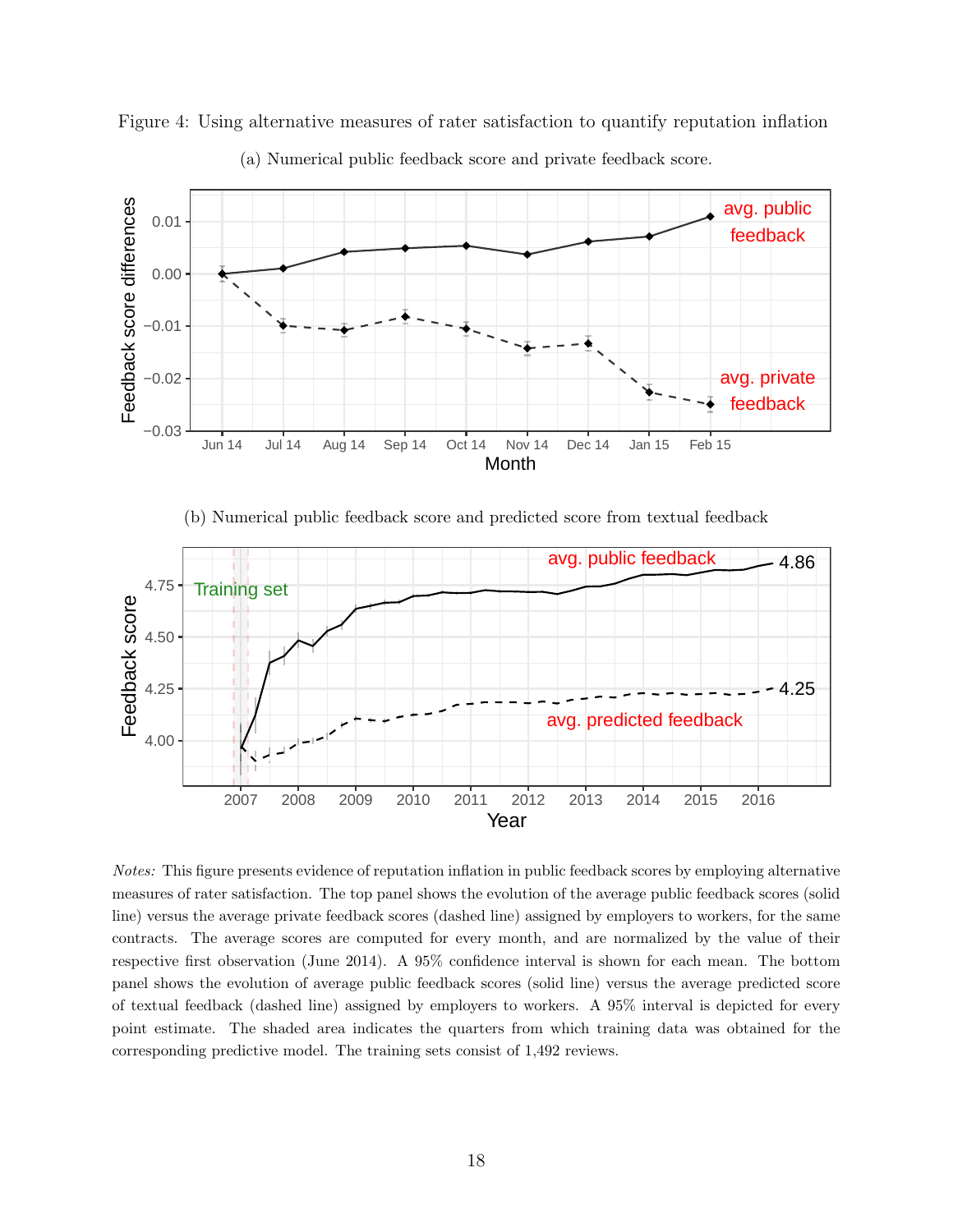

<span id="page-17-0"></span>Figure 4: Using alternative measures of rater satisfaction to quantify reputation inflation



(b) Numerical public feedback score and predicted score from textual feedback



Notes: This figure presents evidence of reputation inflation in public feedback scores by employing alternative measures of rater satisfaction. The top panel shows the evolution of the average public feedback scores (solid line) versus the average private feedback scores (dashed line) assigned by employers to workers, for the same contracts. The average scores are computed for every month, and are normalized by the value of their respective first observation (June 2014). A 95% confidence interval is shown for each mean. The bottom panel shows the evolution of average public feedback scores (solid line) versus the average predicted score of textual feedback (dashed line) assigned by employers to workers. A 95% interval is depicted for every point estimate. The shaded area indicates the quarters from which training data was obtained for the corresponding predictive model. The training sets consist of 1,492 reviews.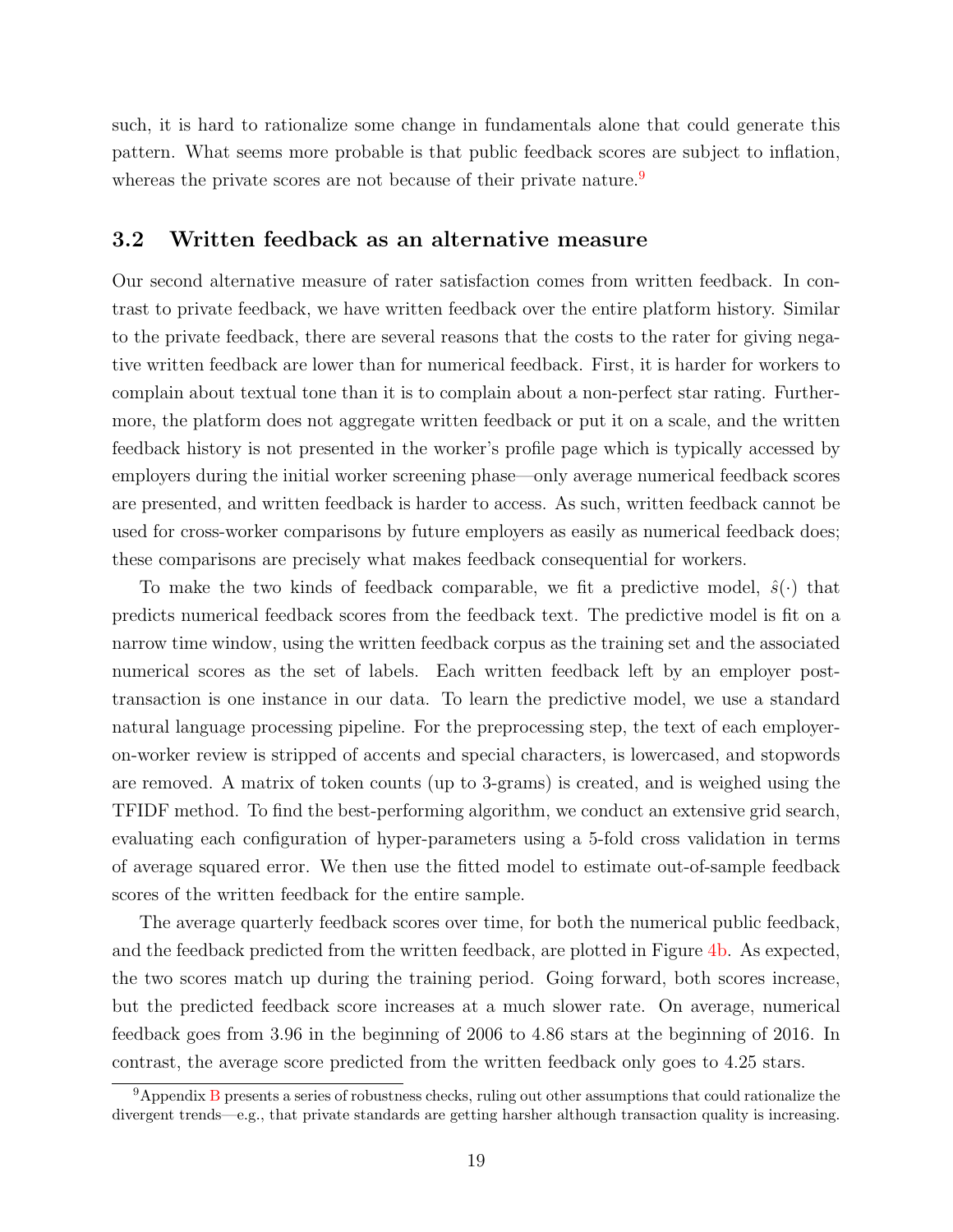such, it is hard to rationalize some change in fundamentals alone that could generate this pattern. What seems more probable is that public feedback scores are subject to inflation, whereas the private scores are not because of their private nature.<sup>[9](#page-0-0)</sup>

#### <span id="page-18-0"></span>3.2 Written feedback as an alternative measure

Our second alternative measure of rater satisfaction comes from written feedback. In contrast to private feedback, we have written feedback over the entire platform history. Similar to the private feedback, there are several reasons that the costs to the rater for giving negative written feedback are lower than for numerical feedback. First, it is harder for workers to complain about textual tone than it is to complain about a non-perfect star rating. Furthermore, the platform does not aggregate written feedback or put it on a scale, and the written feedback history is not presented in the worker's profile page which is typically accessed by employers during the initial worker screening phase—only average numerical feedback scores are presented, and written feedback is harder to access. As such, written feedback cannot be used for cross-worker comparisons by future employers as easily as numerical feedback does; these comparisons are precisely what makes feedback consequential for workers.

To make the two kinds of feedback comparable, we fit a predictive model,  $\hat{s}(\cdot)$  that predicts numerical feedback scores from the feedback text. The predictive model is fit on a narrow time window, using the written feedback corpus as the training set and the associated numerical scores as the set of labels. Each written feedback left by an employer posttransaction is one instance in our data. To learn the predictive model, we use a standard natural language processing pipeline. For the preprocessing step, the text of each employeron-worker review is stripped of accents and special characters, is lowercased, and stopwords are removed. A matrix of token counts (up to 3-grams) is created, and is weighed using the TFIDF method. To find the best-performing algorithm, we conduct an extensive grid search, evaluating each configuration of hyper-parameters using a 5-fold cross validation in terms of average squared error. We then use the fitted model to estimate out-of-sample feedback scores of the written feedback for the entire sample.

The average quarterly feedback scores over time, for both the numerical public feedback, and the feedback predicted from the written feedback, are plotted in Figure [4b.](#page-17-0) As expected, the two scores match up during the training period. Going forward, both scores increase, but the predicted feedback score increases at a much slower rate. On average, numerical feedback goes from 3.96 in the beginning of 2006 to 4.86 stars at the beginning of 2016. In contrast, the average score predicted from the written feedback only goes to 4.25 stars.

<sup>9</sup>Appendix [B](#page-38-0) presents a series of robustness checks, ruling out other assumptions that could rationalize the divergent trends—e.g., that private standards are getting harsher although transaction quality is increasing.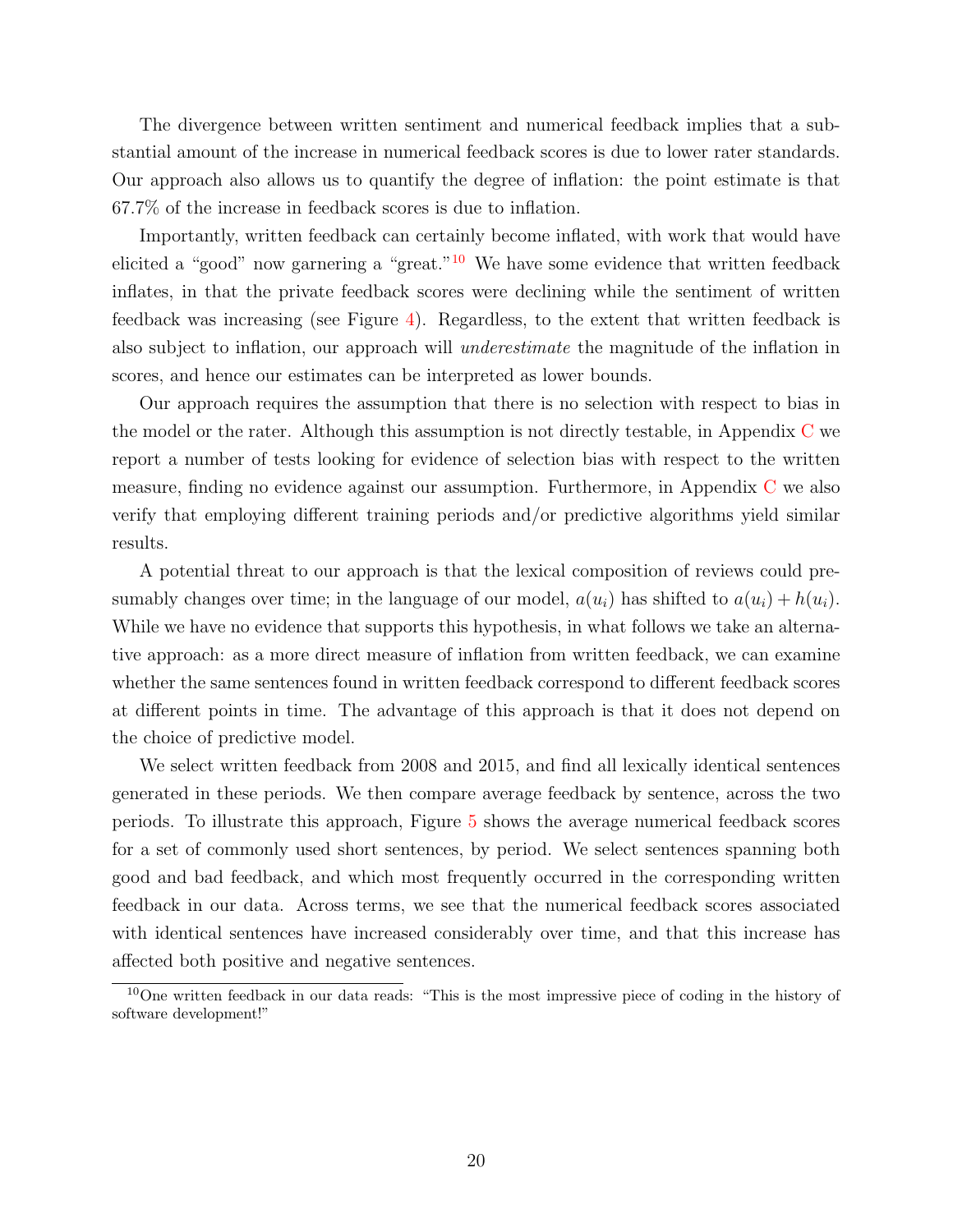The divergence between written sentiment and numerical feedback implies that a substantial amount of the increase in numerical feedback scores is due to lower rater standards. Our approach also allows us to quantify the degree of inflation: the point estimate is that 67.7% of the increase in feedback scores is due to inflation.

Importantly, written feedback can certainly become inflated, with work that would have elicited a "good" now garnering a "great."<sup>[10](#page-0-0)</sup> We have some evidence that written feedback inflates, in that the private feedback scores were declining while the sentiment of written feedback was increasing (see Figure [4\)](#page-17-0). Regardless, to the extent that written feedback is also subject to inflation, our approach will underestimate the magnitude of the inflation in scores, and hence our estimates can be interpreted as lower bounds.

Our approach requires the assumption that there is no selection with respect to bias in the model or the rater. Although this assumption is not directly testable, in Appendix [C](#page-42-0) we report a number of tests looking for evidence of selection bias with respect to the written measure, finding no evidence against our assumption. Furthermore, in Appendix [C](#page-42-0) we also verify that employing different training periods and/or predictive algorithms yield similar results.

A potential threat to our approach is that the lexical composition of reviews could presumably changes over time; in the language of our model,  $a(u_i)$  has shifted to  $a(u_i) + h(u_i)$ . While we have no evidence that supports this hypothesis, in what follows we take an alternative approach: as a more direct measure of inflation from written feedback, we can examine whether the same sentences found in written feedback correspond to different feedback scores at different points in time. The advantage of this approach is that it does not depend on the choice of predictive model.

We select written feedback from 2008 and 2015, and find all lexically identical sentences generated in these periods. We then compare average feedback by sentence, across the two periods. To illustrate this approach, Figure [5](#page-20-1) shows the average numerical feedback scores for a set of commonly used short sentences, by period. We select sentences spanning both good and bad feedback, and which most frequently occurred in the corresponding written feedback in our data. Across terms, we see that the numerical feedback scores associated with identical sentences have increased considerably over time, and that this increase has affected both positive and negative sentences.

<sup>10</sup>One written feedback in our data reads: "This is the most impressive piece of coding in the history of software development!"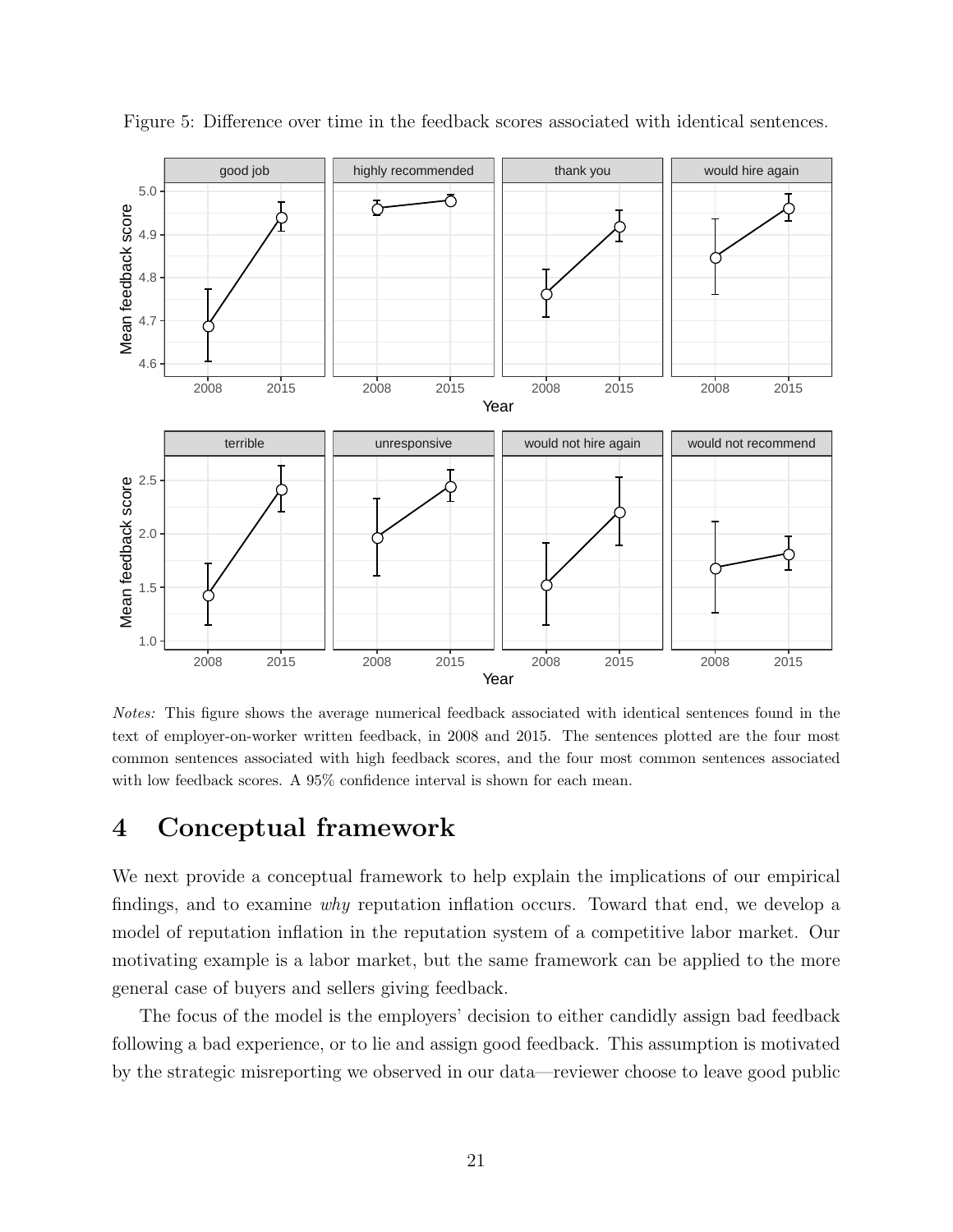

<span id="page-20-1"></span>Figure 5: Difference over time in the feedback scores associated with identical sentences.

Notes: This figure shows the average numerical feedback associated with identical sentences found in the text of employer-on-worker written feedback, in 2008 and 2015. The sentences plotted are the four most common sentences associated with high feedback scores, and the four most common sentences associated with low feedback scores. A 95% confidence interval is shown for each mean.

### <span id="page-20-0"></span>4 Conceptual framework

We next provide a conceptual framework to help explain the implications of our empirical findings, and to examine why reputation inflation occurs. Toward that end, we develop a model of reputation inflation in the reputation system of a competitive labor market. Our motivating example is a labor market, but the same framework can be applied to the more general case of buyers and sellers giving feedback.

The focus of the model is the employers' decision to either candidly assign bad feedback following a bad experience, or to lie and assign good feedback. This assumption is motivated by the strategic misreporting we observed in our data—reviewer choose to leave good public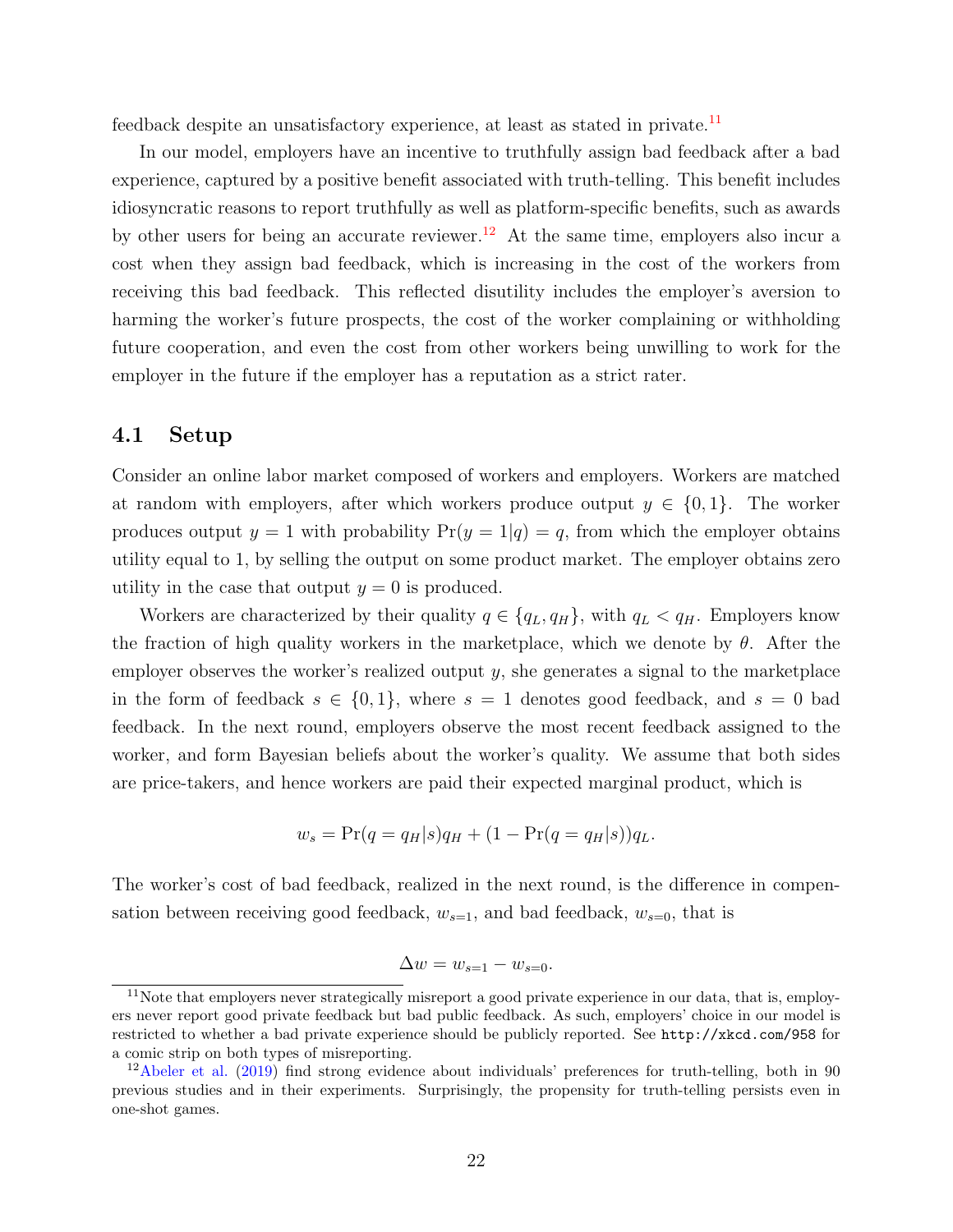feedback despite an unsatisfactory experience, at least as stated in private.<sup>[11](#page-0-0)</sup>

In our model, employers have an incentive to truthfully assign bad feedback after a bad experience, captured by a positive benefit associated with truth-telling. This benefit includes idiosyncratic reasons to report truthfully as well as platform-specific benefits, such as awards by other users for being an accurate reviewer.<sup>[12](#page-0-0)</sup> At the same time, employers also incur a cost when they assign bad feedback, which is increasing in the cost of the workers from receiving this bad feedback. This reflected disutility includes the employer's aversion to harming the worker's future prospects, the cost of the worker complaining or withholding future cooperation, and even the cost from other workers being unwilling to work for the employer in the future if the employer has a reputation as a strict rater.

#### 4.1 Setup

Consider an online labor market composed of workers and employers. Workers are matched at random with employers, after which workers produce output  $y \in \{0, 1\}$ . The worker produces output  $y = 1$  with probability  $Pr(y = 1|q) = q$ , from which the employer obtains utility equal to 1, by selling the output on some product market. The employer obtains zero utility in the case that output  $y = 0$  is produced.

Workers are characterized by their quality  $q \in \{q_L, q_H\}$ , with  $q_L < q_H$ . Employers know the fraction of high quality workers in the marketplace, which we denote by  $\theta$ . After the employer observes the worker's realized output y, she generates a signal to the marketplace in the form of feedback  $s \in \{0,1\}$ , where  $s = 1$  denotes good feedback, and  $s = 0$  bad feedback. In the next round, employers observe the most recent feedback assigned to the worker, and form Bayesian beliefs about the worker's quality. We assume that both sides are price-takers, and hence workers are paid their expected marginal product, which is

<span id="page-21-0"></span>
$$
w_s = \Pr(q = q_H|s)q_H + (1 - \Pr(q = q_H|s))q_L.
$$

The worker's cost of bad feedback, realized in the next round, is the difference in compensation between receiving good feedback,  $w_{s=1}$ , and bad feedback,  $w_{s=0}$ , that is

$$
\Delta w = w_{s=1} - w_{s=0}.
$$

 $11$ Note that employers never strategically misreport a good private experience in our data, that is, employers never report good private feedback but bad public feedback. As such, employers' choice in our model is restricted to whether a bad private experience should be publicly reported. See <http://xkcd.com/958> for a comic strip on both types of misreporting.

<sup>&</sup>lt;sup>12</sup>[Abeler et al.](#page-31-11) [\(2019\)](#page-31-11) find strong evidence about individuals' preferences for truth-telling, both in 90 previous studies and in their experiments. Surprisingly, the propensity for truth-telling persists even in one-shot games.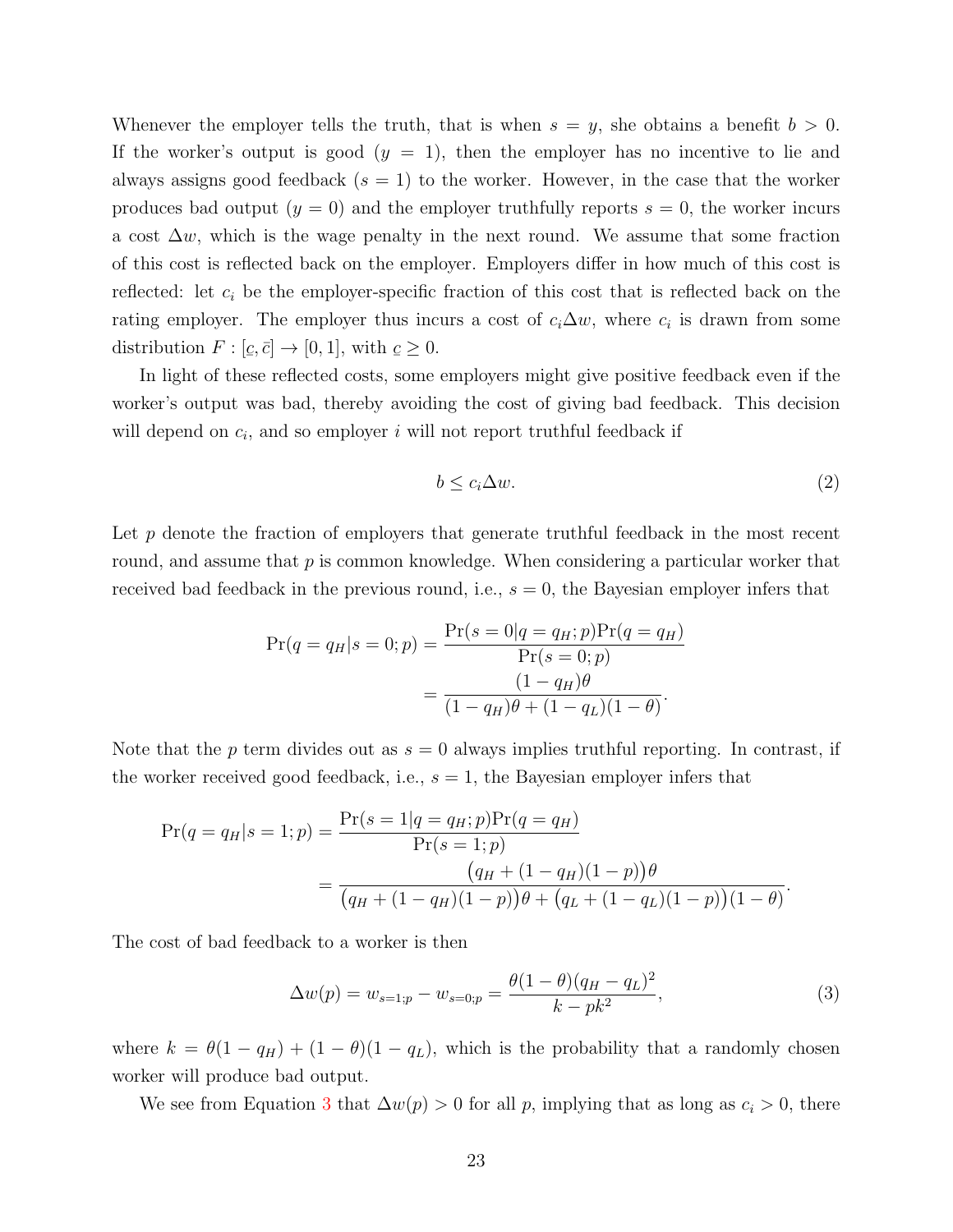Whenever the employer tells the truth, that is when  $s = y$ , she obtains a benefit  $b > 0$ . If the worker's output is good  $(y = 1)$ , then the employer has no incentive to lie and always assigns good feedback  $(s = 1)$  to the worker. However, in the case that the worker produces bad output  $(y = 0)$  and the employer truthfully reports  $s = 0$ , the worker incurs a cost  $\Delta w$ , which is the wage penalty in the next round. We assume that some fraction of this cost is reflected back on the employer. Employers differ in how much of this cost is reflected: let  $c_i$  be the employer-specific fraction of this cost that is reflected back on the rating employer. The employer thus incurs a cost of  $c_i\Delta w$ , where  $c_i$  is drawn from some distribution  $F : [\underline{c}]$  $\leq$  $,\bar{c}]\rightarrow[0,1],$  with  $\underline{c}$  $\leq$  $\geq 0$ .

In light of these reflected costs, some employers might give positive feedback even if the worker's output was bad, thereby avoiding the cost of giving bad feedback. This decision will depend on  $c_i$ , and so employer i will not report truthful feedback if

$$
b \le c_i \Delta w. \tag{2}
$$

Let  $p$  denote the fraction of employers that generate truthful feedback in the most recent round, and assume that  $p$  is common knowledge. When considering a particular worker that received bad feedback in the previous round, i.e.,  $s = 0$ , the Bayesian employer infers that

$$
Pr(q = q_H | s = 0; p) = \frac{Pr(s = 0 | q = q_H; p)Pr(q = q_H)}{Pr(s = 0; p)}
$$

$$
= \frac{(1 - q_H)\theta}{(1 - q_H)\theta + (1 - q_L)(1 - \theta)}.
$$

Note that the p term divides out as  $s = 0$  always implies truthful reporting. In contrast, if the worker received good feedback, i.e.,  $s = 1$ , the Bayesian employer infers that

$$
Pr(q = q_H | s = 1; p) = \frac{Pr(s = 1 | q = q_H; p)Pr(q = q_H)}{Pr(s = 1; p)}
$$
  
= 
$$
\frac{(q_H + (1 - q_H)(1 - p))\theta}{(q_H + (1 - q_H)(1 - p))\theta + (q_L + (1 - q_L)(1 - p))(1 - \theta)}.
$$

The cost of bad feedback to a worker is then

<span id="page-22-0"></span>
$$
\Delta w(p) = w_{s=1;p} - w_{s=0;p} = \frac{\theta(1-\theta)(q_H - q_L)^2}{k - pk^2},
$$
\n(3)

where  $k = \theta(1 - q_H) + (1 - \theta)(1 - q_L)$ , which is the probability that a randomly chosen worker will produce bad output.

We see from Equation [3](#page-22-0) that  $\Delta w(p) > 0$  for all p, implying that as long as  $c_i > 0$ , there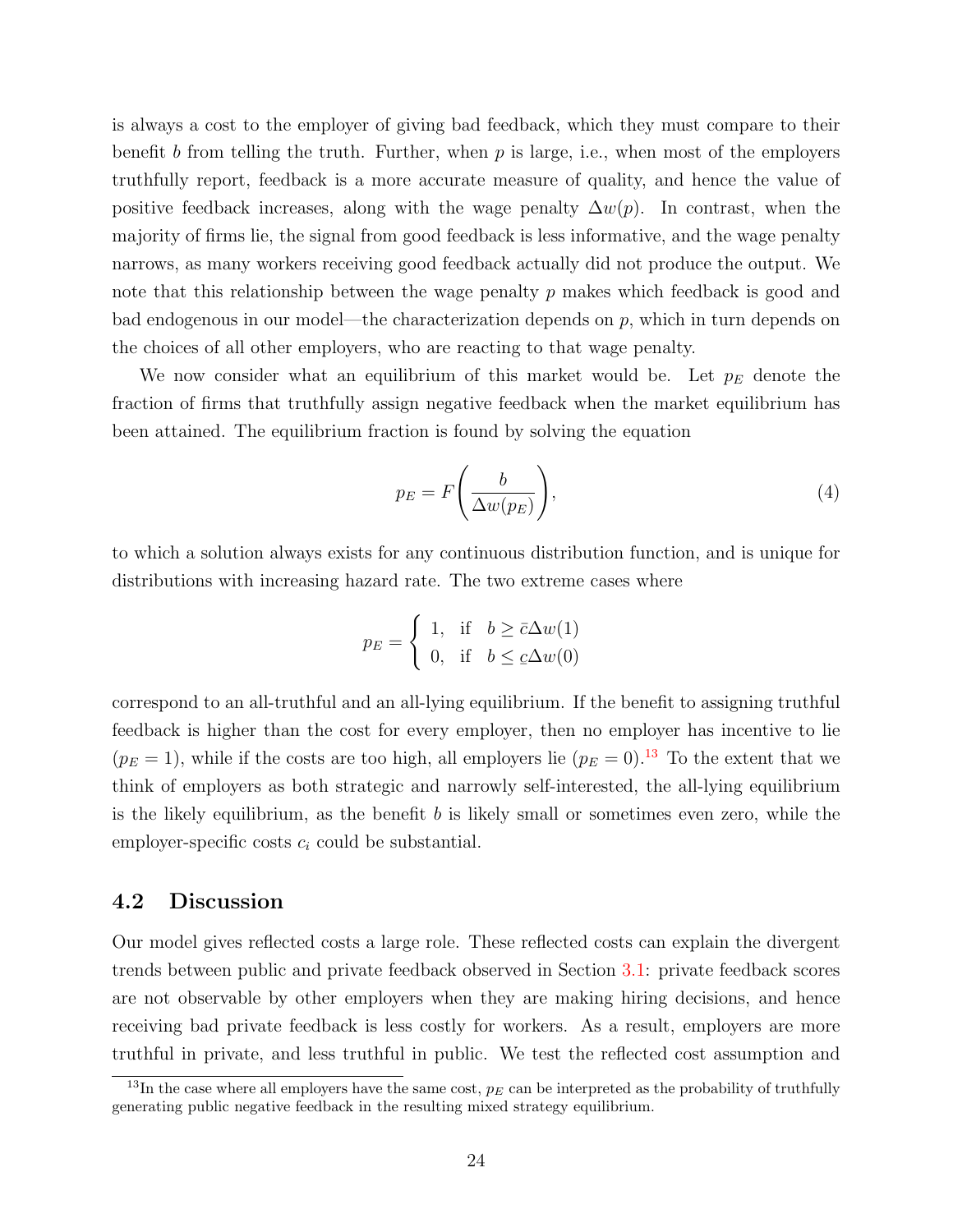is always a cost to the employer of giving bad feedback, which they must compare to their benefit b from telling the truth. Further, when  $p$  is large, i.e., when most of the employers truthfully report, feedback is a more accurate measure of quality, and hence the value of positive feedback increases, along with the wage penalty  $\Delta w(p)$ . In contrast, when the majority of firms lie, the signal from good feedback is less informative, and the wage penalty narrows, as many workers receiving good feedback actually did not produce the output. We note that this relationship between the wage penalty  $p$  makes which feedback is good and bad endogenous in our model—the characterization depends on  $p$ , which in turn depends on the choices of all other employers, who are reacting to that wage penalty.

We now consider what an equilibrium of this market would be. Let  $p_E$  denote the fraction of firms that truthfully assign negative feedback when the market equilibrium has been attained. The equilibrium fraction is found by solving the equation

<span id="page-23-0"></span>
$$
p_E = F\left(\frac{b}{\Delta w(p_E)}\right),\tag{4}
$$

to which a solution always exists for any continuous distribution function, and is unique for distributions with increasing hazard rate. The two extreme cases where

$$
p_E = \begin{cases} 1, & \text{if } b \ge \bar{c}\Delta w(1) \\ 0, & \text{if } b \le \bar{c}\Delta w(0) \end{cases}
$$

correspond to an all-truthful and an all-lying equilibrium. If the benefit to assigning truthful feedback is higher than the cost for every employer, then no employer has incentive to lie  $(p_E = 1)$ , while if the costs are too high, all employers lie  $(p_E = 0)$ .<sup>[13](#page-0-0)</sup> To the extent that we think of employers as both strategic and narrowly self-interested, the all-lying equilibrium is the likely equilibrium, as the benefit  $b$  is likely small or sometimes even zero, while the employer-specific costs  $c_i$  could be substantial.

### 4.2 Discussion

Our model gives reflected costs a large role. These reflected costs can explain the divergent trends between public and private feedback observed in Section [3.1:](#page-15-0) private feedback scores are not observable by other employers when they are making hiring decisions, and hence receiving bad private feedback is less costly for workers. As a result, employers are more truthful in private, and less truthful in public. We test the reflected cost assumption and

<sup>&</sup>lt;sup>13</sup>In the case where all employers have the same cost,  $p_E$  can be interpreted as the probability of truthfully generating public negative feedback in the resulting mixed strategy equilibrium.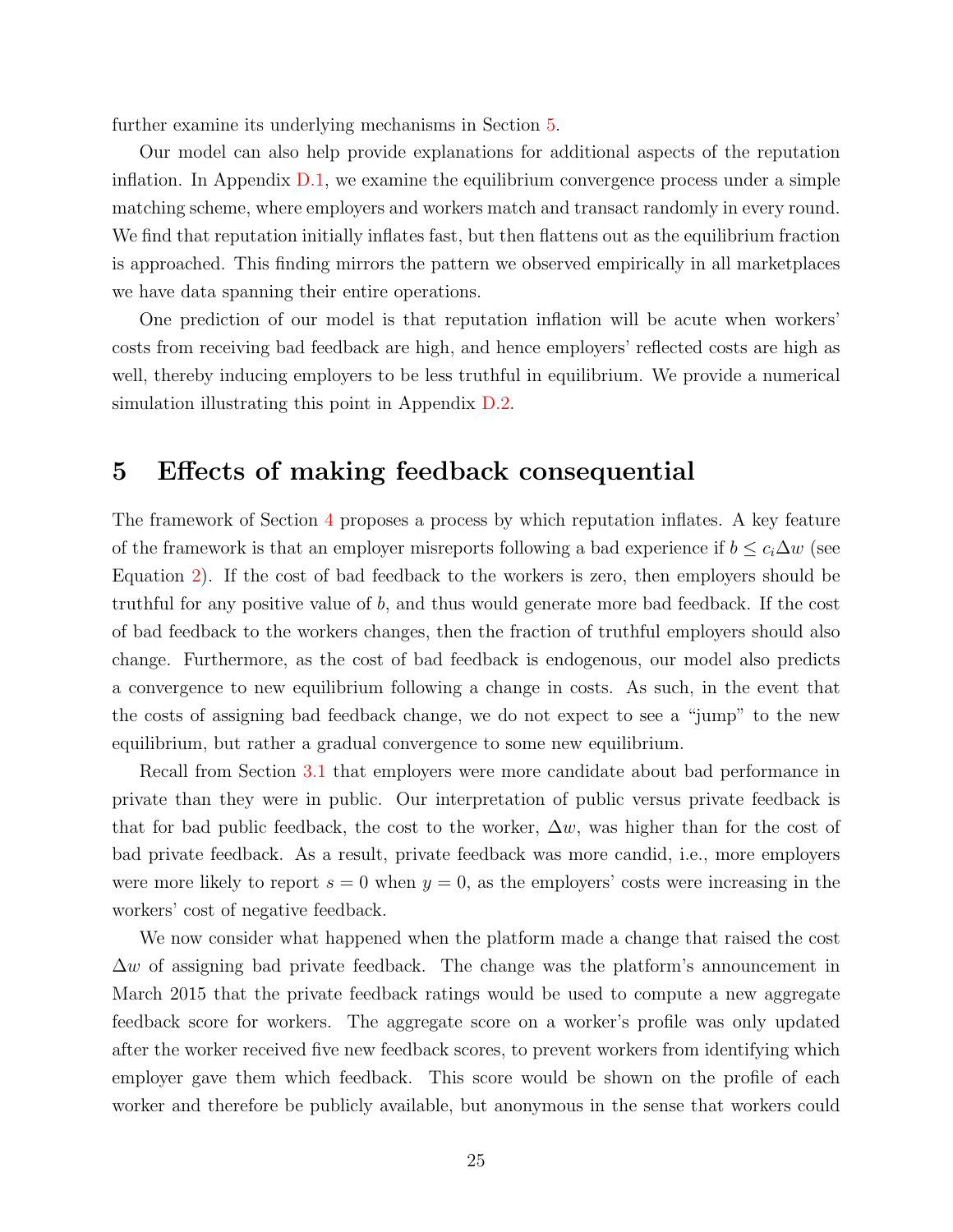further examine its underlying mechanisms in Section [5.](#page-24-0)

Our model can also help provide explanations for additional aspects of the reputation inflation. In Appendix  $D.1$ , we examine the equilibrium convergence process under a simple matching scheme, where employers and workers match and transact randomly in every round. We find that reputation initially inflates fast, but then flattens out as the equilibrium fraction is approached. This finding mirrors the pattern we observed empirically in all marketplaces we have data spanning their entire operations.

One prediction of our model is that reputation inflation will be acute when workers' costs from receiving bad feedback are high, and hence employers' reflected costs are high as well, thereby inducing employers to be less truthful in equilibrium. We provide a numerical simulation illustrating this point in Appendix [D.2.](#page-48-1)

### <span id="page-24-0"></span>5 Effects of making feedback consequential

The framework of Section [4](#page-20-0) proposes a process by which reputation inflates. A key feature of the framework is that an employer misreports following a bad experience if  $b \leq c_i \Delta w$  (see Equation [2\)](#page-21-0). If the cost of bad feedback to the workers is zero, then employers should be truthful for any positive value of b, and thus would generate more bad feedback. If the cost of bad feedback to the workers changes, then the fraction of truthful employers should also change. Furthermore, as the cost of bad feedback is endogenous, our model also predicts a convergence to new equilibrium following a change in costs. As such, in the event that the costs of assigning bad feedback change, we do not expect to see a "jump" to the new equilibrium, but rather a gradual convergence to some new equilibrium.

Recall from Section [3.1](#page-15-0) that employers were more candidate about bad performance in private than they were in public. Our interpretation of public versus private feedback is that for bad public feedback, the cost to the worker,  $\Delta w$ , was higher than for the cost of bad private feedback. As a result, private feedback was more candid, i.e., more employers were more likely to report  $s = 0$  when  $y = 0$ , as the employers' costs were increasing in the workers' cost of negative feedback.

We now consider what happened when the platform made a change that raised the cost  $\Delta w$  of assigning bad private feedback. The change was the platform's announcement in March 2015 that the private feedback ratings would be used to compute a new aggregate feedback score for workers. The aggregate score on a worker's profile was only updated after the worker received five new feedback scores, to prevent workers from identifying which employer gave them which feedback. This score would be shown on the profile of each worker and therefore be publicly available, but anonymous in the sense that workers could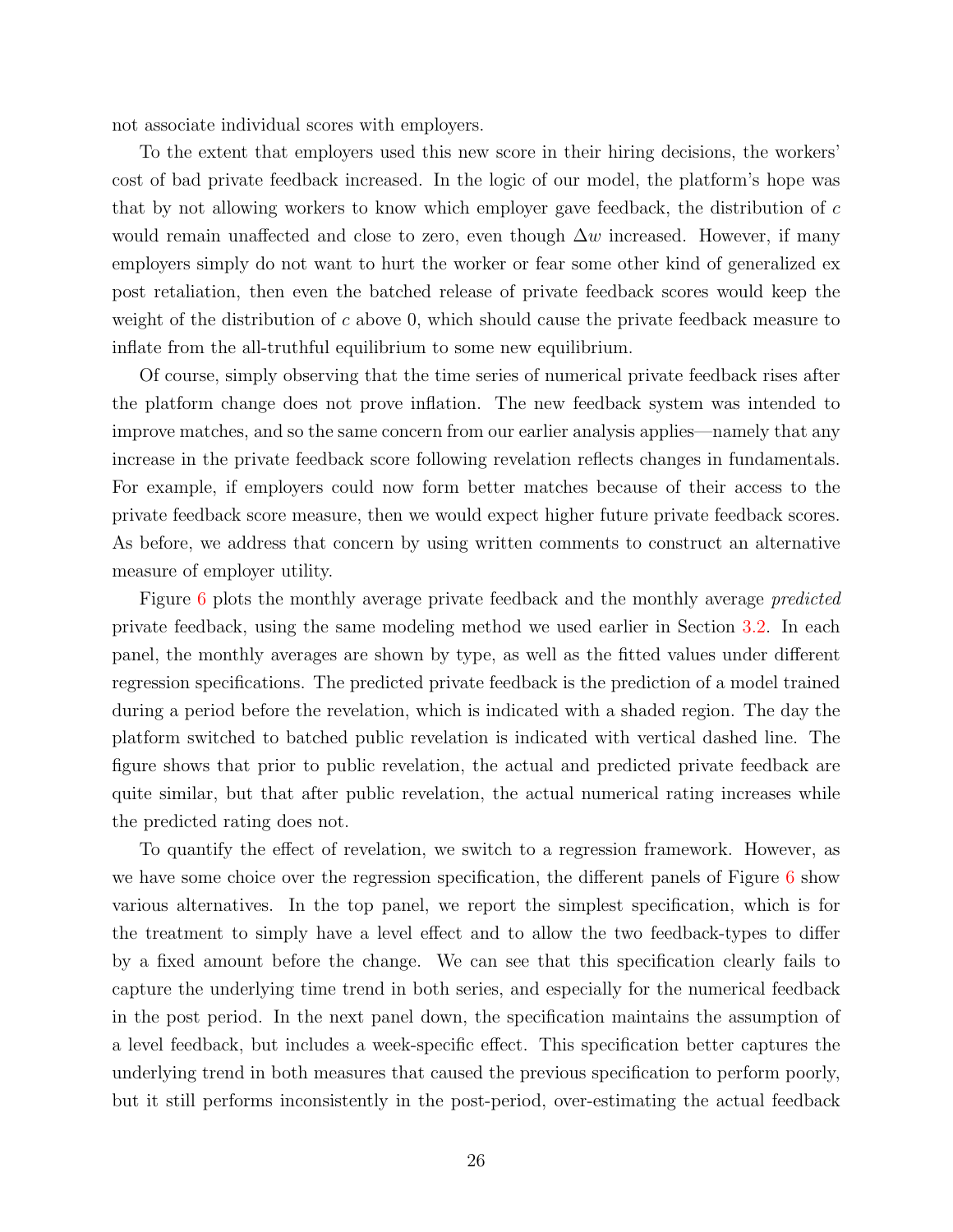not associate individual scores with employers.

To the extent that employers used this new score in their hiring decisions, the workers' cost of bad private feedback increased. In the logic of our model, the platform's hope was that by not allowing workers to know which employer gave feedback, the distribution of c would remain unaffected and close to zero, even though  $\Delta w$  increased. However, if many employers simply do not want to hurt the worker or fear some other kind of generalized ex post retaliation, then even the batched release of private feedback scores would keep the weight of the distribution of c above 0, which should cause the private feedback measure to inflate from the all-truthful equilibrium to some new equilibrium.

Of course, simply observing that the time series of numerical private feedback rises after the platform change does not prove inflation. The new feedback system was intended to improve matches, and so the same concern from our earlier analysis applies—namely that any increase in the private feedback score following revelation reflects changes in fundamentals. For example, if employers could now form better matches because of their access to the private feedback score measure, then we would expect higher future private feedback scores. As before, we address that concern by using written comments to construct an alternative measure of employer utility.

Figure [6](#page-26-0) plots the monthly average private feedback and the monthly average *predicted* private feedback, using the same modeling method we used earlier in Section [3.2.](#page-18-0) In each panel, the monthly averages are shown by type, as well as the fitted values under different regression specifications. The predicted private feedback is the prediction of a model trained during a period before the revelation, which is indicated with a shaded region. The day the platform switched to batched public revelation is indicated with vertical dashed line. The figure shows that prior to public revelation, the actual and predicted private feedback are quite similar, but that after public revelation, the actual numerical rating increases while the predicted rating does not.

To quantify the effect of revelation, we switch to a regression framework. However, as we have some choice over the regression specification, the different panels of Figure  $6$  show various alternatives. In the top panel, we report the simplest specification, which is for the treatment to simply have a level effect and to allow the two feedback-types to differ by a fixed amount before the change. We can see that this specification clearly fails to capture the underlying time trend in both series, and especially for the numerical feedback in the post period. In the next panel down, the specification maintains the assumption of a level feedback, but includes a week-specific effect. This specification better captures the underlying trend in both measures that caused the previous specification to perform poorly, but it still performs inconsistently in the post-period, over-estimating the actual feedback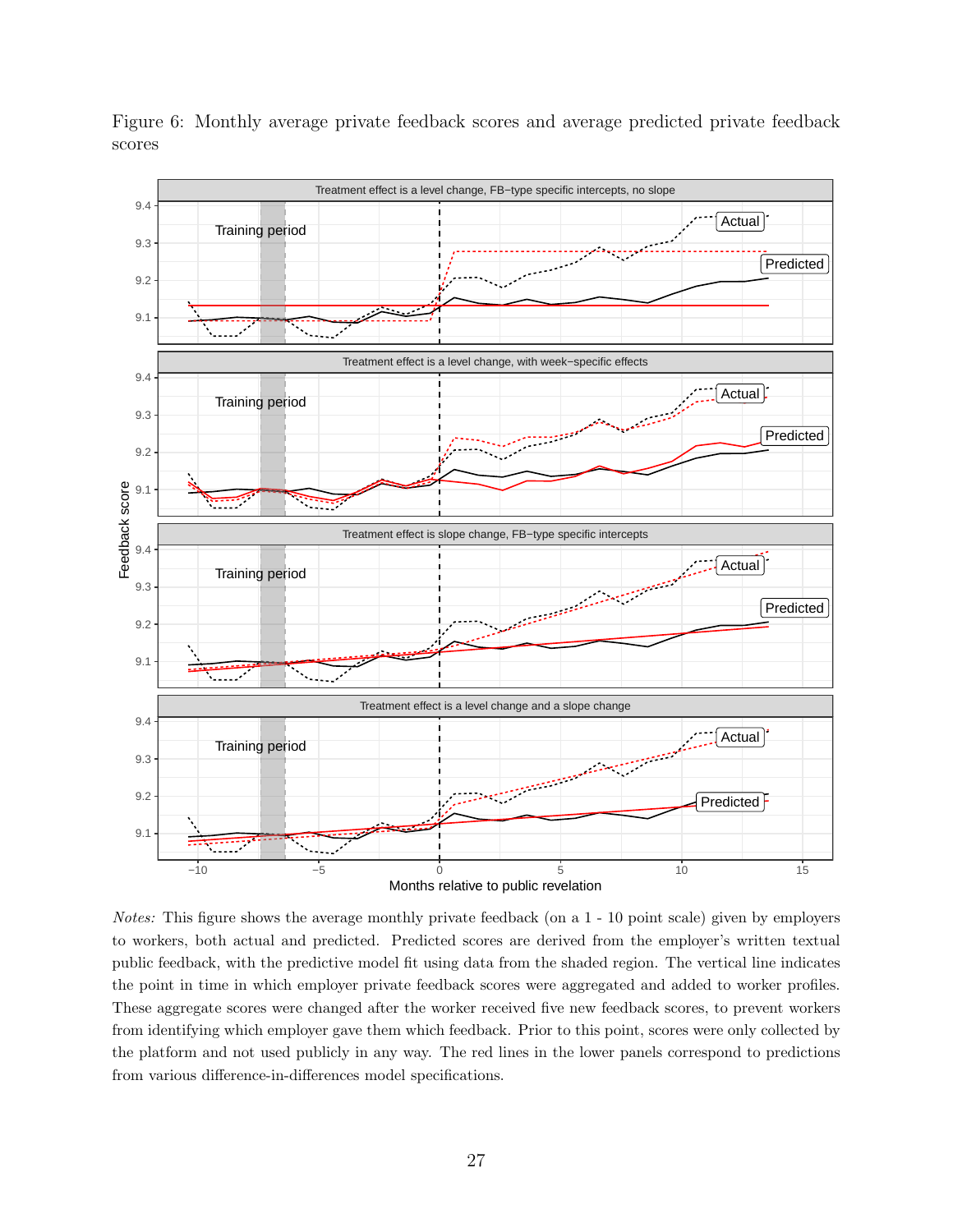

<span id="page-26-0"></span>Figure 6: Monthly average private feedback scores and average predicted private feedback scores

Notes: This figure shows the average monthly private feedback (on a 1 - 10 point scale) given by employers to workers, both actual and predicted. Predicted scores are derived from the employer's written textual public feedback, with the predictive model fit using data from the shaded region. The vertical line indicates the point in time in which employer private feedback scores were aggregated and added to worker profiles. These aggregate scores were changed after the worker received five new feedback scores, to prevent workers from identifying which employer gave them which feedback. Prior to this point, scores were only collected by the platform and not used publicly in any way. The red lines in the lower panels correspond to predictions from various difference-in-differences model specifications.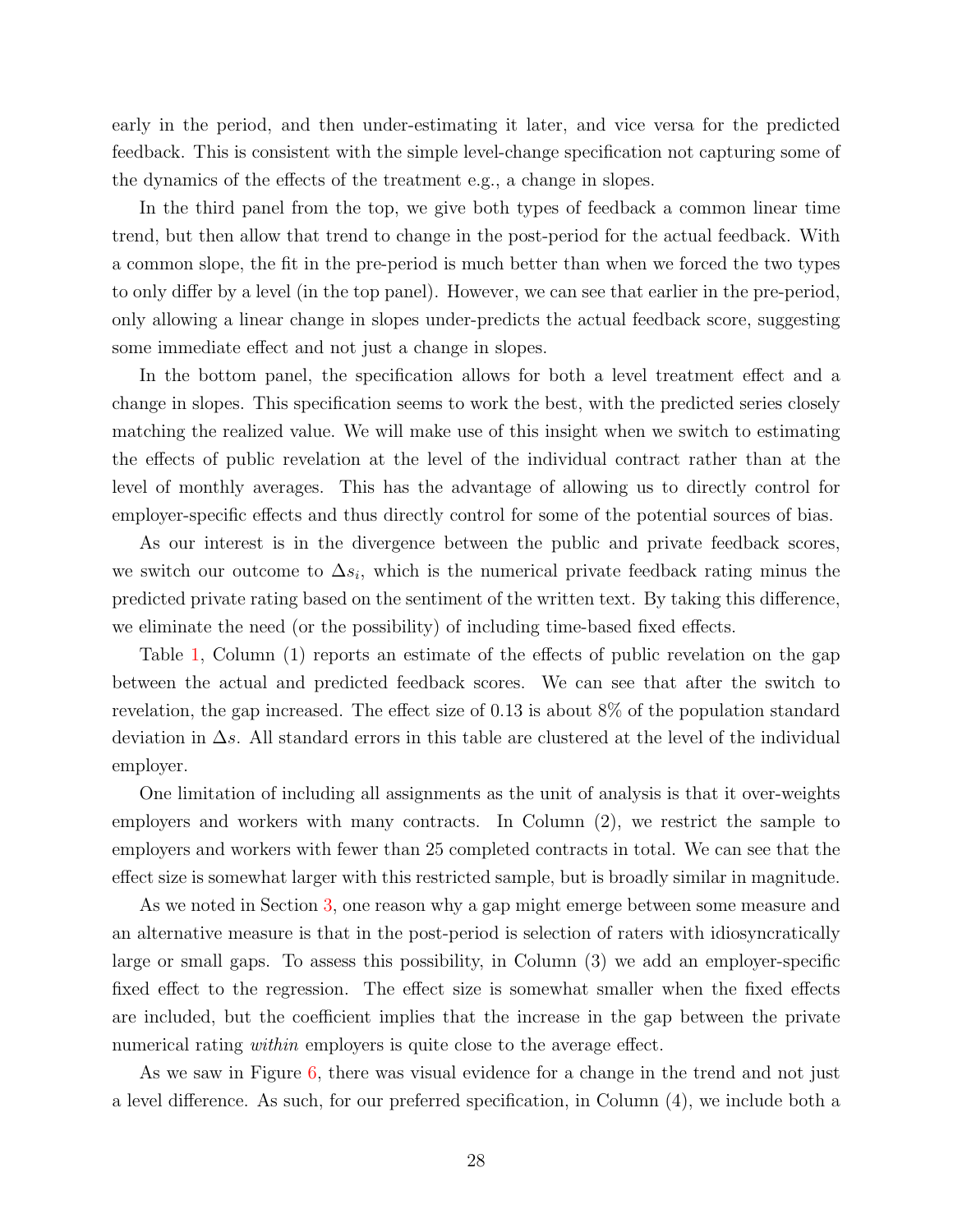early in the period, and then under-estimating it later, and vice versa for the predicted feedback. This is consistent with the simple level-change specification not capturing some of the dynamics of the effects of the treatment e.g., a change in slopes.

In the third panel from the top, we give both types of feedback a common linear time trend, but then allow that trend to change in the post-period for the actual feedback. With a common slope, the fit in the pre-period is much better than when we forced the two types to only differ by a level (in the top panel). However, we can see that earlier in the pre-period, only allowing a linear change in slopes under-predicts the actual feedback score, suggesting some immediate effect and not just a change in slopes.

In the bottom panel, the specification allows for both a level treatment effect and a change in slopes. This specification seems to work the best, with the predicted series closely matching the realized value. We will make use of this insight when we switch to estimating the effects of public revelation at the level of the individual contract rather than at the level of monthly averages. This has the advantage of allowing us to directly control for employer-specific effects and thus directly control for some of the potential sources of bias.

As our interest is in the divergence between the public and private feedback scores, we switch our outcome to  $\Delta s_i$ , which is the numerical private feedback rating minus the predicted private rating based on the sentiment of the written text. By taking this difference, we eliminate the need (or the possibility) of including time-based fixed effects.

Table [1,](#page-28-1) Column (1) reports an estimate of the effects of public revelation on the gap between the actual and predicted feedback scores. We can see that after the switch to revelation, the gap increased. The effect size of 0.13 is about 8% of the population standard deviation in ∆s. All standard errors in this table are clustered at the level of the individual employer.

One limitation of including all assignments as the unit of analysis is that it over-weights employers and workers with many contracts. In Column (2), we restrict the sample to employers and workers with fewer than 25 completed contracts in total. We can see that the effect size is somewhat larger with this restricted sample, but is broadly similar in magnitude.

As we noted in Section [3,](#page-13-0) one reason why a gap might emerge between some measure and an alternative measure is that in the post-period is selection of raters with idiosyncratically large or small gaps. To assess this possibility, in Column (3) we add an employer-specific fixed effect to the regression. The effect size is somewhat smaller when the fixed effects are included, but the coefficient implies that the increase in the gap between the private numerical rating *within* employers is quite close to the average effect.

As we saw in Figure [6,](#page-26-0) there was visual evidence for a change in the trend and not just a level difference. As such, for our preferred specification, in Column (4), we include both a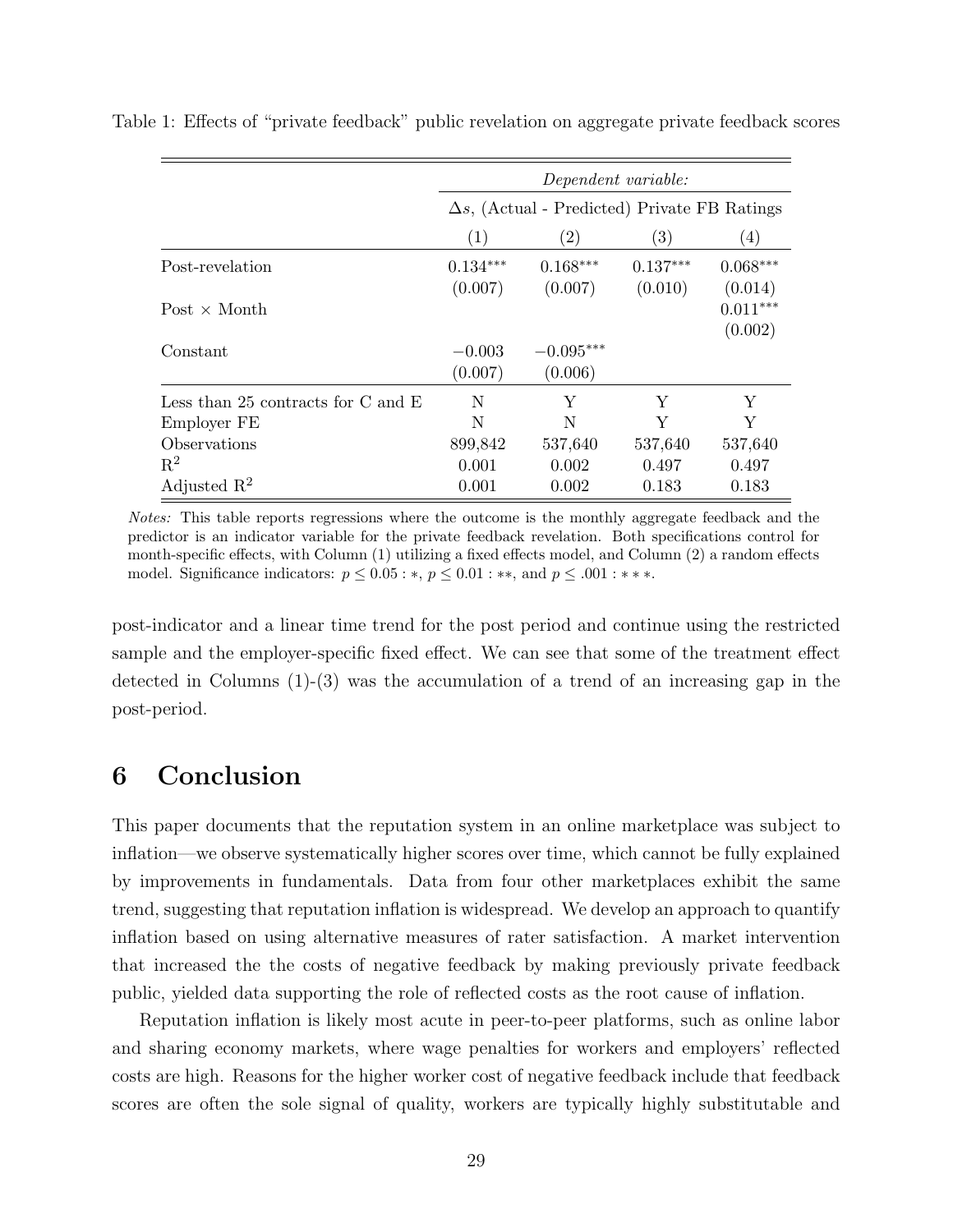|                                        | Dependent variable:<br>$\Delta s$ , (Actual - Predicted) Private FB Ratings |                        |                       |                       |  |  |  |
|----------------------------------------|-----------------------------------------------------------------------------|------------------------|-----------------------|-----------------------|--|--|--|
|                                        |                                                                             |                        |                       |                       |  |  |  |
|                                        | $\left( 1\right)$                                                           | $\left( 2\right)$      | $\left( 3\right)$     | $\left( 4\right)$     |  |  |  |
| Post-revelation                        | $0.134***$<br>(0.007)                                                       | $0.168***$<br>(0.007)  | $0.137***$<br>(0.010) | $0.068***$<br>(0.014) |  |  |  |
| Post $\times$ Month                    |                                                                             |                        |                       | $0.011***$<br>(0.002) |  |  |  |
| Constant                               | $-0.003$<br>(0.007)                                                         | $-0.095***$<br>(0.006) |                       |                       |  |  |  |
| Less than 25 contracts for $C$ and $E$ | N                                                                           | Y                      | Y                     | Υ                     |  |  |  |
| Employer FE                            | N                                                                           | N                      | Y                     | Y                     |  |  |  |
| Observations                           | 899,842                                                                     | 537,640                | 537,640               | 537,640               |  |  |  |
| $R^2$                                  | 0.001                                                                       | 0.002                  | 0.497                 | 0.497                 |  |  |  |
| Adjusted $R^2$                         | 0.001                                                                       | 0.002                  | 0.183                 | 0.183                 |  |  |  |

<span id="page-28-1"></span>Table 1: Effects of "private feedback" public revelation on aggregate private feedback scores

Notes: This table reports regressions where the outcome is the monthly aggregate feedback and the predictor is an indicator variable for the private feedback revelation. Both specifications control for month-specific effects, with Column (1) utilizing a fixed effects model, and Column (2) a random effects model. Significance indicators:  $p \leq 0.05$ : \*,  $p \leq 0.01$ : \*\*, and  $p \leq .001$ : \*\*\*.

post-indicator and a linear time trend for the post period and continue using the restricted sample and the employer-specific fixed effect. We can see that some of the treatment effect detected in Columns (1)-(3) was the accumulation of a trend of an increasing gap in the post-period.

# <span id="page-28-0"></span>6 Conclusion

This paper documents that the reputation system in an online marketplace was subject to inflation—we observe systematically higher scores over time, which cannot be fully explained by improvements in fundamentals. Data from four other marketplaces exhibit the same trend, suggesting that reputation inflation is widespread. We develop an approach to quantify inflation based on using alternative measures of rater satisfaction. A market intervention that increased the the costs of negative feedback by making previously private feedback public, yielded data supporting the role of reflected costs as the root cause of inflation.

Reputation inflation is likely most acute in peer-to-peer platforms, such as online labor and sharing economy markets, where wage penalties for workers and employers' reflected costs are high. Reasons for the higher worker cost of negative feedback include that feedback scores are often the sole signal of quality, workers are typically highly substitutable and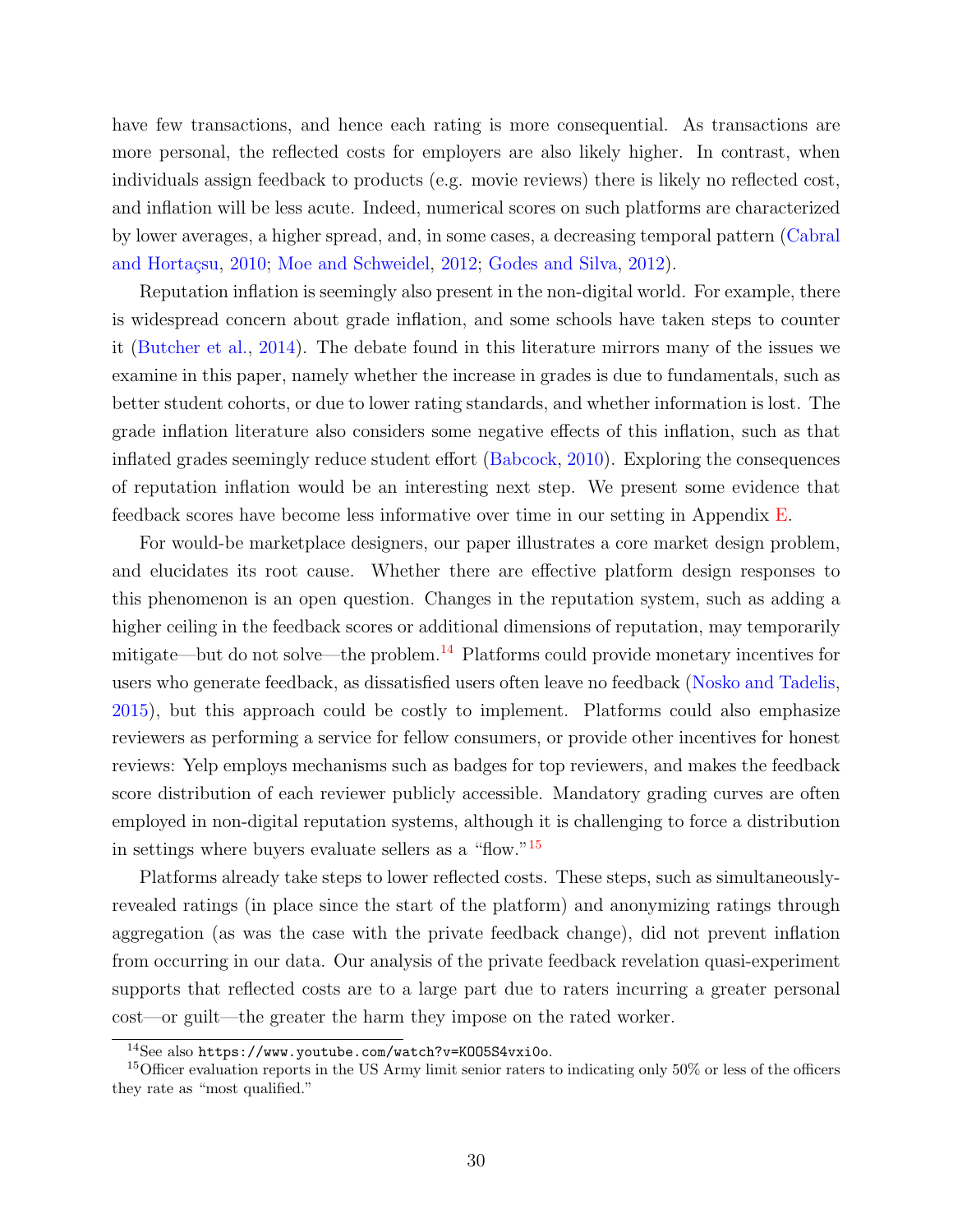have few transactions, and hence each rating is more consequential. As transactions are more personal, the reflected costs for employers are also likely higher. In contrast, when individuals assign feedback to products (e.g. movie reviews) there is likely no reflected cost, and inflation will be less acute. Indeed, numerical scores on such platforms are characterized by lower averages, a higher spread, and, in some cases, a decreasing temporal pattern [\(Cabral](#page-31-4) and Hortaçsu, [2010;](#page-31-4) [Moe and Schweidel,](#page-34-10) [2012;](#page-34-10) [Godes and Silva,](#page-32-11) [2012\)](#page-32-11).

Reputation inflation is seemingly also present in the non-digital world. For example, there is widespread concern about grade inflation, and some schools have taken steps to counter it [\(Butcher et al.,](#page-31-2) [2014\)](#page-31-2). The debate found in this literature mirrors many of the issues we examine in this paper, namely whether the increase in grades is due to fundamentals, such as better student cohorts, or due to lower rating standards, and whether information is lost. The grade inflation literature also considers some negative effects of this inflation, such as that inflated grades seemingly reduce student effort [\(Babcock,](#page-31-1) [2010\)](#page-31-1). Exploring the consequences of reputation inflation would be an interesting next step. We present some evidence that feedback scores have become less informative over time in our setting in Appendix [E.](#page-50-0)

For would-be marketplace designers, our paper illustrates a core market design problem, and elucidates its root cause. Whether there are effective platform design responses to this phenomenon is an open question. Changes in the reputation system, such as adding a higher ceiling in the feedback scores or additional dimensions of reputation, may temporarily mitigate—but do not solve—the problem.[14](#page-0-0) Platforms could provide monetary incentives for users who generate feedback, as dissatisfied users often leave no feedback [\(Nosko and Tadelis,](#page-34-2) [2015\)](#page-34-2), but this approach could be costly to implement. Platforms could also emphasize reviewers as performing a service for fellow consumers, or provide other incentives for honest reviews: Yelp employs mechanisms such as badges for top reviewers, and makes the feedback score distribution of each reviewer publicly accessible. Mandatory grading curves are often employed in non-digital reputation systems, although it is challenging to force a distribution in settings where buyers evaluate sellers as a "flow."[15](#page-0-0)

Platforms already take steps to lower reflected costs. These steps, such as simultaneouslyrevealed ratings (in place since the start of the platform) and anonymizing ratings through aggregation (as was the case with the private feedback change), did not prevent inflation from occurring in our data. Our analysis of the private feedback revelation quasi-experiment supports that reflected costs are to a large part due to raters incurring a greater personal cost—or guilt—the greater the harm they impose on the rated worker.

<sup>14</sup>See also <https://www.youtube.com/watch?v=KOO5S4vxi0o>.

<sup>&</sup>lt;sup>15</sup>Officer evaluation reports in the US Army limit senior raters to indicating only 50% or less of the officers they rate as "most qualified."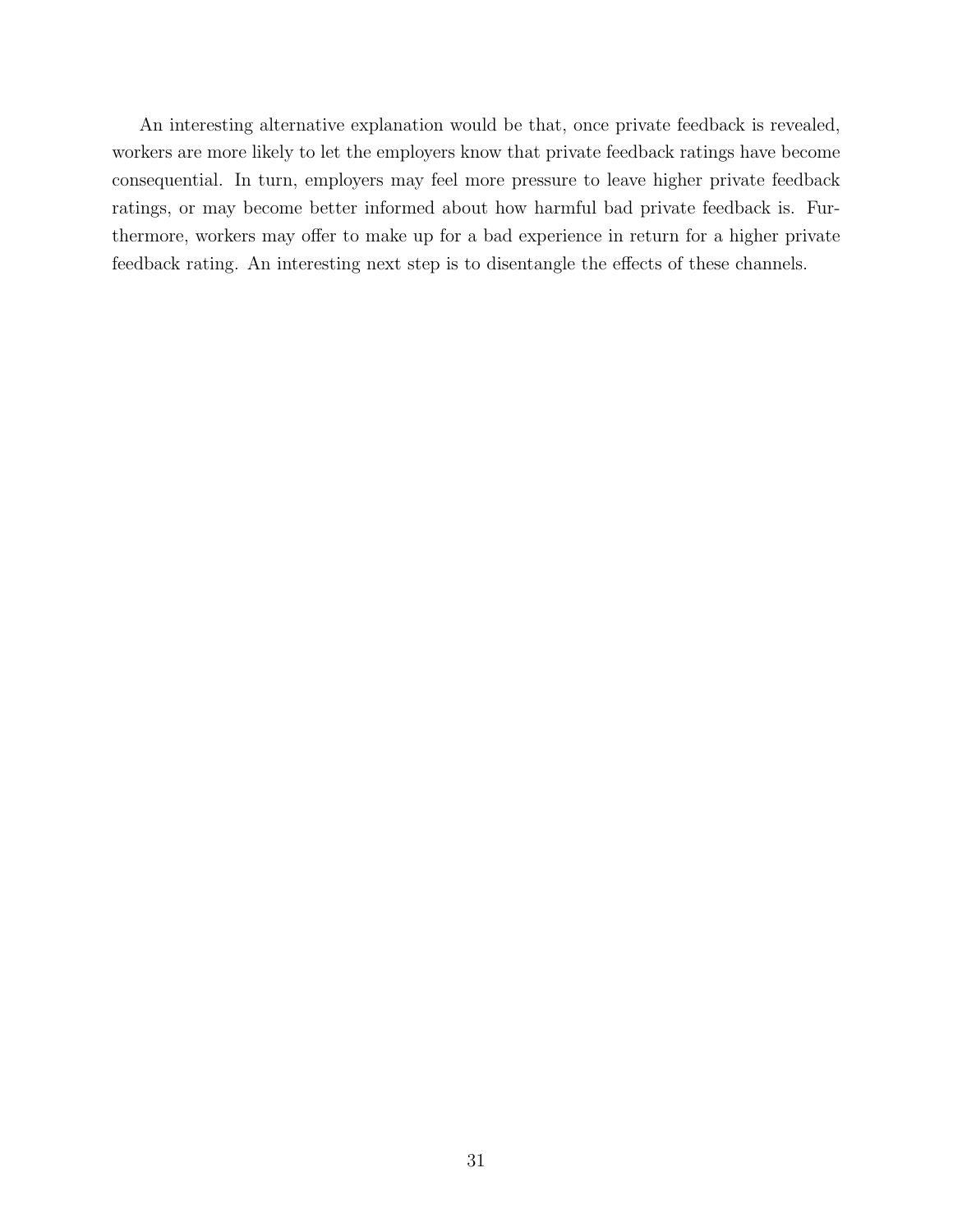An interesting alternative explanation would be that, once private feedback is revealed, workers are more likely to let the employers know that private feedback ratings have become consequential. In turn, employers may feel more pressure to leave higher private feedback ratings, or may become better informed about how harmful bad private feedback is. Furthermore, workers may offer to make up for a bad experience in return for a higher private feedback rating. An interesting next step is to disentangle the effects of these channels.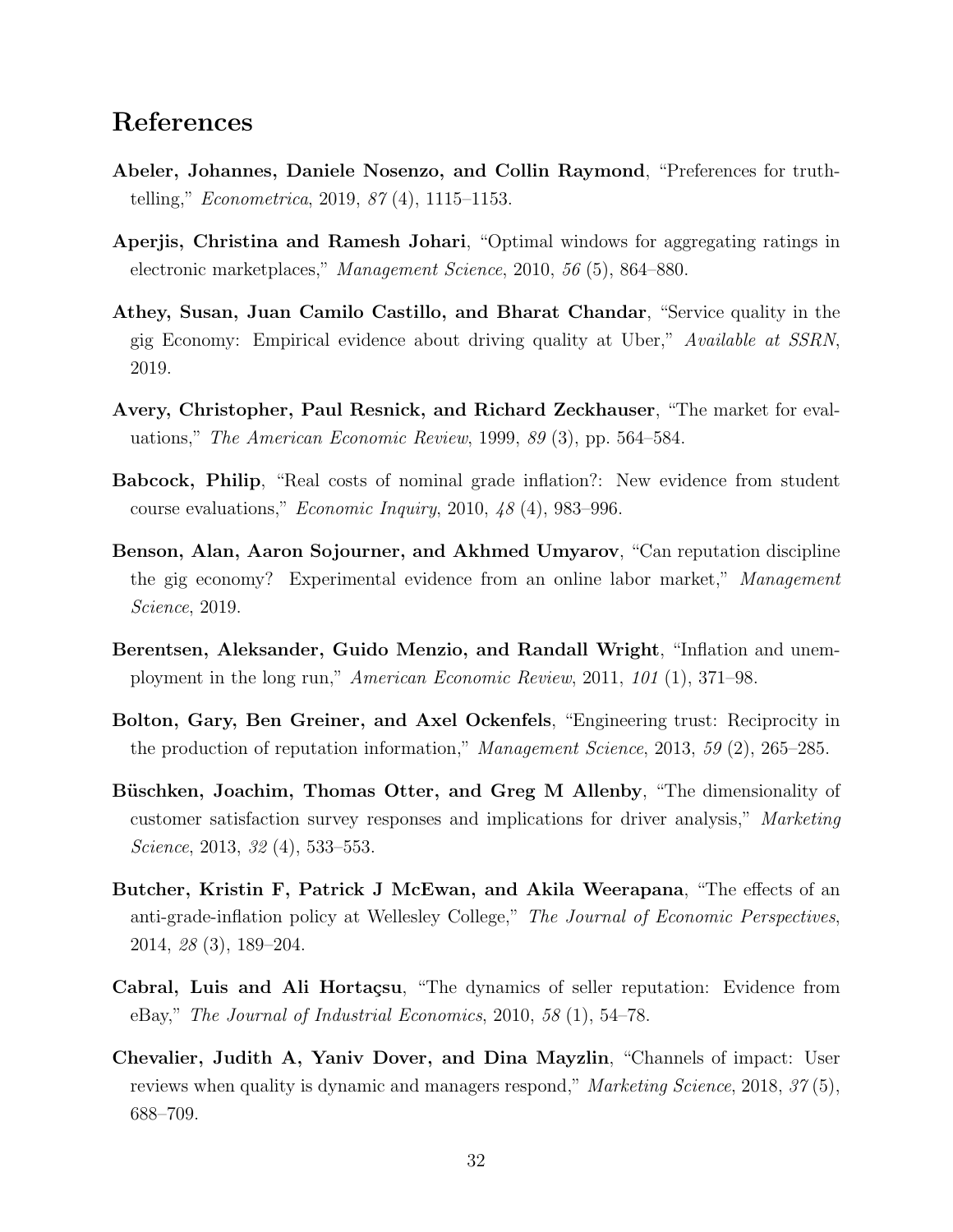## References

- <span id="page-31-11"></span>Abeler, Johannes, Daniele Nosenzo, and Collin Raymond, "Preferences for truthtelling," Econometrica, 2019, 87 (4), 1115–1153.
- <span id="page-31-10"></span>Aperjis, Christina and Ramesh Johari, "Optimal windows for aggregating ratings in electronic marketplaces," Management Science, 2010, 56 (5), 864–880.
- <span id="page-31-0"></span>Athey, Susan, Juan Camilo Castillo, and Bharat Chandar, "Service quality in the gig Economy: Empirical evidence about driving quality at Uber," Available at SSRN, 2019.
- <span id="page-31-8"></span>Avery, Christopher, Paul Resnick, and Richard Zeckhauser, "The market for evaluations," The American Economic Review, 1999, 89 (3), pp. 564–584.
- <span id="page-31-1"></span>Babcock, Philip, "Real costs of nominal grade inflation?: New evidence from student course evaluations," *Economic Inquiry*, 2010,  $48(4)$ , 983–996.
- <span id="page-31-5"></span>Benson, Alan, Aaron Sojourner, and Akhmed Umyarov, "Can reputation discipline the gig economy? Experimental evidence from an online labor market," Management Science, 2019.
- <span id="page-31-7"></span>Berentsen, Aleksander, Guido Menzio, and Randall Wright, "Inflation and unemployment in the long run," American Economic Review, 2011, 101 (1), 371–98.
- <span id="page-31-3"></span>Bolton, Gary, Ben Greiner, and Axel Ockenfels, "Engineering trust: Reciprocity in the production of reputation information," Management Science, 2013, 59 (2), 265–285.
- <span id="page-31-6"></span>Büschken, Joachim, Thomas Otter, and Greg M Allenby, "The dimensionality of customer satisfaction survey responses and implications for driver analysis," Marketing Science, 2013, 32 (4), 533–553.
- <span id="page-31-2"></span>Butcher, Kristin F, Patrick J McEwan, and Akila Weerapana, "The effects of an anti-grade-inflation policy at Wellesley College," The Journal of Economic Perspectives, 2014, 28 (3), 189–204.
- <span id="page-31-4"></span>Cabral, Luis and Ali Hortaçsu, "The dynamics of seller reputation: Evidence from eBay," The Journal of Industrial Economics, 2010, 58 (1), 54–78.
- <span id="page-31-9"></span>Chevalier, Judith A, Yaniv Dover, and Dina Mayzlin, "Channels of impact: User reviews when quality is dynamic and managers respond," Marketing Science, 2018, 37(5), 688–709.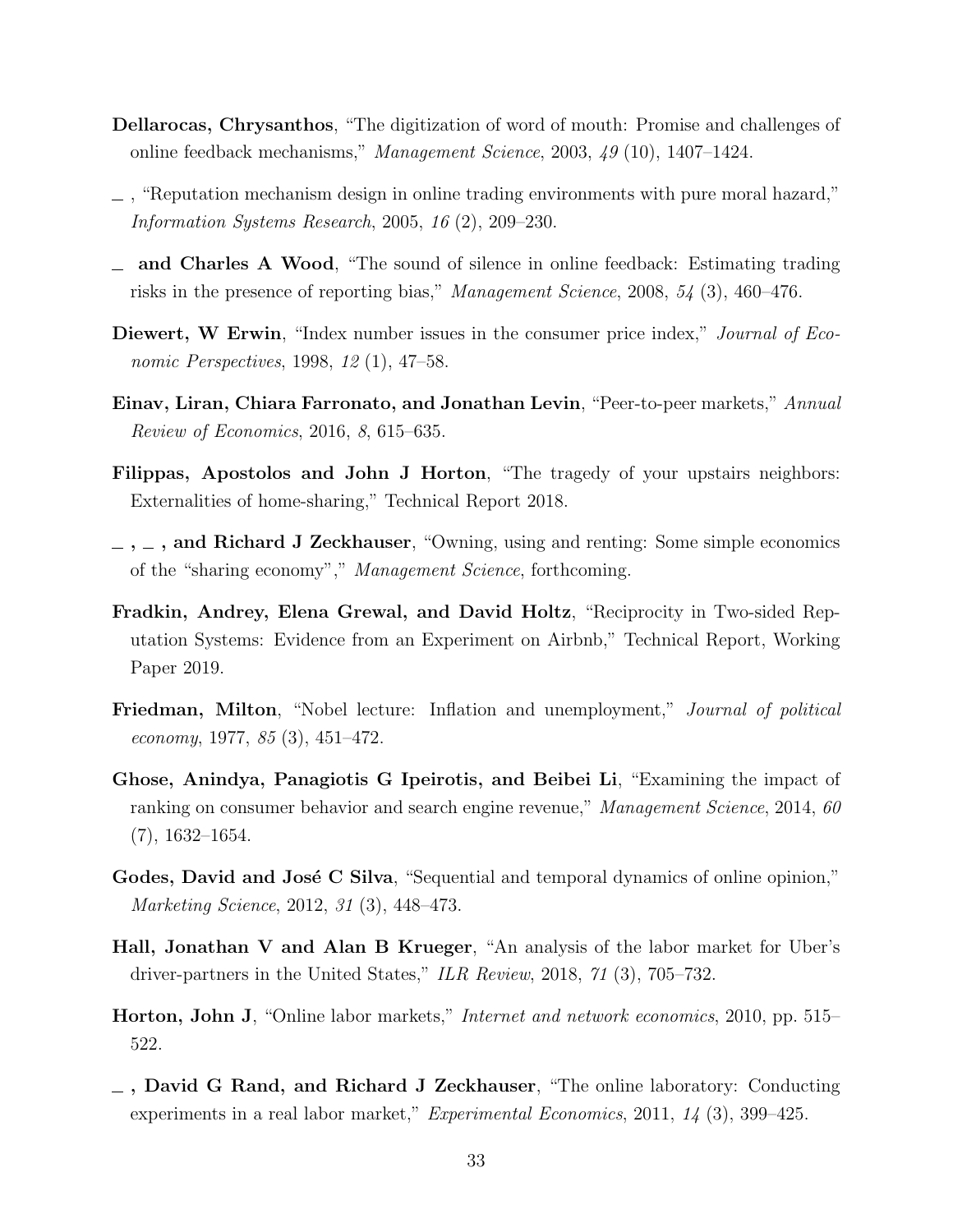- <span id="page-32-7"></span>Dellarocas, Chrysanthos, "The digitization of word of mouth: Promise and challenges of online feedback mechanisms," Management Science, 2003, 49 (10), 1407–1424.
- <span id="page-32-12"></span> $\sim$ , "Reputation mechanism design in online trading environments with pure moral hazard," Information Systems Research, 2005, 16 (2), 209–230.
- <span id="page-32-4"></span>and Charles A Wood, "The sound of silence in online feedback: Estimating trading risks in the presence of reporting bias," Management Science, 2008, 54 (3), 460–476.
- <span id="page-32-9"></span>Diewert, W Erwin, "Index number issues in the consumer price index," Journal of Economic Perspectives, 1998, 12 (1), 47–58.
- <span id="page-32-2"></span>Einav, Liran, Chiara Farronato, and Jonathan Levin, "Peer-to-peer markets," Annual Review of Economics, 2016, 8, 615–635.
- <span id="page-32-13"></span>Filippas, Apostolos and John J Horton, "The tragedy of your upstairs neighbors: Externalities of home-sharing," Technical Report 2018.
- <span id="page-32-3"></span> $\ldots$ , and Richard J Zeckhauser, "Owning, using and renting: Some simple economics of the "sharing economy"," Management Science, forthcoming.
- <span id="page-32-10"></span>Fradkin, Andrey, Elena Grewal, and David Holtz, "Reciprocity in Two-sided Reputation Systems: Evidence from an Experiment on Airbnb," Technical Report, Working Paper 2019.
- <span id="page-32-8"></span>Friedman, Milton, "Nobel lecture: Inflation and unemployment," Journal of political economy, 1977, 85 (3), 451–472.
- <span id="page-32-0"></span>Ghose, Anindya, Panagiotis G Ipeirotis, and Beibei Li, "Examining the impact of ranking on consumer behavior and search engine revenue," Management Science, 2014, 60 (7), 1632–1654.
- <span id="page-32-11"></span>Godes, David and José C Silva, "Sequential and temporal dynamics of online opinion," Marketing Science, 2012, 31 (3), 448–473.
- <span id="page-32-1"></span>Hall, Jonathan V and Alan B Krueger, "An analysis of the labor market for Uber's driver-partners in the United States," ILR Review, 2018, 71 (3), 705–732.
- <span id="page-32-5"></span>Horton, John J, "Online labor markets," Internet and network economics, 2010, pp. 515– 522.
- <span id="page-32-6"></span> $\overline{\phantom{a}}$ , David G Rand, and Richard J Zeckhauser, "The online laboratory: Conducting experiments in a real labor market," Experimental Economics, 2011, 14 (3), 399–425.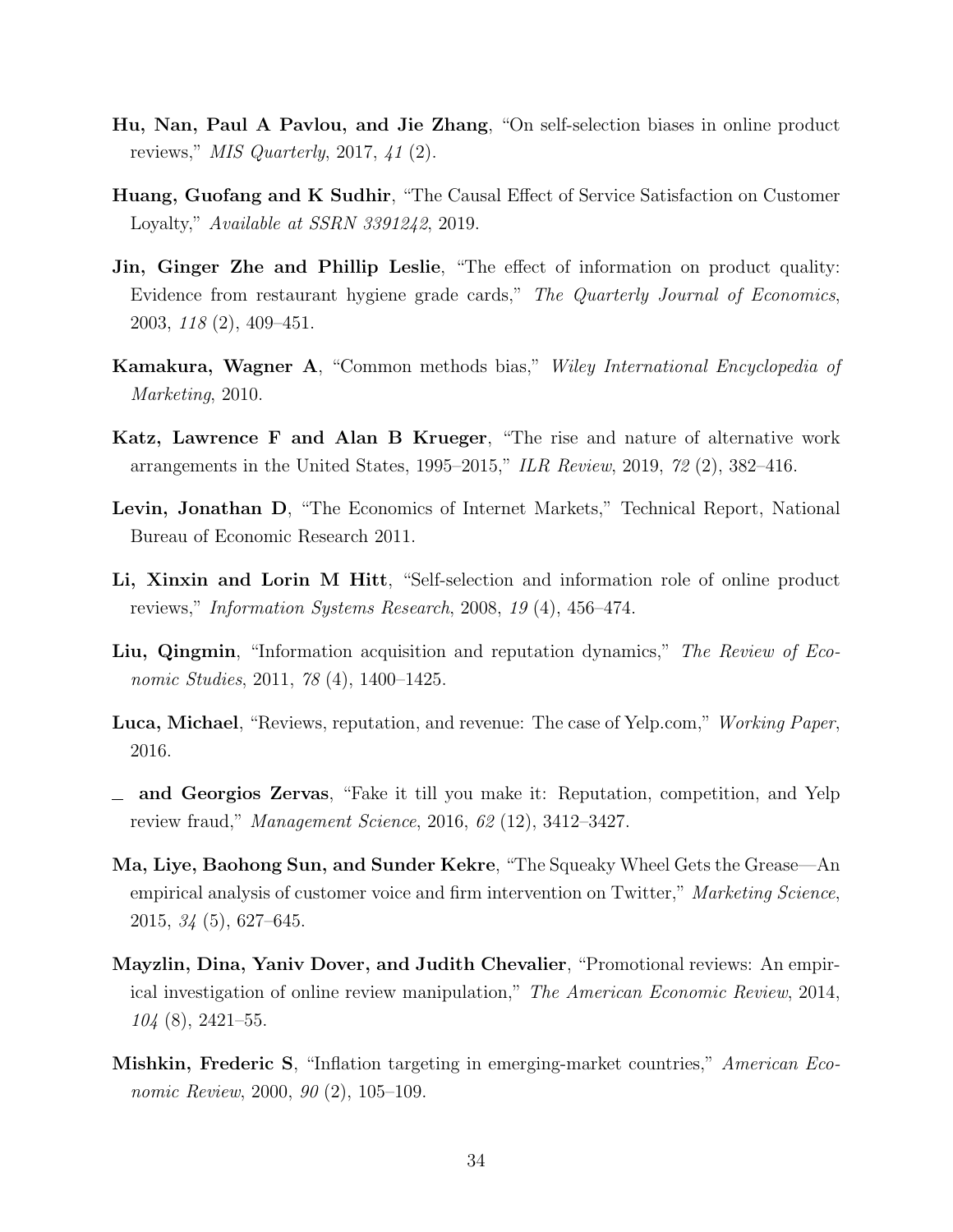- <span id="page-33-6"></span>Hu, Nan, Paul A Pavlou, and Jie Zhang, "On self-selection biases in online product reviews,"  $MIS$  Quarterly, 2017, 41 (2).
- <span id="page-33-8"></span>Huang, Guofang and K Sudhir, "The Causal Effect of Service Satisfaction on Customer Loyalty," Available at SSRN 3391242, 2019.
- <span id="page-33-0"></span>Jin, Ginger Zhe and Phillip Leslie, "The effect of information on product quality: Evidence from restaurant hygiene grade cards," The Quarterly Journal of Economics, 2003, 118 (2), 409–451.
- <span id="page-33-7"></span>Kamakura, Wagner A, "Common methods bias," Wiley International Encyclopedia of Marketing, 2010.
- <span id="page-33-5"></span>Katz, Lawrence F and Alan B Krueger, "The rise and nature of alternative work arrangements in the United States, 1995–2015," ILR Review, 2019, 72 (2), 382–416.
- <span id="page-33-4"></span>Levin, Jonathan D, "The Economics of Internet Markets," Technical Report, National Bureau of Economic Research 2011.
- <span id="page-33-11"></span>Li, Xinxin and Lorin M Hitt, "Self-selection and information role of online product reviews," Information Systems Research, 2008, 19 (4), 456–474.
- <span id="page-33-12"></span>Liu, Qingmin, "Information acquisition and reputation dynamics," The Review of Economic Studies, 2011, 78 (4), 1400–1425.
- <span id="page-33-2"></span>**Luca, Michael**, "Reviews, reputation, and revenue: The case of Yelp.com," *Working Paper*, 2016.
- <span id="page-33-3"></span>and Georgios Zervas, "Fake it till you make it: Reputation, competition, and Yelp review fraud," Management Science, 2016, 62 (12), 3412–3427.
- <span id="page-33-10"></span>Ma, Liye, Baohong Sun, and Sunder Kekre, "The Squeaky Wheel Gets the Grease—An empirical analysis of customer voice and firm intervention on Twitter," Marketing Science, 2015, 34 (5), 627–645.
- <span id="page-33-1"></span>Mayzlin, Dina, Yaniv Dover, and Judith Chevalier, "Promotional reviews: An empirical investigation of online review manipulation," The American Economic Review, 2014,  $104(8)$ , 2421–55.
- <span id="page-33-9"></span>Mishkin, Frederic S, "Inflation targeting in emerging-market countries," American Economic Review, 2000, 90 (2), 105-109.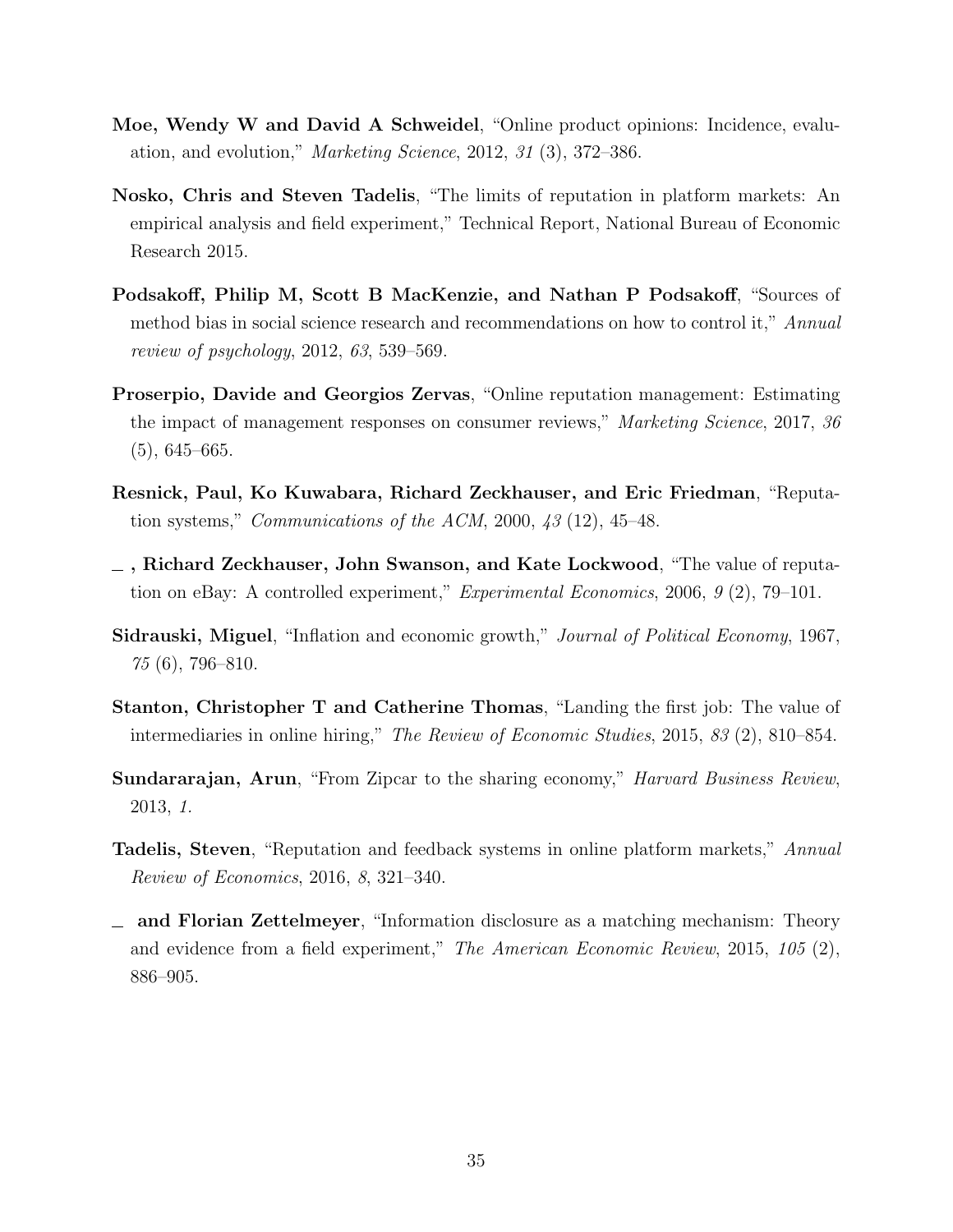- <span id="page-34-10"></span>Moe, Wendy W and David A Schweidel, "Online product opinions: Incidence, evaluation, and evolution," Marketing Science, 2012, 31 (3), 372–386.
- <span id="page-34-2"></span>Nosko, Chris and Steven Tadelis, "The limits of reputation in platform markets: An empirical analysis and field experiment," Technical Report, National Bureau of Economic Research 2015.
- <span id="page-34-6"></span>Podsakoff, Philip M, Scott B MacKenzie, and Nathan P Podsakoff, "Sources of method bias in social science research and recommendations on how to control it," Annual review of psychology, 2012, 63, 539–569.
- <span id="page-34-8"></span>Proserpio, Davide and Georgios Zervas, "Online reputation management: Estimating the impact of management responses on consumer reviews," Marketing Science, 2017, 36  $(5), 645-665.$
- <span id="page-34-0"></span>Resnick, Paul, Ko Kuwabara, Richard Zeckhauser, and Eric Friedman, "Reputation systems," *Communications of the ACM*, 2000,  $43(12)$ ,  $45-48$ .
- <span id="page-34-1"></span> $\overline{z}$ , Richard Zeckhauser, John Swanson, and Kate Lockwood, "The value of reputation on eBay: A controlled experiment," Experimental Economics, 2006, 9 (2), 79–101.
- <span id="page-34-7"></span>Sidrauski, Miguel, "Inflation and economic growth," Journal of Political Economy, 1967,  $75(6)$ , 796–810.
- <span id="page-34-5"></span>Stanton, Christopher T and Catherine Thomas, "Landing the first job: The value of intermediaries in online hiring," The Review of Economic Studies, 2015, 83 (2), 810–854.
- <span id="page-34-9"></span>Sundararajan, Arun, "From Zipcar to the sharing economy," *Harvard Business Review*, 2013, 1.
- <span id="page-34-4"></span>Tadelis, Steven, "Reputation and feedback systems in online platform markets," Annual Review of Economics, 2016, 8, 321–340.
- <span id="page-34-3"></span>and Florian Zettelmeyer, "Information disclosure as a matching mechanism: Theory and evidence from a field experiment," The American Economic Review, 2015, 105 (2), 886–905.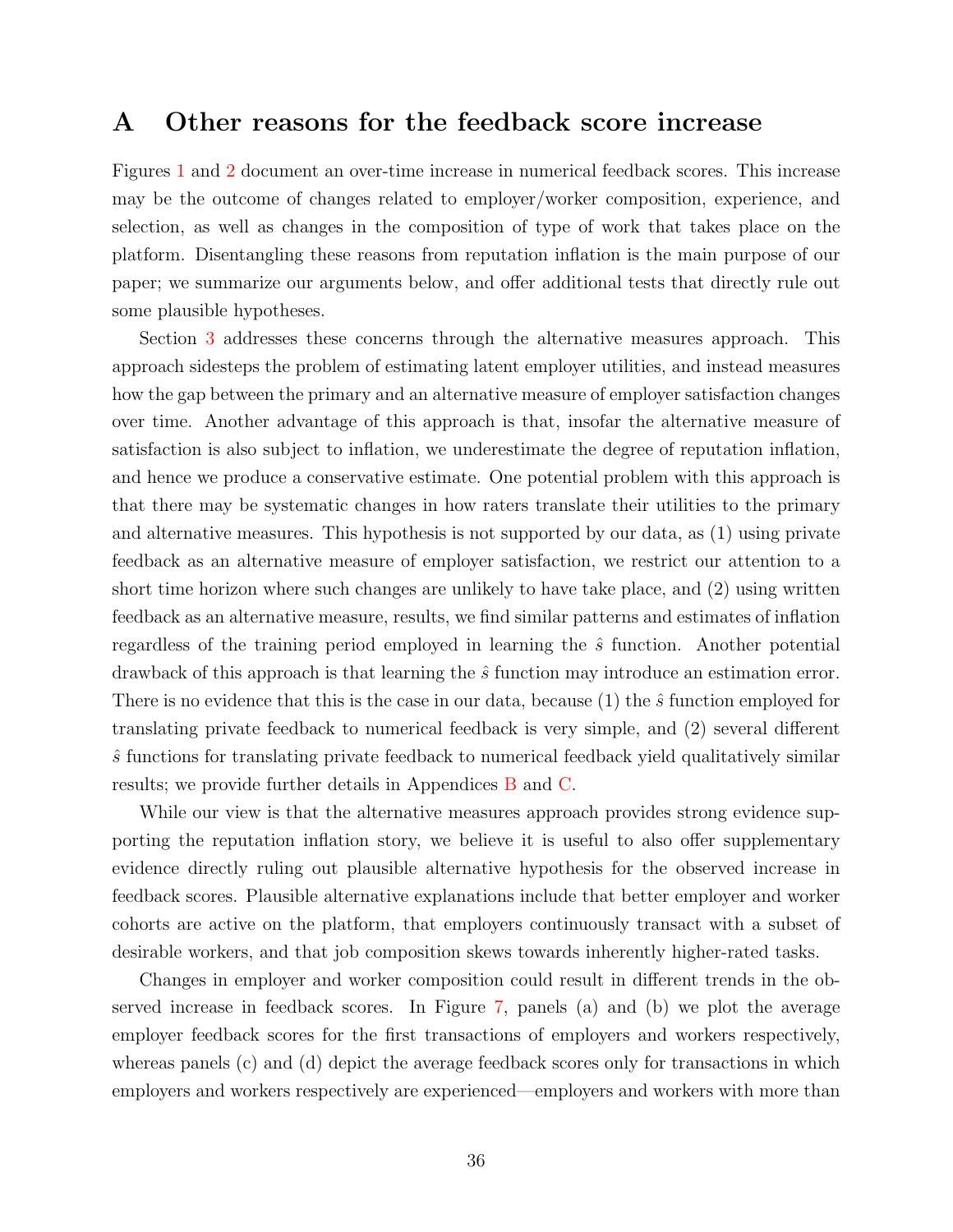### <span id="page-35-0"></span>A Other reasons for the feedback score increase

Figures [1](#page-10-0) and [2](#page-12-0) document an over-time increase in numerical feedback scores. This increase may be the outcome of changes related to employer/worker composition, experience, and selection, as well as changes in the composition of type of work that takes place on the platform. Disentangling these reasons from reputation inflation is the main purpose of our paper; we summarize our arguments below, and offer additional tests that directly rule out some plausible hypotheses.

Section [3](#page-13-0) addresses these concerns through the alternative measures approach. This approach sidesteps the problem of estimating latent employer utilities, and instead measures how the gap between the primary and an alternative measure of employer satisfaction changes over time. Another advantage of this approach is that, insofar the alternative measure of satisfaction is also subject to inflation, we underestimate the degree of reputation inflation, and hence we produce a conservative estimate. One potential problem with this approach is that there may be systematic changes in how raters translate their utilities to the primary and alternative measures. This hypothesis is not supported by our data, as (1) using private feedback as an alternative measure of employer satisfaction, we restrict our attention to a short time horizon where such changes are unlikely to have take place, and (2) using written feedback as an alternative measure, results, we find similar patterns and estimates of inflation regardless of the training period employed in learning the  $\hat{s}$  function. Another potential drawback of this approach is that learning the  $\hat{s}$  function may introduce an estimation error. There is no evidence that this is the case in our data, because (1) the  $\hat{s}$  function employed for translating private feedback to numerical feedback is very simple, and (2) several different  $\hat{s}$  functions for translating private feedback to numerical feedback yield qualitatively similar results; we provide further details in Appendices [B](#page-38-0) and [C.](#page-42-0)

While our view is that the alternative measures approach provides strong evidence supporting the reputation inflation story, we believe it is useful to also offer supplementary evidence directly ruling out plausible alternative hypothesis for the observed increase in feedback scores. Plausible alternative explanations include that better employer and worker cohorts are active on the platform, that employers continuously transact with a subset of desirable workers, and that job composition skews towards inherently higher-rated tasks.

Changes in employer and worker composition could result in different trends in the observed increase in feedback scores. In Figure [7,](#page-36-0) panels (a) and (b) we plot the average employer feedback scores for the first transactions of employers and workers respectively, whereas panels (c) and (d) depict the average feedback scores only for transactions in which employers and workers respectively are experienced—employers and workers with more than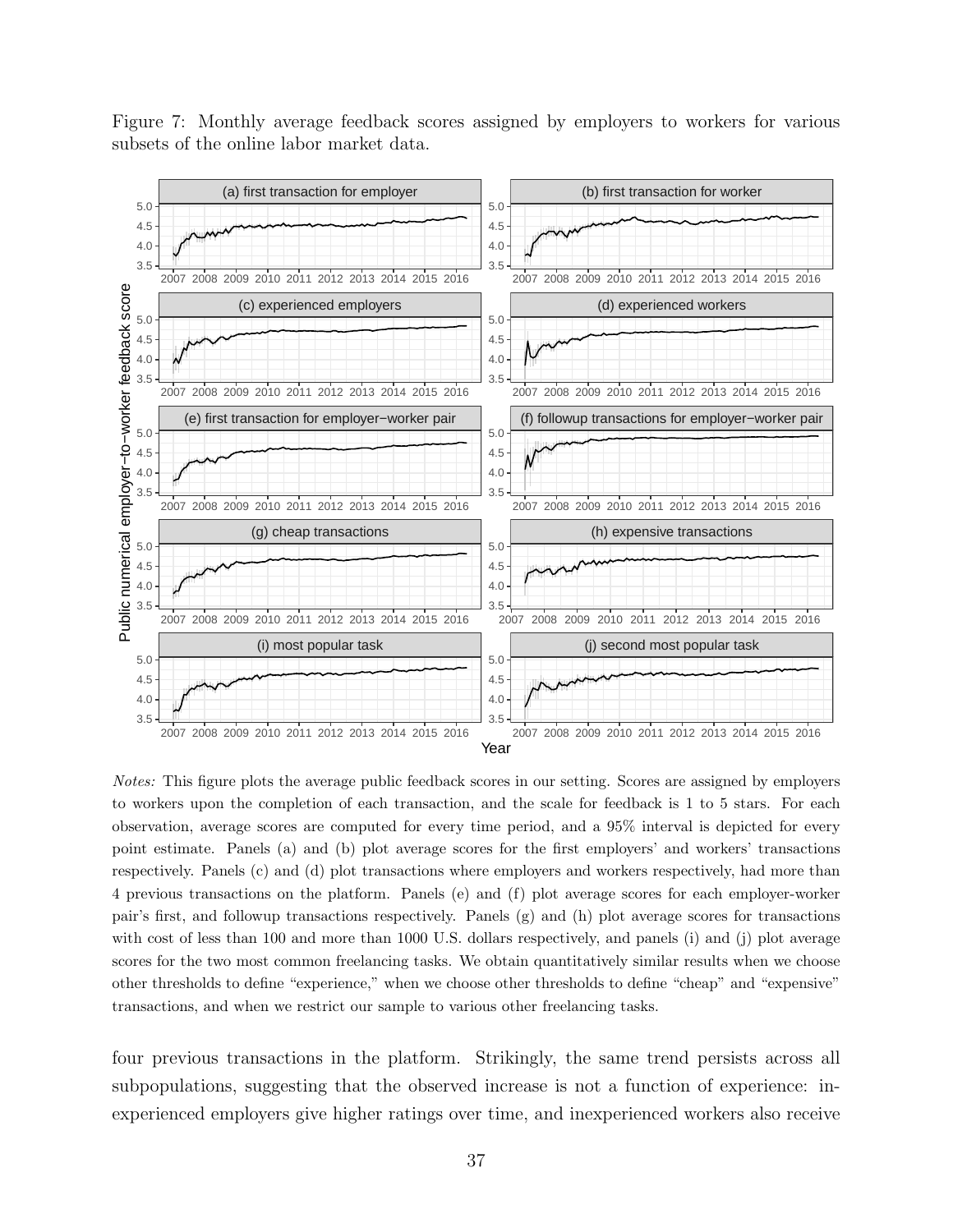<span id="page-36-0"></span>Figure 7: Monthly average feedback scores assigned by employers to workers for various subsets of the online labor market data.



Notes: This figure plots the average public feedback scores in our setting. Scores are assigned by employers to workers upon the completion of each transaction, and the scale for feedback is 1 to 5 stars. For each observation, average scores are computed for every time period, and a 95% interval is depicted for every point estimate. Panels (a) and (b) plot average scores for the first employers' and workers' transactions respectively. Panels (c) and (d) plot transactions where employers and workers respectively, had more than 4 previous transactions on the platform. Panels (e) and (f) plot average scores for each employer-worker pair's first, and followup transactions respectively. Panels (g) and (h) plot average scores for transactions with cost of less than 100 and more than 1000 U.S. dollars respectively, and panels (i) and (j) plot average scores for the two most common freelancing tasks. We obtain quantitatively similar results when we choose other thresholds to define "experience," when we choose other thresholds to define "cheap" and "expensive" transactions, and when we restrict our sample to various other freelancing tasks.

four previous transactions in the platform. Strikingly, the same trend persists across all subpopulations, suggesting that the observed increase is not a function of experience: inexperienced employers give higher ratings over time, and inexperienced workers also receive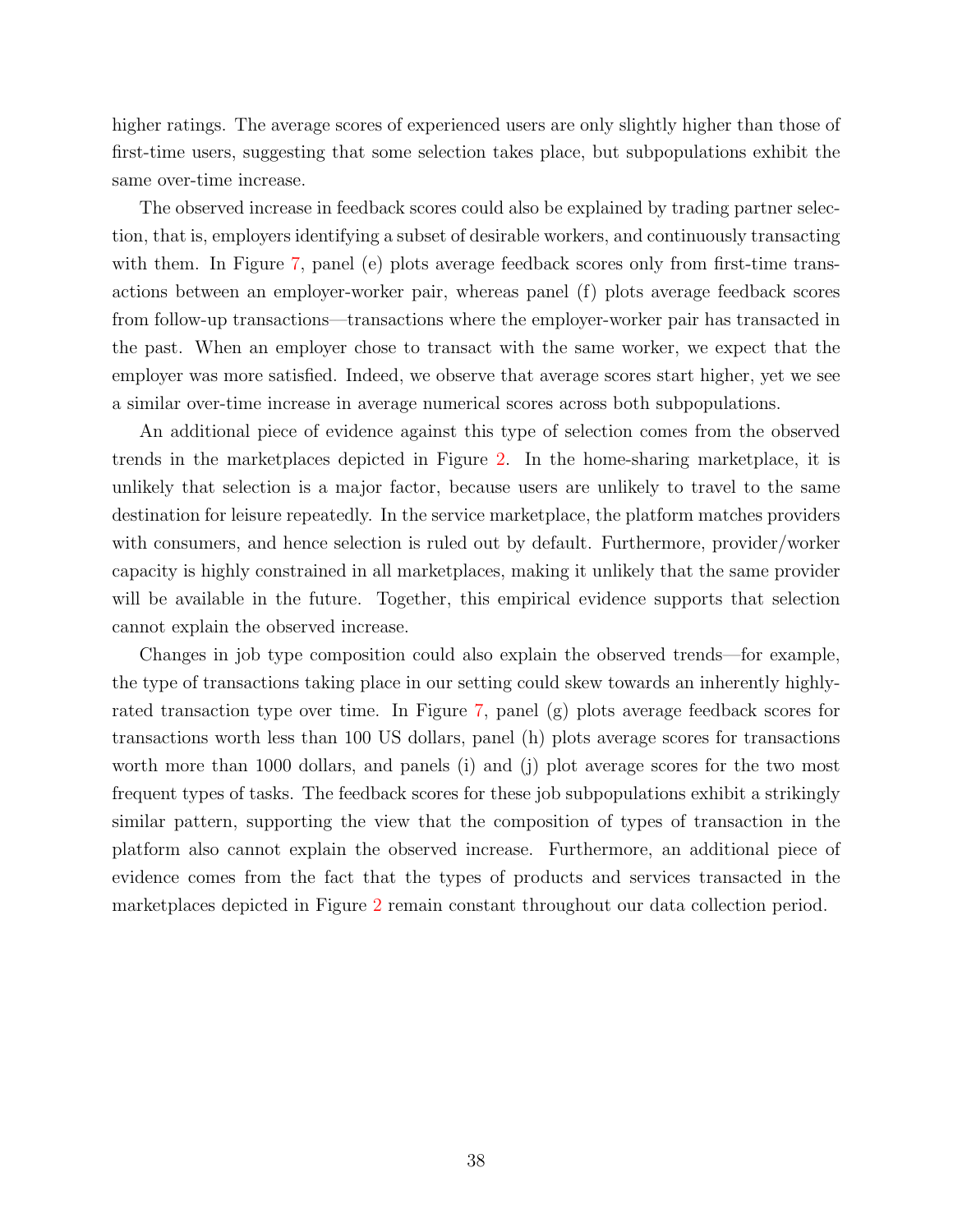higher ratings. The average scores of experienced users are only slightly higher than those of first-time users, suggesting that some selection takes place, but subpopulations exhibit the same over-time increase.

The observed increase in feedback scores could also be explained by trading partner selection, that is, employers identifying a subset of desirable workers, and continuously transacting with them. In Figure [7,](#page-36-0) panel (e) plots average feedback scores only from first-time transactions between an employer-worker pair, whereas panel (f) plots average feedback scores from follow-up transactions—transactions where the employer-worker pair has transacted in the past. When an employer chose to transact with the same worker, we expect that the employer was more satisfied. Indeed, we observe that average scores start higher, yet we see a similar over-time increase in average numerical scores across both subpopulations.

An additional piece of evidence against this type of selection comes from the observed trends in the marketplaces depicted in Figure [2.](#page-12-0) In the home-sharing marketplace, it is unlikely that selection is a major factor, because users are unlikely to travel to the same destination for leisure repeatedly. In the service marketplace, the platform matches providers with consumers, and hence selection is ruled out by default. Furthermore, provider/worker capacity is highly constrained in all marketplaces, making it unlikely that the same provider will be available in the future. Together, this empirical evidence supports that selection cannot explain the observed increase.

Changes in job type composition could also explain the observed trends—for example, the type of transactions taking place in our setting could skew towards an inherently highlyrated transaction type over time. In Figure [7,](#page-36-0) panel (g) plots average feedback scores for transactions worth less than 100 US dollars, panel (h) plots average scores for transactions worth more than 1000 dollars, and panels (i) and (j) plot average scores for the two most frequent types of tasks. The feedback scores for these job subpopulations exhibit a strikingly similar pattern, supporting the view that the composition of types of transaction in the platform also cannot explain the observed increase. Furthermore, an additional piece of evidence comes from the fact that the types of products and services transacted in the marketplaces depicted in Figure [2](#page-12-0) remain constant throughout our data collection period.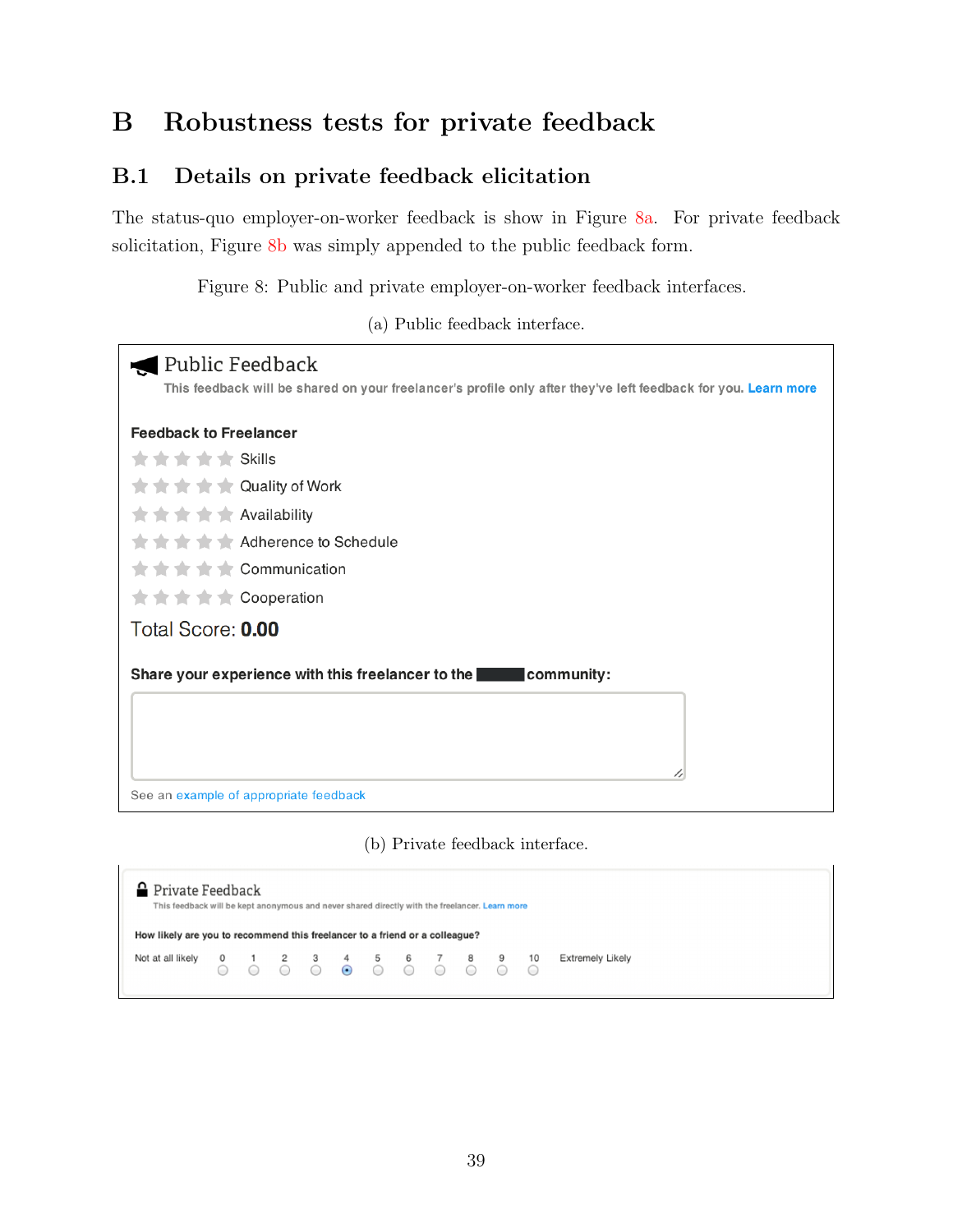# <span id="page-38-0"></span>B Robustness tests for private feedback

## B.1 Details on private feedback elicitation

<span id="page-38-1"></span>The status-quo employer-on-worker feedback is show in Figure [8a.](#page-38-1) For private feedback solicitation, Figure [8b](#page-38-1) was simply appended to the public feedback form.

Figure 8: Public and private employer-on-worker feedback interfaces.

(a) Public feedback interface.

| Public Feedback                                                                                                |
|----------------------------------------------------------------------------------------------------------------|
| This feedback will be shared on your freelancer's profile only after they've left feedback for you. Learn more |
| <b>Feedback to Freelancer</b>                                                                                  |
| <b>x x x x</b> Skills                                                                                          |
| <b>★★★★★ Quality of Work</b>                                                                                   |
| <b>★★★★★</b> Availability                                                                                      |
| <b>The Schedule</b>                                                                                            |
| $\bigstar \bigstar \bigstar \bigstar \bigstar$ Communication                                                   |
| <b>★★★★★ Cooperation</b>                                                                                       |
| Total Score: 0.00                                                                                              |
|                                                                                                                |
| Share your experience with this freelancer to the<br>community:                                                |
|                                                                                                                |
|                                                                                                                |
|                                                                                                                |
|                                                                                                                |
| See an example of appropriate feedback                                                                         |

(b) Private feedback interface.

| <b>P</b> Private Feedback<br>This feedback will be kept anonymous and never shared directly with the freelancer. Learn more                                                                                                                                               |  |  |  |  |  |                  |  |
|---------------------------------------------------------------------------------------------------------------------------------------------------------------------------------------------------------------------------------------------------------------------------|--|--|--|--|--|------------------|--|
| How likely are you to recommend this freelancer to a friend or a colleague?<br>Not at all likely 0 1 2 3 4 5 6 7 8 9 10<br>$\bigcirc$ $\bigcirc$ $\bigcirc$ $\bigcirc$ $\bigcirc$ $\bigcirc$ $\bigcirc$ $\bigcirc$ $\bigcirc$ $\bigcirc$ $\bigcirc$ $\bigcirc$ $\bigcirc$ |  |  |  |  |  | Extremely Likely |  |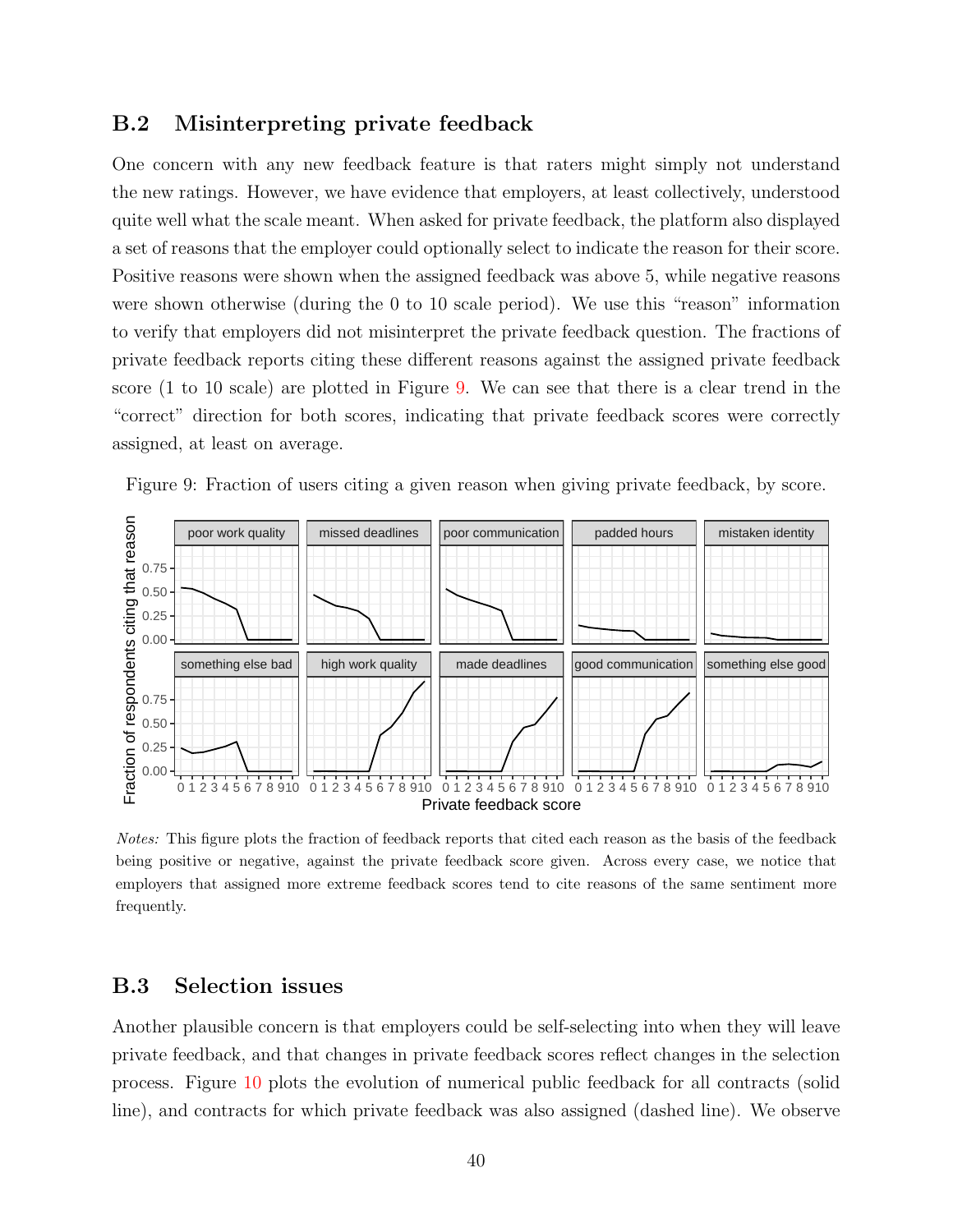### B.2 Misinterpreting private feedback

One concern with any new feedback feature is that raters might simply not understand the new ratings. However, we have evidence that employers, at least collectively, understood quite well what the scale meant. When asked for private feedback, the platform also displayed a set of reasons that the employer could optionally select to indicate the reason for their score. Positive reasons were shown when the assigned feedback was above 5, while negative reasons were shown otherwise (during the 0 to 10 scale period). We use this "reason" information to verify that employers did not misinterpret the private feedback question. The fractions of private feedback reports citing these different reasons against the assigned private feedback score (1 to 10 scale) are plotted in Figure [9.](#page-39-0) We can see that there is a clear trend in the "correct" direction for both scores, indicating that private feedback scores were correctly assigned, at least on average.

<span id="page-39-0"></span>



Notes: This figure plots the fraction of feedback reports that cited each reason as the basis of the feedback being positive or negative, against the private feedback score given. Across every case, we notice that employers that assigned more extreme feedback scores tend to cite reasons of the same sentiment more frequently.

### B.3 Selection issues

Another plausible concern is that employers could be self-selecting into when they will leave private feedback, and that changes in private feedback scores reflect changes in the selection process. Figure [10](#page-40-0) plots the evolution of numerical public feedback for all contracts (solid line), and contracts for which private feedback was also assigned (dashed line). We observe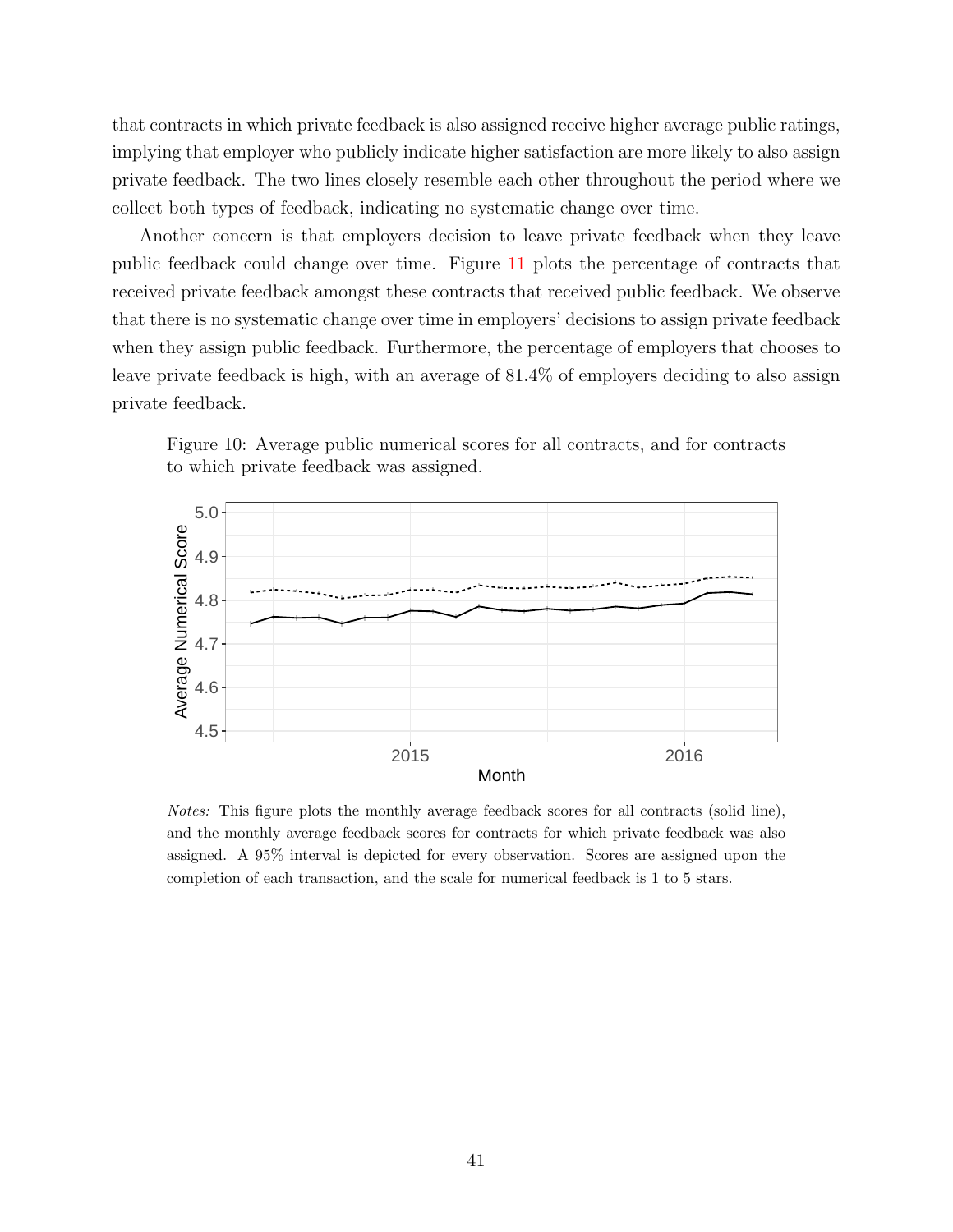that contracts in which private feedback is also assigned receive higher average public ratings, implying that employer who publicly indicate higher satisfaction are more likely to also assign private feedback. The two lines closely resemble each other throughout the period where we collect both types of feedback, indicating no systematic change over time.

Another concern is that employers decision to leave private feedback when they leave public feedback could change over time. Figure [11](#page-41-0) plots the percentage of contracts that received private feedback amongst these contracts that received public feedback. We observe that there is no systematic change over time in employers' decisions to assign private feedback when they assign public feedback. Furthermore, the percentage of employers that chooses to leave private feedback is high, with an average of 81.4% of employers deciding to also assign private feedback.



<span id="page-40-0"></span>Figure 10: Average public numerical scores for all contracts, and for contracts to which private feedback was assigned.

Notes: This figure plots the monthly average feedback scores for all contracts (solid line), and the monthly average feedback scores for contracts for which private feedback was also assigned. A 95% interval is depicted for every observation. Scores are assigned upon the completion of each transaction, and the scale for numerical feedback is 1 to 5 stars.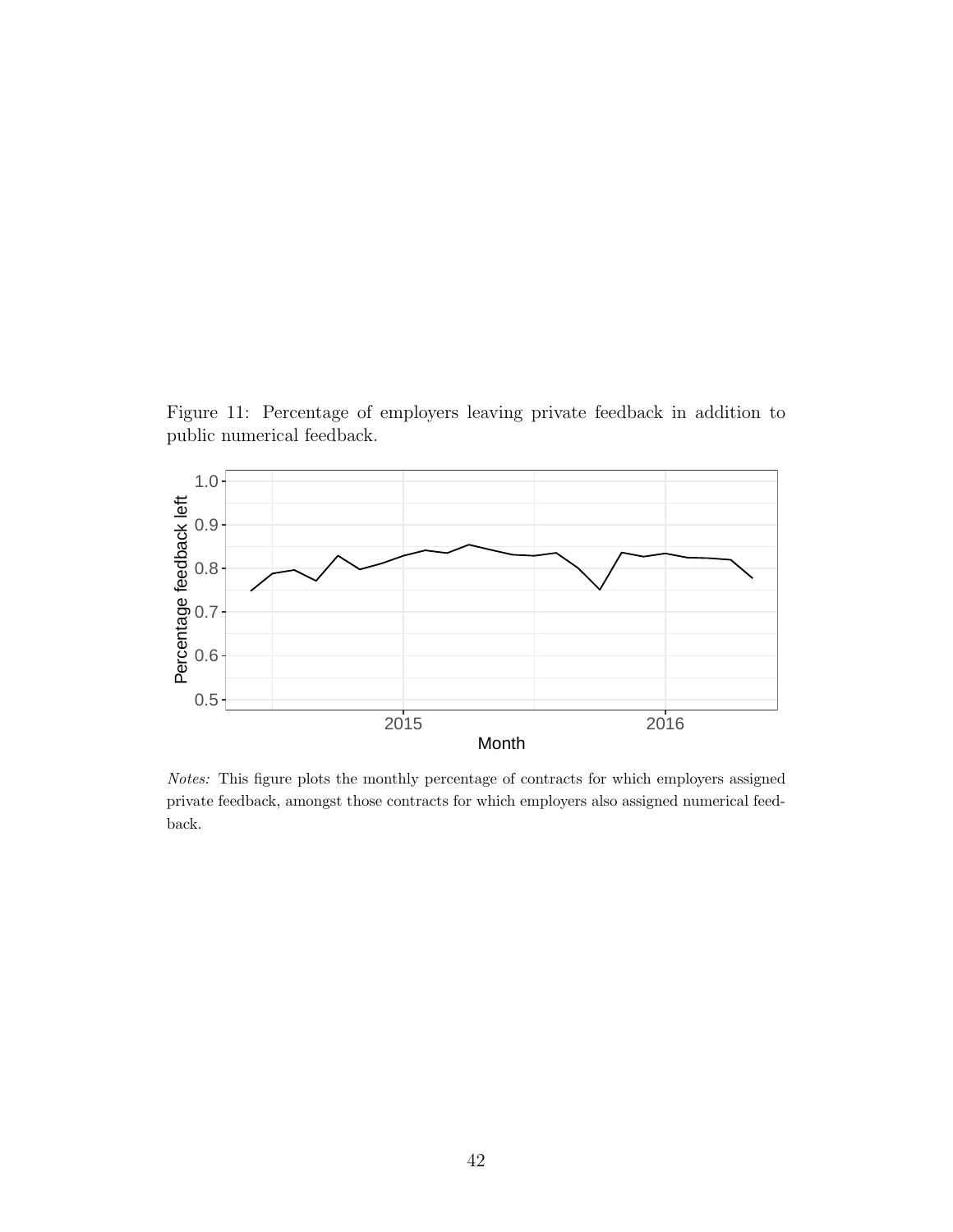<span id="page-41-0"></span>Figure 11: Percentage of employers leaving private feedback in addition to public numerical feedback.



Notes: This figure plots the monthly percentage of contracts for which employers assigned private feedback, amongst those contracts for which employers also assigned numerical feedback.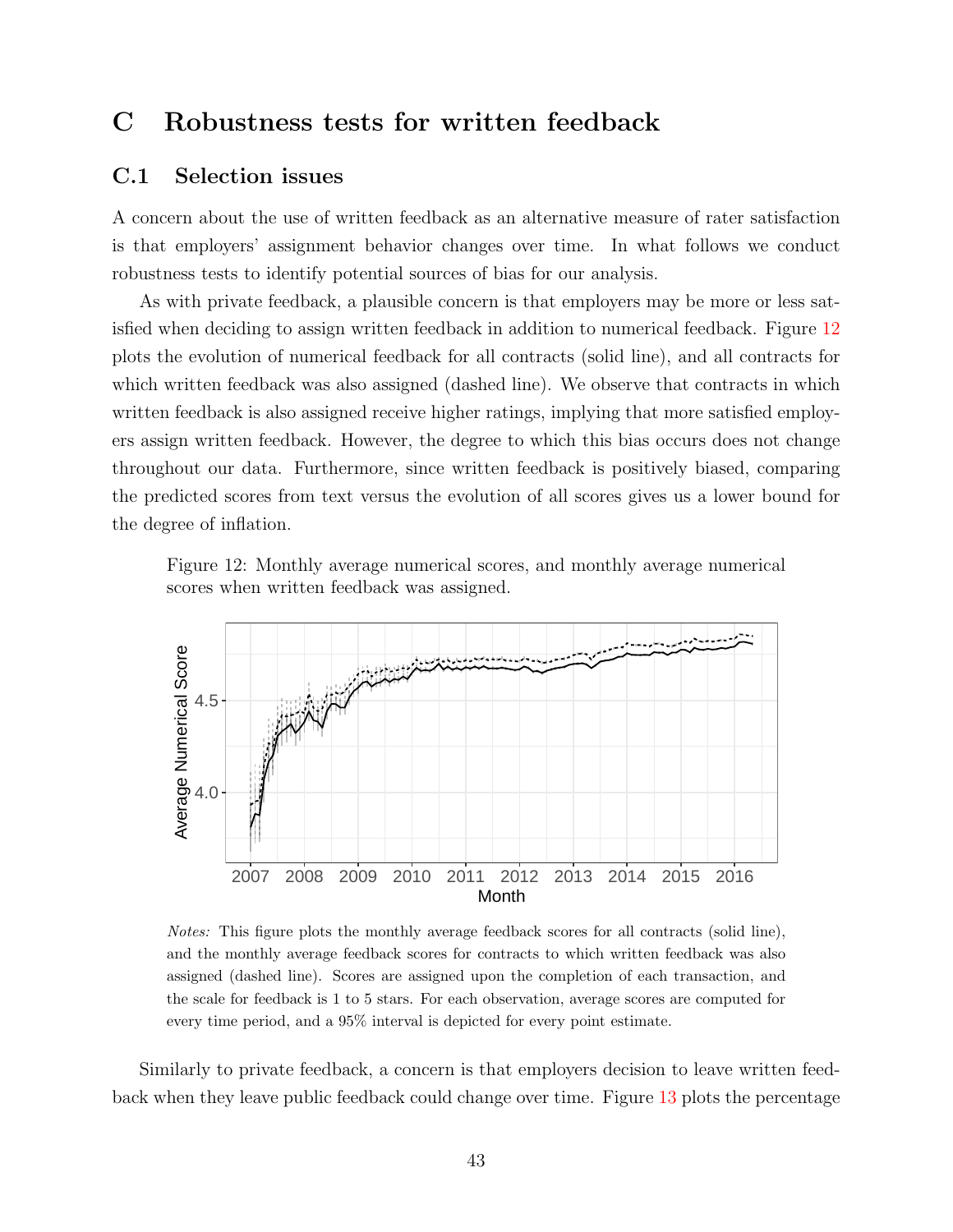# <span id="page-42-0"></span>C Robustness tests for written feedback

### C.1 Selection issues

A concern about the use of written feedback as an alternative measure of rater satisfaction is that employers' assignment behavior changes over time. In what follows we conduct robustness tests to identify potential sources of bias for our analysis.

As with private feedback, a plausible concern is that employers may be more or less satisfied when deciding to assign written feedback in addition to numerical feedback. Figure [12](#page-42-1) plots the evolution of numerical feedback for all contracts (solid line), and all contracts for which written feedback was also assigned (dashed line). We observe that contracts in which written feedback is also assigned receive higher ratings, implying that more satisfied employers assign written feedback. However, the degree to which this bias occurs does not change throughout our data. Furthermore, since written feedback is positively biased, comparing the predicted scores from text versus the evolution of all scores gives us a lower bound for the degree of inflation.

<span id="page-42-1"></span>Figure 12: Monthly average numerical scores, and monthly average numerical scores when written feedback was assigned.



Notes: This figure plots the monthly average feedback scores for all contracts (solid line), and the monthly average feedback scores for contracts to which written feedback was also assigned (dashed line). Scores are assigned upon the completion of each transaction, and the scale for feedback is 1 to 5 stars. For each observation, average scores are computed for every time period, and a 95% interval is depicted for every point estimate.

Similarly to private feedback, a concern is that employers decision to leave written feedback when they leave public feedback could change over time. Figure [13](#page-43-0) plots the percentage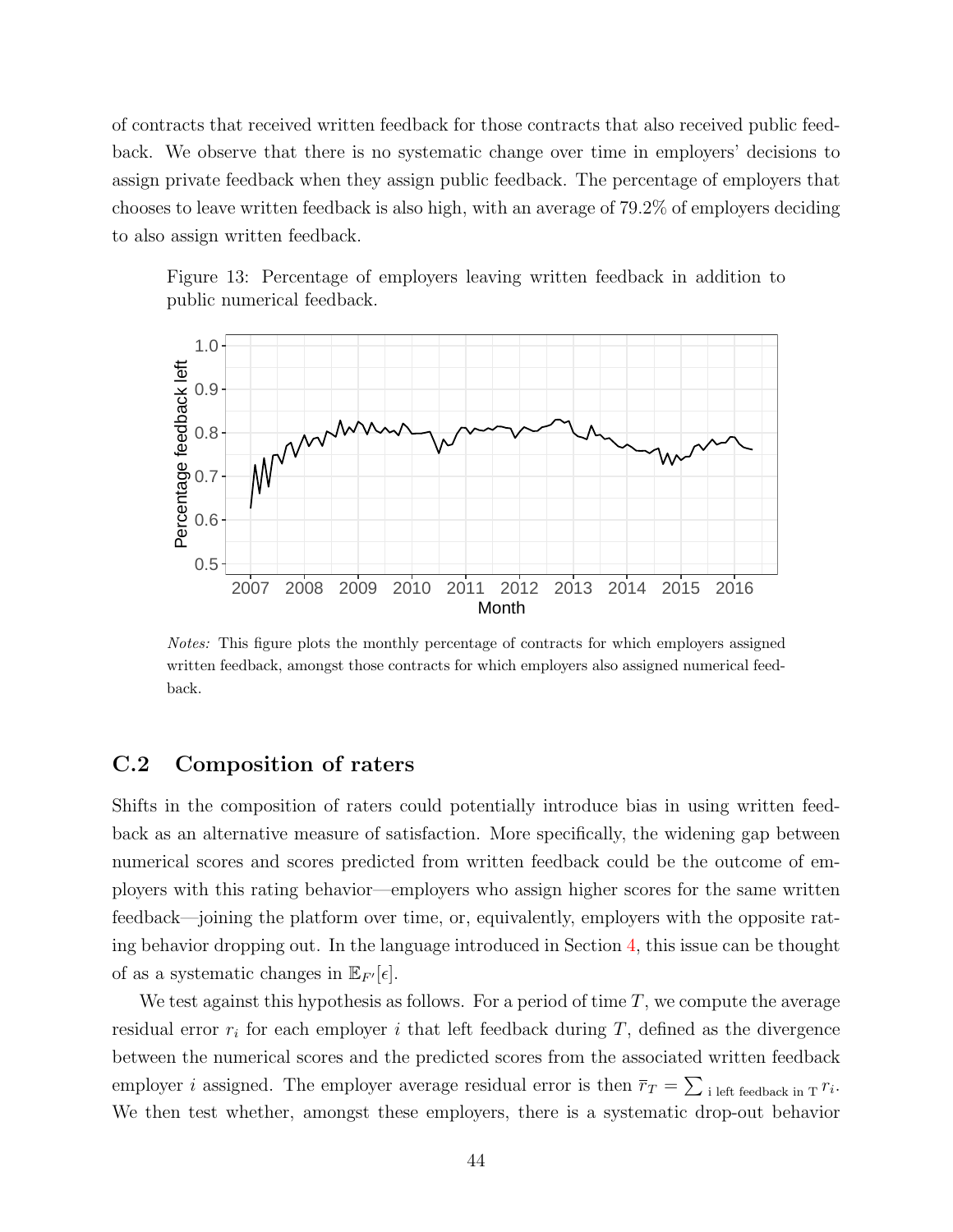of contracts that received written feedback for those contracts that also received public feedback. We observe that there is no systematic change over time in employers' decisions to assign private feedback when they assign public feedback. The percentage of employers that chooses to leave written feedback is also high, with an average of 79.2% of employers deciding to also assign written feedback.

<span id="page-43-0"></span>Figure 13: Percentage of employers leaving written feedback in addition to public numerical feedback.



Notes: This figure plots the monthly percentage of contracts for which employers assigned written feedback, amongst those contracts for which employers also assigned numerical feedback.

### C.2 Composition of raters

Shifts in the composition of raters could potentially introduce bias in using written feedback as an alternative measure of satisfaction. More specifically, the widening gap between numerical scores and scores predicted from written feedback could be the outcome of employers with this rating behavior—employers who assign higher scores for the same written feedback—joining the platform over time, or, equivalently, employers with the opposite rating behavior dropping out. In the language introduced in Section [4,](#page-20-0) this issue can be thought of as a systematic changes in  $\mathbb{E}_{F}[\epsilon]$ .

We test against this hypothesis as follows. For a period of time  $T$ , we compute the average residual error  $r_i$  for each employer i that left feedback during T, defined as the divergence between the numerical scores and the predicted scores from the associated written feedback employer i assigned. The employer average residual error is then  $\overline{r}_T = \sum_{i}$  left feedback in T<sup>r<sub>i</sub></sub>.</sup> We then test whether, amongst these employers, there is a systematic drop-out behavior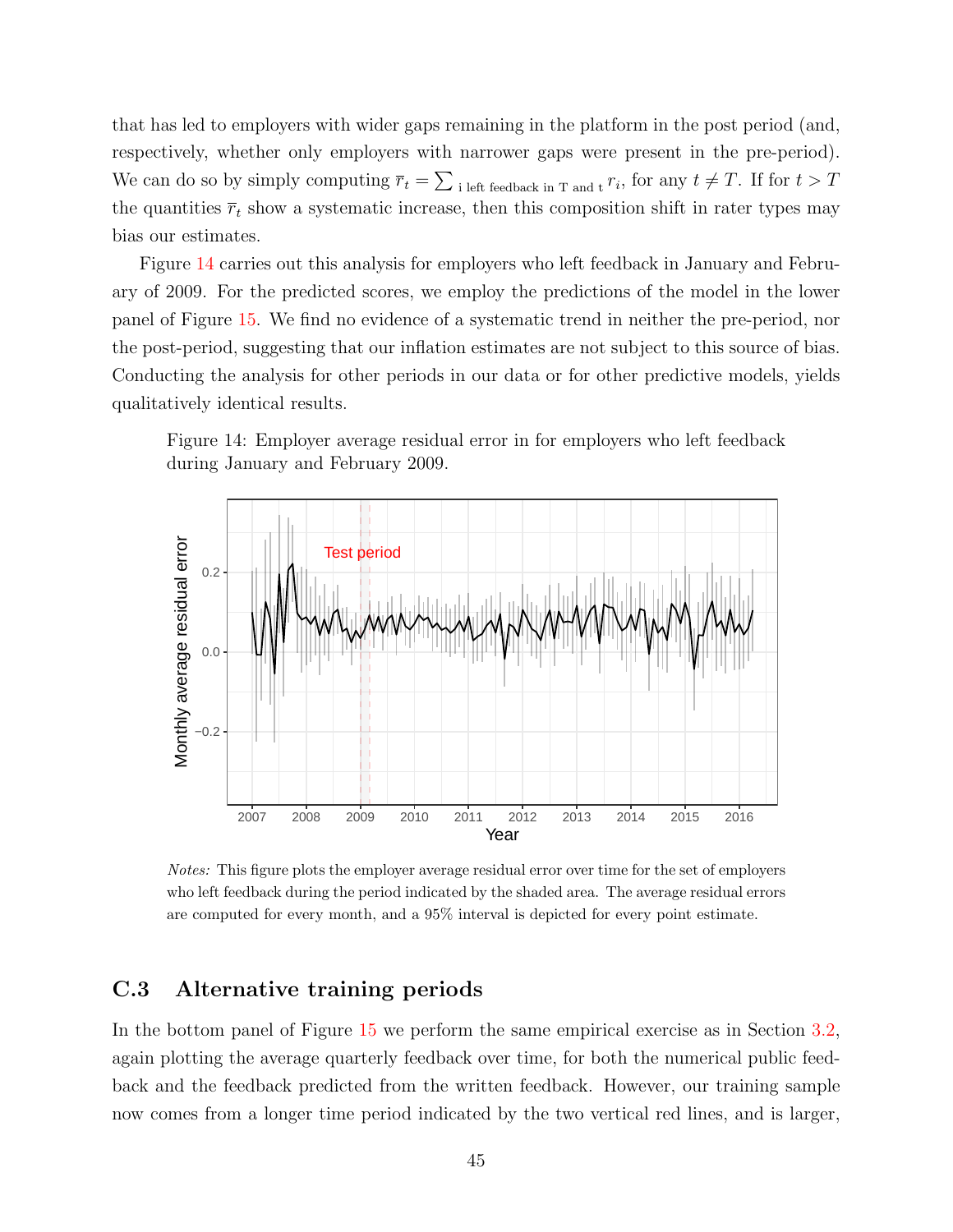that has led to employers with wider gaps remaining in the platform in the post period (and, respectively, whether only employers with narrower gaps were present in the pre-period). We can do so by simply computing  $\overline{r}_t = \sum_{i \text{ left feedback in } T \text{ and } t} r_i$ , for any  $t \neq T$ . If for  $t > T$ the quantities  $\bar{r}_t$  show a systematic increase, then this composition shift in rater types may bias our estimates.

Figure [14](#page-44-0) carries out this analysis for employers who left feedback in January and February of 2009. For the predicted scores, we employ the predictions of the model in the lower panel of Figure [15.](#page-46-0) We find no evidence of a systematic trend in neither the pre-period, nor the post-period, suggesting that our inflation estimates are not subject to this source of bias. Conducting the analysis for other periods in our data or for other predictive models, yields qualitatively identical results.

<span id="page-44-0"></span>



Notes: This figure plots the employer average residual error over time for the set of employers who left feedback during the period indicated by the shaded area. The average residual errors are computed for every month, and a 95% interval is depicted for every point estimate.

### C.3 Alternative training periods

In the bottom panel of Figure [15](#page-46-0) we perform the same empirical exercise as in Section [3.2,](#page-18-0) again plotting the average quarterly feedback over time, for both the numerical public feedback and the feedback predicted from the written feedback. However, our training sample now comes from a longer time period indicated by the two vertical red lines, and is larger,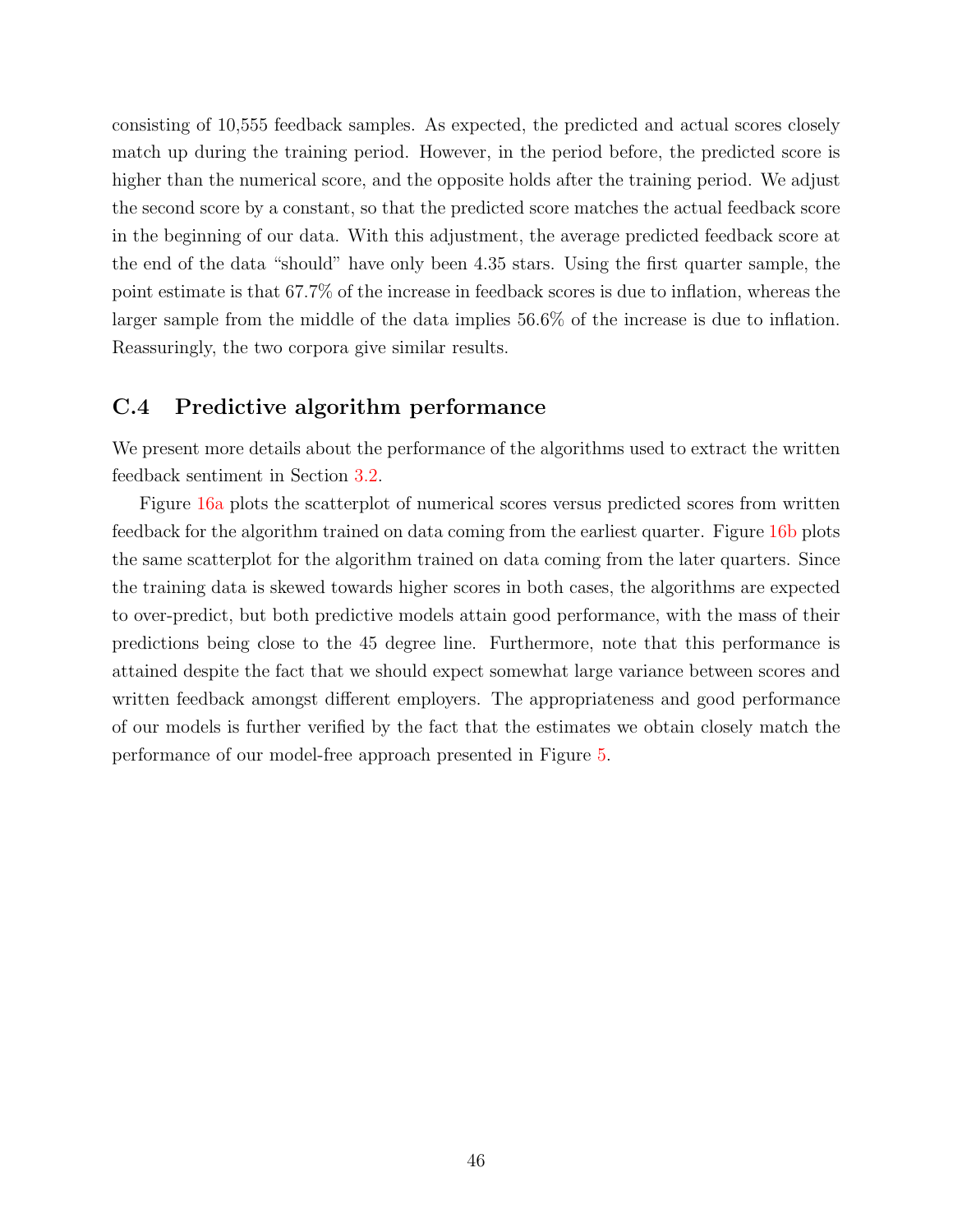consisting of 10,555 feedback samples. As expected, the predicted and actual scores closely match up during the training period. However, in the period before, the predicted score is higher than the numerical score, and the opposite holds after the training period. We adjust the second score by a constant, so that the predicted score matches the actual feedback score in the beginning of our data. With this adjustment, the average predicted feedback score at the end of the data "should" have only been 4.35 stars. Using the first quarter sample, the point estimate is that 67.7% of the increase in feedback scores is due to inflation, whereas the larger sample from the middle of the data implies 56.6% of the increase is due to inflation. Reassuringly, the two corpora give similar results.

### C.4 Predictive algorithm performance

We present more details about the performance of the algorithms used to extract the written feedback sentiment in Section [3.2.](#page-18-0)

Figure [16a](#page-47-0) plots the scatterplot of numerical scores versus predicted scores from written feedback for the algorithm trained on data coming from the earliest quarter. Figure [16b](#page-47-0) plots the same scatterplot for the algorithm trained on data coming from the later quarters. Since the training data is skewed towards higher scores in both cases, the algorithms are expected to over-predict, but both predictive models attain good performance, with the mass of their predictions being close to the 45 degree line. Furthermore, note that this performance is attained despite the fact that we should expect somewhat large variance between scores and written feedback amongst different employers. The appropriateness and good performance of our models is further verified by the fact that the estimates we obtain closely match the performance of our model-free approach presented in Figure [5.](#page-20-1)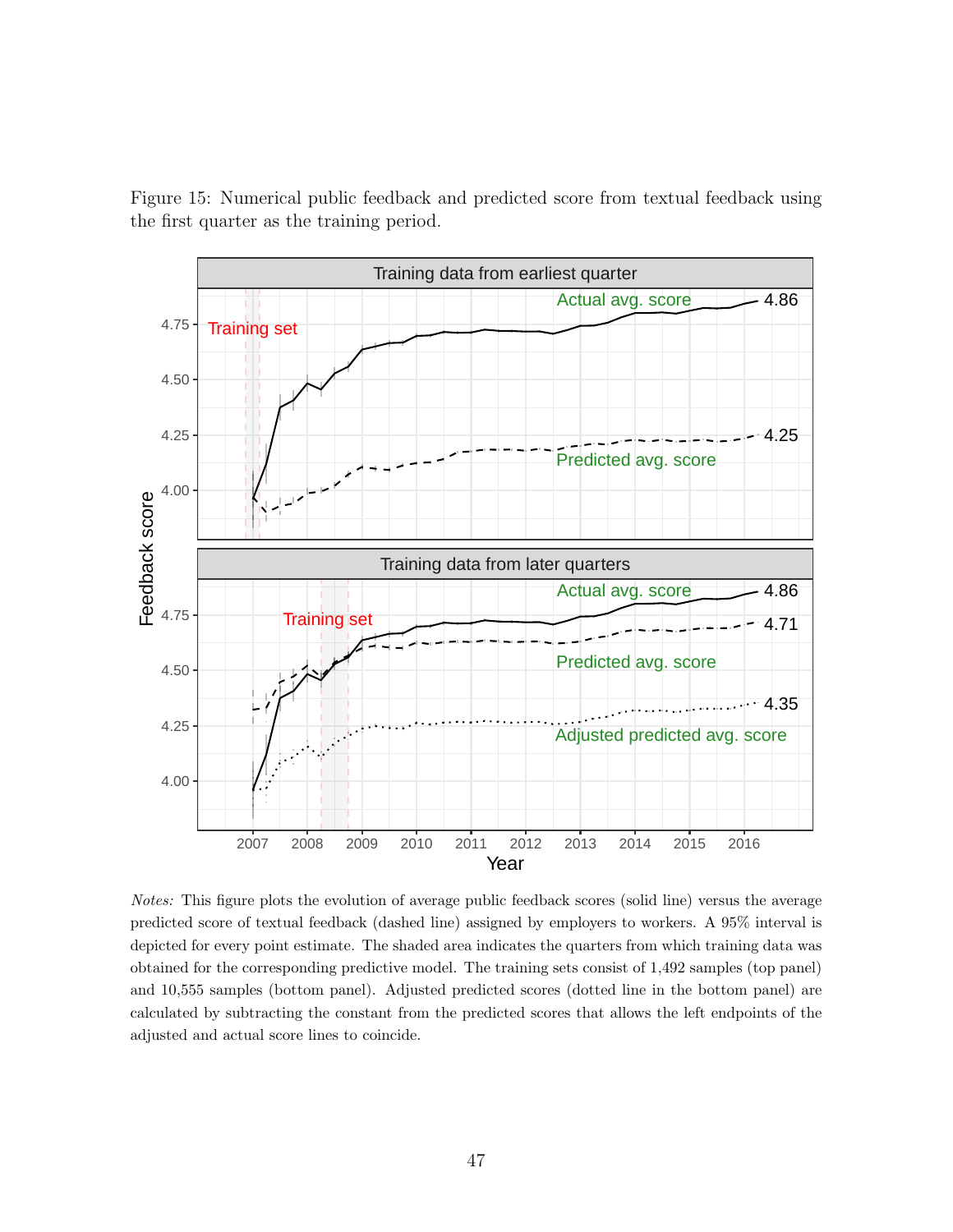<span id="page-46-0"></span>Figure 15: Numerical public feedback and predicted score from textual feedback using the first quarter as the training period.



Notes: This figure plots the evolution of average public feedback scores (solid line) versus the average predicted score of textual feedback (dashed line) assigned by employers to workers. A 95% interval is depicted for every point estimate. The shaded area indicates the quarters from which training data was obtained for the corresponding predictive model. The training sets consist of 1,492 samples (top panel) and 10,555 samples (bottom panel). Adjusted predicted scores (dotted line in the bottom panel) are calculated by subtracting the constant from the predicted scores that allows the left endpoints of the adjusted and actual score lines to coincide.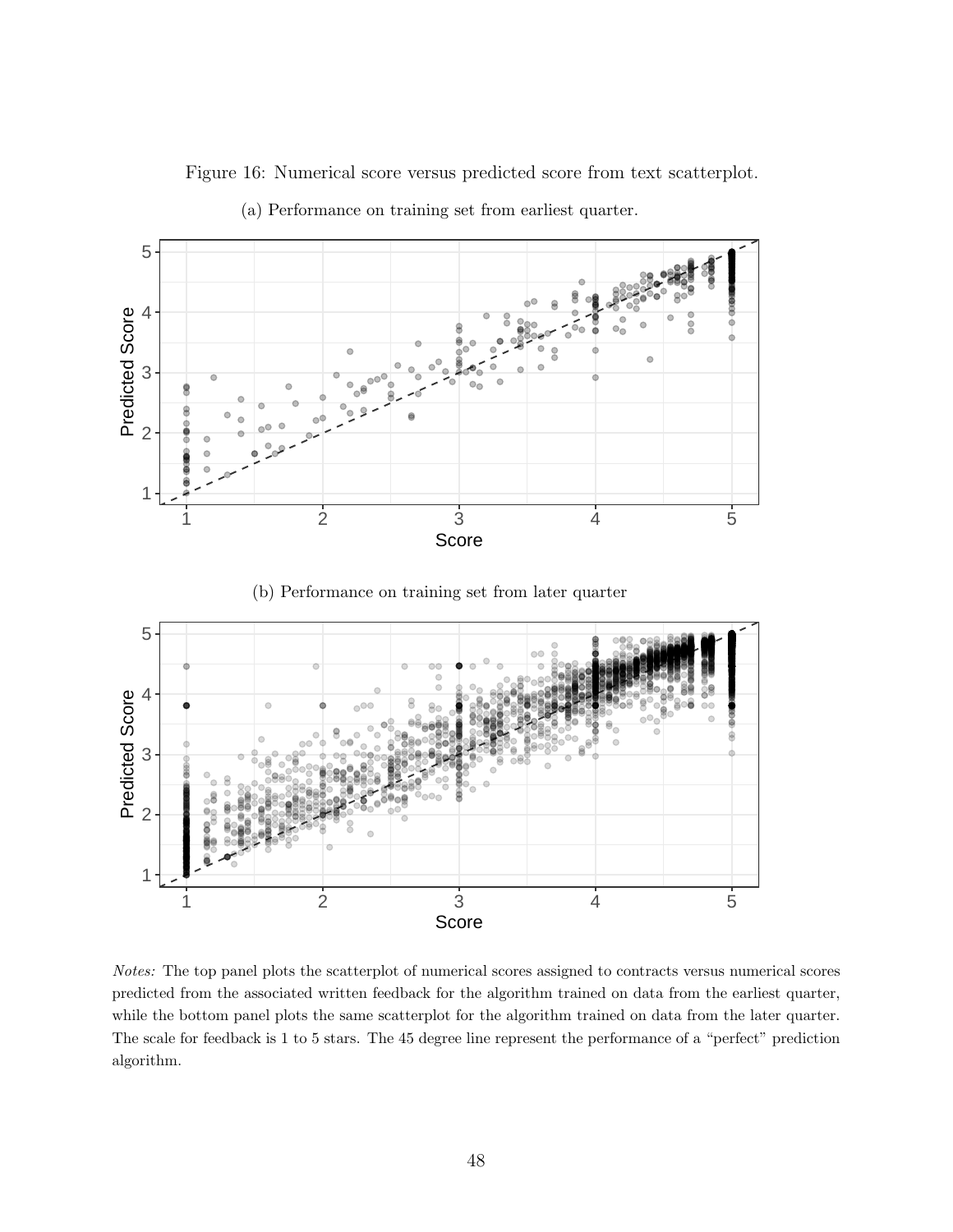Figure 16: Numerical score versus predicted score from text scatterplot.

<span id="page-47-0"></span>

(a) Performance on training set from earliest quarter.

(b) Performance on training set from later quarter



Notes: The top panel plots the scatterplot of numerical scores assigned to contracts versus numerical scores predicted from the associated written feedback for the algorithm trained on data from the earliest quarter, while the bottom panel plots the same scatterplot for the algorithm trained on data from the later quarter. The scale for feedback is 1 to 5 stars. The 45 degree line represent the performance of a "perfect" prediction algorithm.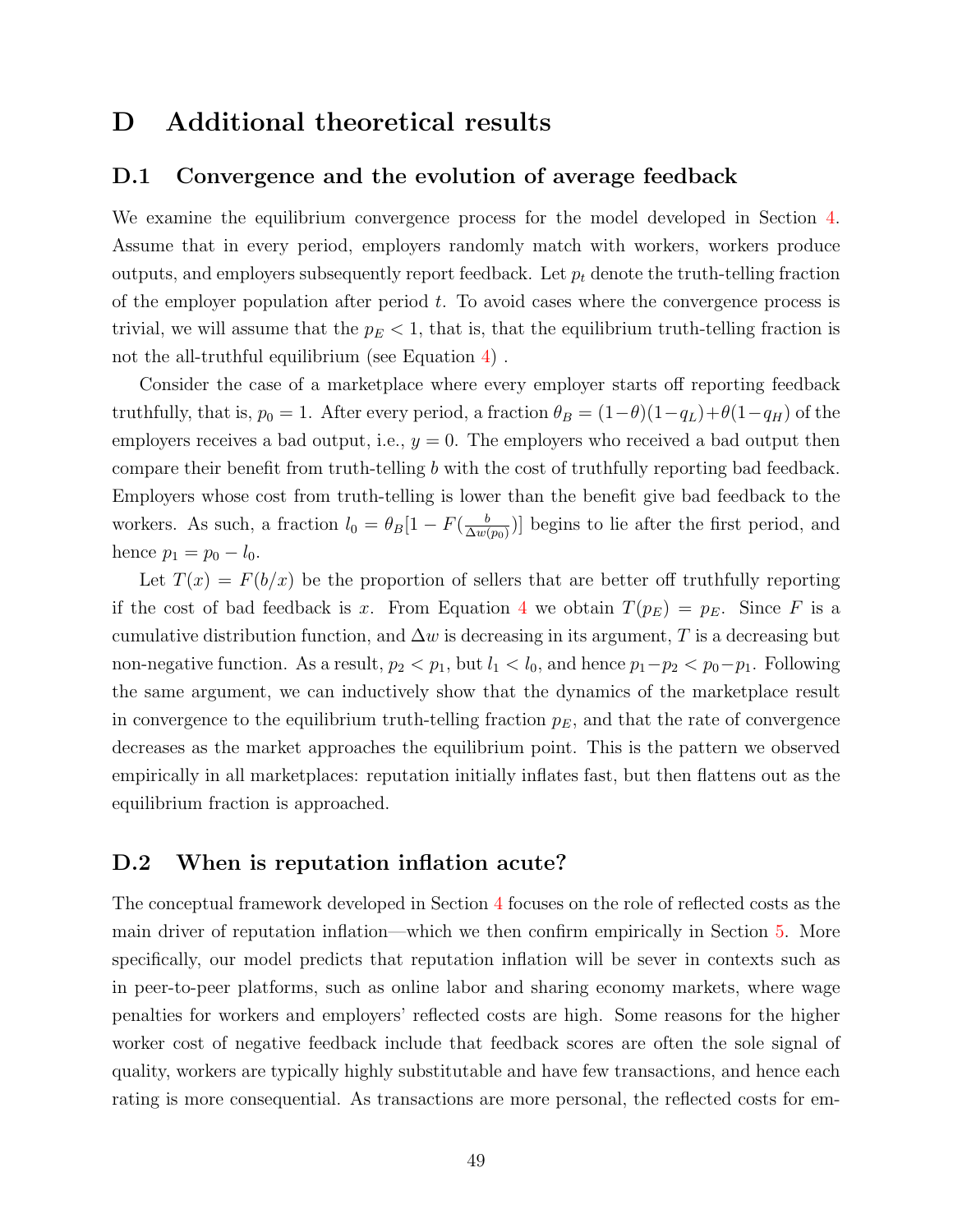### D Additional theoretical results

### <span id="page-48-0"></span>D.1 Convergence and the evolution of average feedback

We examine the equilibrium convergence process for the model developed in Section [4.](#page-20-0) Assume that in every period, employers randomly match with workers, workers produce outputs, and employers subsequently report feedback. Let  $p_t$  denote the truth-telling fraction of the employer population after period  $t$ . To avoid cases where the convergence process is trivial, we will assume that the  $p_E < 1$ , that is, that the equilibrium truth-telling fraction is not the all-truthful equilibrium (see Equation [4\)](#page-23-0) .

Consider the case of a marketplace where every employer starts off reporting feedback truthfully, that is,  $p_0 = 1$ . After every period, a fraction  $\theta_B = (1-\theta)(1-q_L)+\theta(1-q_H)$  of the employers receives a bad output, i.e.,  $y = 0$ . The employers who received a bad output then compare their benefit from truth-telling b with the cost of truthfully reporting bad feedback. Employers whose cost from truth-telling is lower than the benefit give bad feedback to the workers. As such, a fraction  $l_0 = \theta_B[1 - F(\frac{b}{\Delta w_0})]$  $\frac{b}{\Delta w(p_0)}$ ] begins to lie after the first period, and hence  $p_1 = p_0 - l_0$ .

Let  $T(x) = F(b/x)$  be the proportion of sellers that are better off truthfully reporting if the cost of bad feedback is x. From Equation [4](#page-23-0) we obtain  $T(p_E) = p_E$ . Since F is a cumulative distribution function, and  $\Delta w$  is decreasing in its argument, T is a decreasing but non-negative function. As a result,  $p_2 < p_1$ , but  $l_1 < l_0$ , and hence  $p_1-p_2 < p_0-p_1$ . Following the same argument, we can inductively show that the dynamics of the marketplace result in convergence to the equilibrium truth-telling fraction  $p_E$ , and that the rate of convergence decreases as the market approaches the equilibrium point. This is the pattern we observed empirically in all marketplaces: reputation initially inflates fast, but then flattens out as the equilibrium fraction is approached.

### <span id="page-48-1"></span>D.2 When is reputation inflation acute?

The conceptual framework developed in Section [4](#page-20-0) focuses on the role of reflected costs as the main driver of reputation inflation—which we then confirm empirically in Section [5.](#page-24-0) More specifically, our model predicts that reputation inflation will be sever in contexts such as in peer-to-peer platforms, such as online labor and sharing economy markets, where wage penalties for workers and employers' reflected costs are high. Some reasons for the higher worker cost of negative feedback include that feedback scores are often the sole signal of quality, workers are typically highly substitutable and have few transactions, and hence each rating is more consequential. As transactions are more personal, the reflected costs for em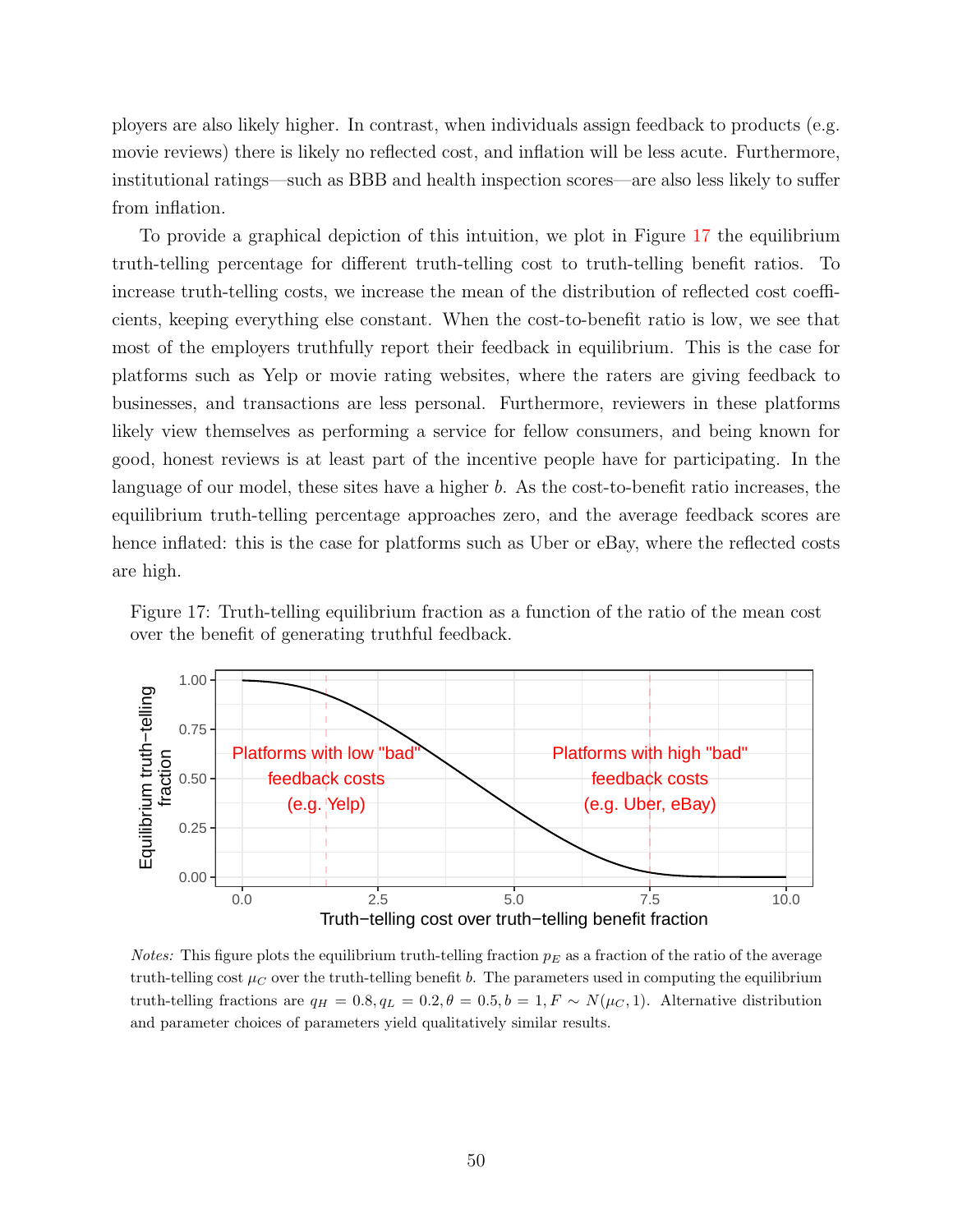ployers are also likely higher. In contrast, when individuals assign feedback to products (e.g. movie reviews) there is likely no reflected cost, and inflation will be less acute. Furthermore, institutional ratings—such as BBB and health inspection scores—are also less likely to suffer from inflation.

To provide a graphical depiction of this intuition, we plot in Figure [17](#page-49-0) the equilibrium truth-telling percentage for different truth-telling cost to truth-telling benefit ratios. To increase truth-telling costs, we increase the mean of the distribution of reflected cost coefficients, keeping everything else constant. When the cost-to-benefit ratio is low, we see that most of the employers truthfully report their feedback in equilibrium. This is the case for platforms such as Yelp or movie rating websites, where the raters are giving feedback to businesses, and transactions are less personal. Furthermore, reviewers in these platforms likely view themselves as performing a service for fellow consumers, and being known for good, honest reviews is at least part of the incentive people have for participating. In the language of our model, these sites have a higher b. As the cost-to-benefit ratio increases, the equilibrium truth-telling percentage approaches zero, and the average feedback scores are hence inflated: this is the case for platforms such as Uber or eBay, where the reflected costs are high.

<span id="page-49-0"></span>



*Notes:* This figure plots the equilibrium truth-telling fraction  $p_E$  as a fraction of the ratio of the average truth-telling cost  $\mu_C$  over the truth-telling benefit b. The parameters used in computing the equilibrium truth-telling fractions are  $q_H = 0.8, q_L = 0.2, \theta = 0.5, b = 1, F \sim N(\mu_C, 1)$ . Alternative distribution and parameter choices of parameters yield qualitatively similar results.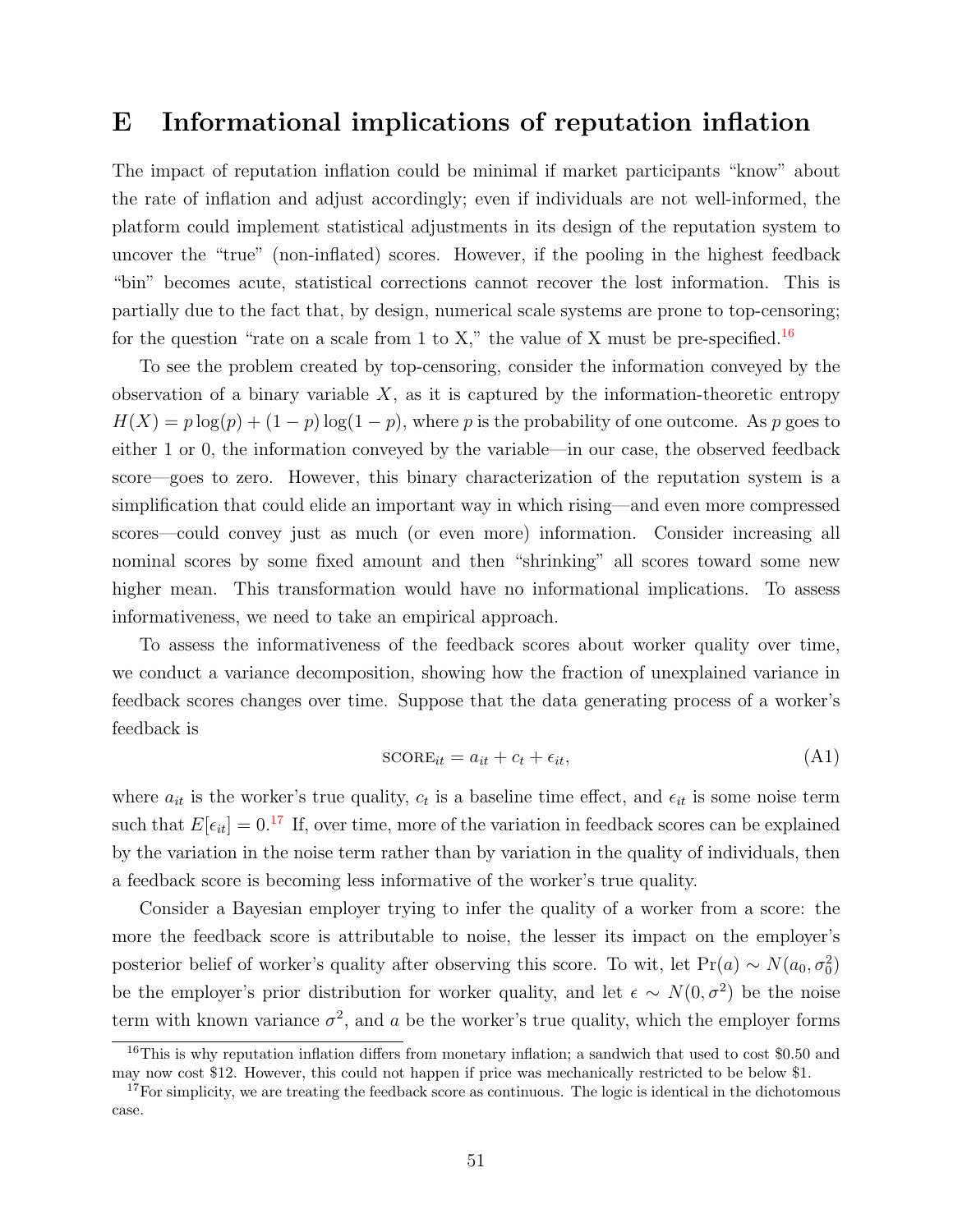### <span id="page-50-0"></span>E Informational implications of reputation inflation

The impact of reputation inflation could be minimal if market participants "know" about the rate of inflation and adjust accordingly; even if individuals are not well-informed, the platform could implement statistical adjustments in its design of the reputation system to uncover the "true" (non-inflated) scores. However, if the pooling in the highest feedback "bin" becomes acute, statistical corrections cannot recover the lost information. This is partially due to the fact that, by design, numerical scale systems are prone to top-censoring; for the question "rate on a scale from 1 to X," the value of X must be pre-specified.<sup>[16](#page-0-0)</sup>

To see the problem created by top-censoring, consider the information conveyed by the observation of a binary variable  $X$ , as it is captured by the information-theoretic entropy  $H(X) = p \log(p) + (1 - p) \log(1 - p)$ , where p is the probability of one outcome. As p goes to either 1 or 0, the information conveyed by the variable—in our case, the observed feedback score—goes to zero. However, this binary characterization of the reputation system is a simplification that could elide an important way in which rising—and even more compressed scores—could convey just as much (or even more) information. Consider increasing all nominal scores by some fixed amount and then "shrinking" all scores toward some new higher mean. This transformation would have no informational implications. To assess informativeness, we need to take an empirical approach.

To assess the informativeness of the feedback scores about worker quality over time, we conduct a variance decomposition, showing how the fraction of unexplained variance in feedback scores changes over time. Suppose that the data generating process of a worker's feedback is

<span id="page-50-1"></span>
$$
SCORE_{it} = a_{it} + c_t + \epsilon_{it}, \tag{A1}
$$

where  $a_{it}$  is the worker's true quality,  $c_t$  is a baseline time effect, and  $\epsilon_{it}$  is some noise term such that  $E[\epsilon_{it}] = 0.17$  $E[\epsilon_{it}] = 0.17$  If, over time, more of the variation in feedback scores can be explained by the variation in the noise term rather than by variation in the quality of individuals, then a feedback score is becoming less informative of the worker's true quality.

Consider a Bayesian employer trying to infer the quality of a worker from a score: the more the feedback score is attributable to noise, the lesser its impact on the employer's posterior belief of worker's quality after observing this score. To wit, let Pr(a) ~  $N(a_0, \sigma_0^2)$ be the employer's prior distribution for worker quality, and let  $\epsilon \sim N(0, \sigma^2)$  be the noise term with known variance  $\sigma^2$ , and a be the worker's true quality, which the employer forms

<sup>&</sup>lt;sup>16</sup>This is why reputation inflation differs from monetary inflation; a sandwich that used to cost \$0.50 and may now cost \$12. However, this could not happen if price was mechanically restricted to be below \$1.

 $17$  For simplicity, we are treating the feedback score as continuous. The logic is identical in the dichotomous case.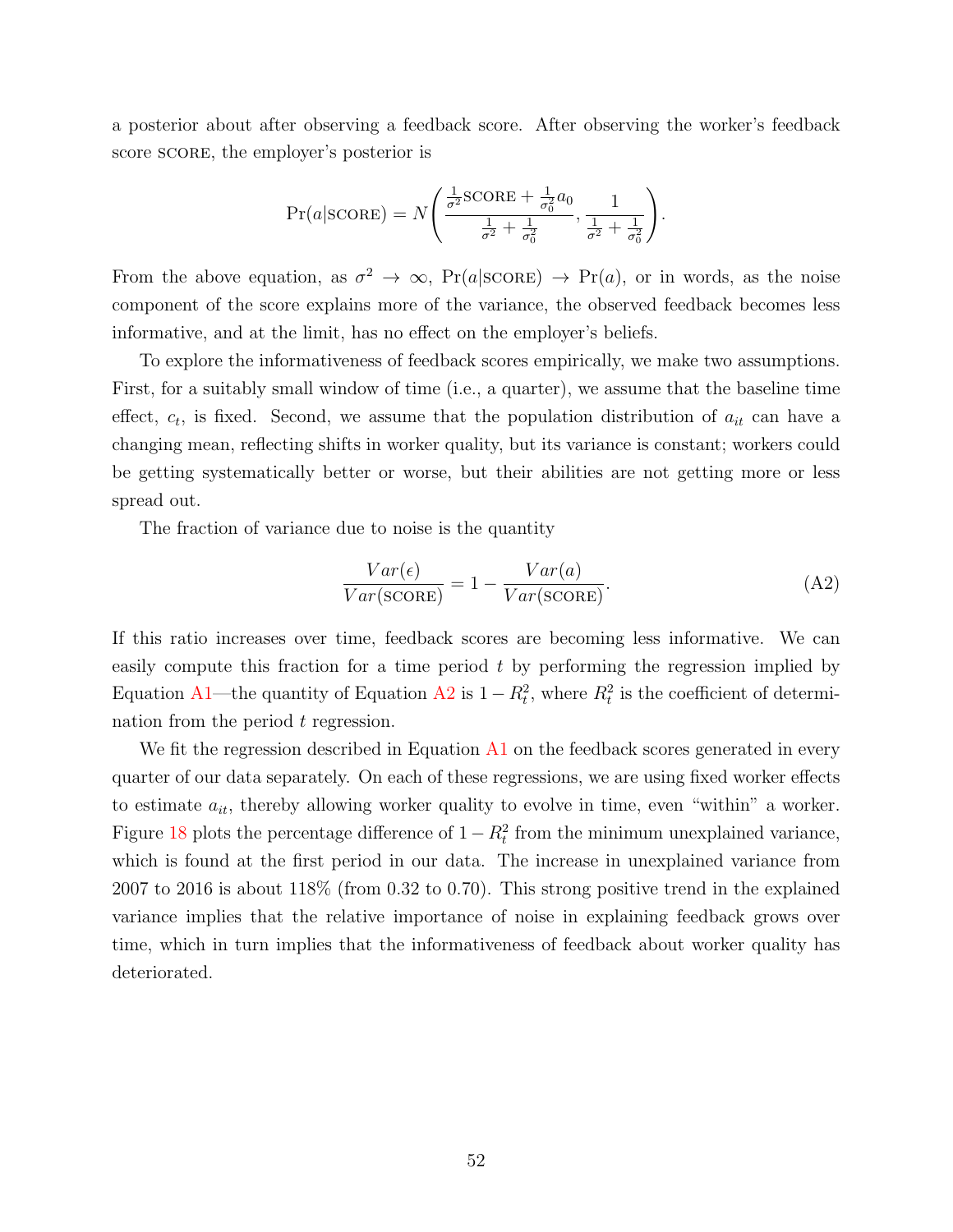a posterior about after observing a feedback score. After observing the worker's feedback score score, the employer's posterior is

$$
Pr(a| \text{SCORE}) = N\left(\frac{\frac{1}{\sigma^2} \text{SCORE} + \frac{1}{\sigma_0^2} a_0}{\frac{1}{\sigma^2} + \frac{1}{\sigma_0^2}}, \frac{1}{\frac{1}{\sigma^2} + \frac{1}{\sigma_0^2}}\right).
$$

From the above equation, as  $\sigma^2 \to \infty$ ,  $Pr(a|SCORE) \to Pr(a)$ , or in words, as the noise component of the score explains more of the variance, the observed feedback becomes less informative, and at the limit, has no effect on the employer's beliefs.

To explore the informativeness of feedback scores empirically, we make two assumptions. First, for a suitably small window of time (i.e., a quarter), we assume that the baseline time effect,  $c_t$ , is fixed. Second, we assume that the population distribution of  $a_{it}$  can have a changing mean, reflecting shifts in worker quality, but its variance is constant; workers could be getting systematically better or worse, but their abilities are not getting more or less spread out.

The fraction of variance due to noise is the quantity

<span id="page-51-0"></span>
$$
\frac{Var(\epsilon)}{Var(\text{score})} = 1 - \frac{Var(a)}{Var(\text{score})}.
$$
\n(A2)

If this ratio increases over time, feedback scores are becoming less informative. We can easily compute this fraction for a time period  $t$  by performing the regression implied by Equation [A1—](#page-50-1)the quantity of Equation [A2](#page-51-0) is  $1 - R_t^2$ , where  $R_t^2$  is the coefficient of determination from the period  $t$  regression.

We fit the regression described in Equation  $A1$  on the feedback scores generated in every quarter of our data separately. On each of these regressions, we are using fixed worker effects to estimate  $a_{it}$ , thereby allowing worker quality to evolve in time, even "within" a worker. Figure [18](#page-52-0) plots the percentage difference of  $1 - R_t^2$  from the minimum unexplained variance, which is found at the first period in our data. The increase in unexplained variance from 2007 to 2016 is about 118% (from 0.32 to 0.70). This strong positive trend in the explained variance implies that the relative importance of noise in explaining feedback grows over time, which in turn implies that the informativeness of feedback about worker quality has deteriorated.